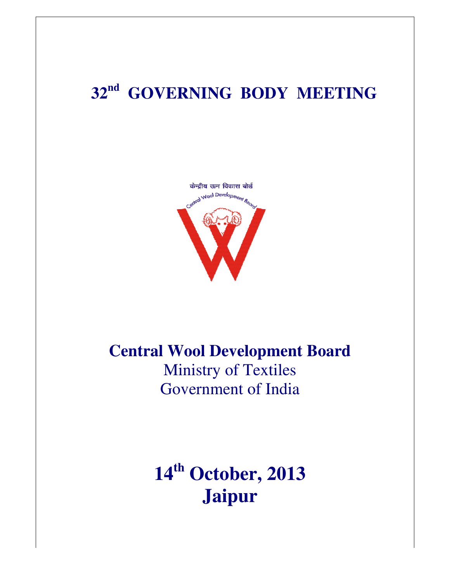## **32nd GOVERNING BODY MEETING**



## **Central Wool Development Board** Ministry of Textiles Government of India

**14th October, 2013 Jaipur**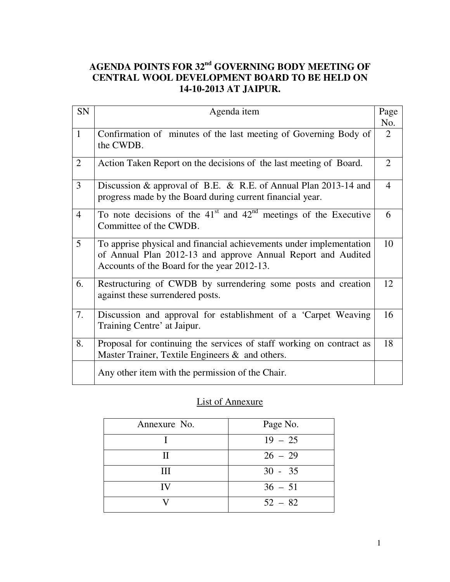## **AGENDA POINTS FOR 32nd GOVERNING BODY MEETING OF CENTRAL WOOL DEVELOPMENT BOARD TO BE HELD ON 14-10-2013 AT JAIPUR.**

| SN             | Agenda item                                                                                                                                                                        | Page<br>No.    |
|----------------|------------------------------------------------------------------------------------------------------------------------------------------------------------------------------------|----------------|
| $\mathbf{1}$   | Confirmation of minutes of the last meeting of Governing Body of<br>the CWDB.                                                                                                      | 2              |
| $\overline{2}$ | Action Taken Report on the decisions of the last meeting of Board.                                                                                                                 | $\overline{2}$ |
| 3              | Discussion & approval of B.E. & R.E. of Annual Plan 2013-14 and<br>progress made by the Board during current financial year.                                                       | $\overline{4}$ |
| $\overline{4}$ | To note decisions of the $41st$ and $42nd$ meetings of the Executive<br>Committee of the CWDB.                                                                                     | 6              |
| 5              | To apprise physical and financial achievements under implementation<br>of Annual Plan 2012-13 and approve Annual Report and Audited<br>Accounts of the Board for the year 2012-13. | 10             |
| 6.             | Restructuring of CWDB by surrendering some posts and creation<br>against these surrendered posts.                                                                                  | 12             |
| 7.             | Discussion and approval for establishment of a 'Carpet Weaving<br>Training Centre' at Jaipur.                                                                                      | 16             |
| 8.             | Proposal for continuing the services of staff working on contract as<br>Master Trainer, Textile Engineers & and others.                                                            | 18             |
|                | Any other item with the permission of the Chair.                                                                                                                                   |                |

## List of Annexure

| Annexure No. | Page No.  |
|--------------|-----------|
|              | $19 - 25$ |
| Н            | $26 - 29$ |
| Ш            | $30 - 35$ |
| IV           | $36 - 51$ |
|              | $52 - 82$ |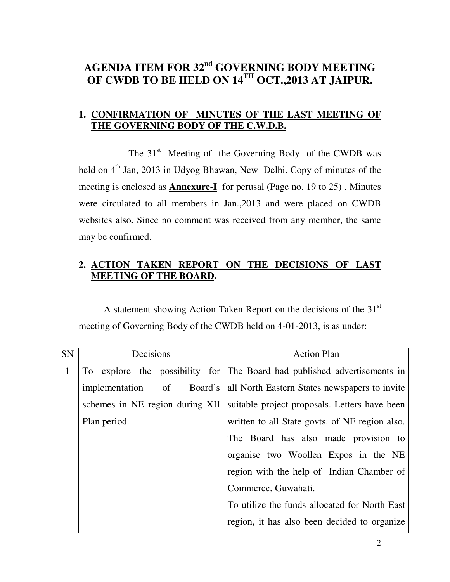## **AGENDA ITEM FOR 32nd GOVERNING BODY MEETING OF CWDB TO BE HELD ON 14TH OCT.,2013 AT JAIPUR.**

## **1. CONFIRMATION OF MINUTES OF THE LAST MEETING OF THE GOVERNING BODY OF THE C.W.D.B.**

The  $31<sup>st</sup>$  Meeting of the Governing Body of the CWDB was held on  $4<sup>th</sup>$  Jan, 2013 in Udyog Bhawan, New Delhi. Copy of minutes of the meeting is enclosed as **Annexure-I** for perusal (Page no. 19 to 25) . Minutes were circulated to all members in Jan.,2013 and were placed on CWDB websites also**.** Since no comment was received from any member, the same may be confirmed.

## **2. ACTION TAKEN REPORT ON THE DECISIONS OF LAST MEETING OF THE BOARD.**

A statement showing Action Taken Report on the decisions of the  $31<sup>st</sup>$ meeting of Governing Body of the CWDB held on 4-01-2013, is as under:

| SN           | Decisions                             | <b>Action Plan</b>                                                       |
|--------------|---------------------------------------|--------------------------------------------------------------------------|
| $\mathbf{1}$ |                                       | To explore the possibility for The Board had published advertisements in |
|              | $\sigma$<br>Board's<br>implementation | all North Eastern States newspapers to invite                            |
|              | schemes in NE region during XII       | suitable project proposals. Letters have been                            |
|              | Plan period.                          | written to all State govts. of NE region also.                           |
|              |                                       | The Board has also made provision to                                     |
|              |                                       | organise two Woollen Expos in the NE                                     |
|              |                                       | region with the help of Indian Chamber of                                |
|              |                                       | Commerce, Guwahati.                                                      |
|              |                                       | To utilize the funds allocated for North East                            |
|              |                                       | region, it has also been decided to organize                             |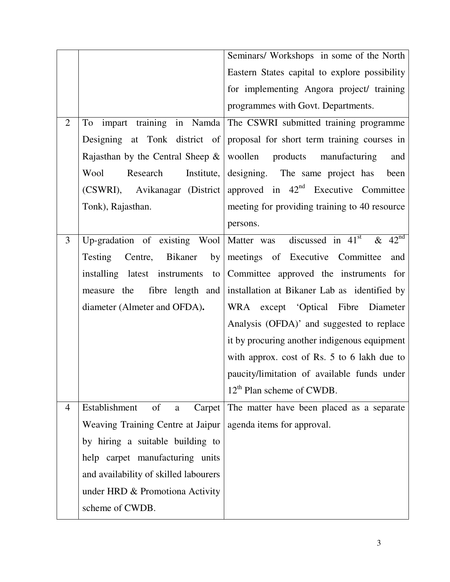|                |                                       | Seminars/ Workshops in some of the North                                           |
|----------------|---------------------------------------|------------------------------------------------------------------------------------|
|                |                                       | Eastern States capital to explore possibility                                      |
|                |                                       | for implementing Angora project/ training                                          |
|                |                                       | programmes with Govt. Departments.                                                 |
| $\overline{2}$ |                                       | To impart training in Namda The CSWRI submitted training programme                 |
|                |                                       | Designing at Tonk district of proposal for short term training courses in          |
|                |                                       | Rajasthan by the Central Sheep $\&$ woollen products manufacturing<br>and          |
|                | Research<br>Wool                      | Institute, designing. The same project has<br>been                                 |
|                |                                       | (CSWRI), Avikanagar (District   approved in 42 <sup>nd</sup> Executive Committee   |
|                | Tonk), Rajasthan.                     | meeting for providing training to 40 resource                                      |
|                |                                       | persons.                                                                           |
| 3              |                                       | Up-gradation of existing Wool Matter was discussed in $41st$<br>& $42^{\text{nd}}$ |
|                | by<br>Testing<br>Centre, Bikaner      | meetings of Executive Committee<br>and                                             |
|                | installing latest instruments<br>to   | Committee approved the instruments for                                             |
|                | measure the                           | fibre length and installation at Bikaner Lab as identified by                      |
|                | diameter (Almeter and OFDA).          | WRA except 'Optical Fibre Diameter                                                 |
|                |                                       | Analysis (OFDA)' and suggested to replace                                          |
|                |                                       | it by procuring another indigenous equipment                                       |
|                |                                       | with approx. cost of Rs. 5 to 6 lakh due to                                        |
|                |                                       | paucity/limitation of available funds under                                        |
|                |                                       | $12th$ Plan scheme of CWDB.                                                        |
| $\overline{4}$ | of<br>Establishment<br>$\mathbf{a}$   | Carpet The matter have been placed as a separate                                   |
|                | Weaving Training Centre at Jaipur     | agenda items for approval.                                                         |
|                | by hiring a suitable building to      |                                                                                    |
|                | help carpet manufacturing units       |                                                                                    |
|                | and availability of skilled labourers |                                                                                    |
|                | under HRD & Promotiona Activity       |                                                                                    |
|                | scheme of CWDB.                       |                                                                                    |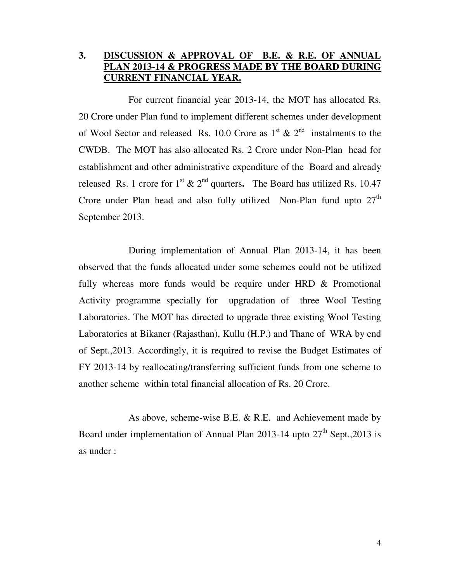## **3. DISCUSSION & APPROVAL OF B.E. & R.E. OF ANNUAL PLAN 2013-14 & PROGRESS MADE BY THE BOARD DURING CURRENT FINANCIAL YEAR.**

 For current financial year 2013-14, the MOT has allocated Rs. 20 Crore under Plan fund to implement different schemes under development of Wool Sector and released Rs. 10.0 Crore as  $1<sup>st</sup> \& 2<sup>nd</sup>$  instalments to the CWDB. The MOT has also allocated Rs. 2 Crore under Non-Plan head for establishment and other administrative expenditure of the Board and already released Rs. 1 crore for  $1^{st}$  &  $2^{nd}$  quarters. The Board has utilized Rs. 10.47 Crore under Plan head and also fully utilized Non-Plan fund upto  $27<sup>th</sup>$ September 2013.

 During implementation of Annual Plan 2013-14, it has been observed that the funds allocated under some schemes could not be utilized fully whereas more funds would be require under HRD & Promotional Activity programme specially for upgradation of three Wool Testing Laboratories. The MOT has directed to upgrade three existing Wool Testing Laboratories at Bikaner (Rajasthan), Kullu (H.P.) and Thane of WRA by end of Sept.,2013. Accordingly, it is required to revise the Budget Estimates of FY 2013-14 by reallocating/transferring sufficient funds from one scheme to another scheme within total financial allocation of Rs. 20 Crore.

 As above, scheme-wise B.E. & R.E. and Achievement made by Board under implementation of Annual Plan 2013-14 upto  $27<sup>th</sup>$  Sept., 2013 is as under :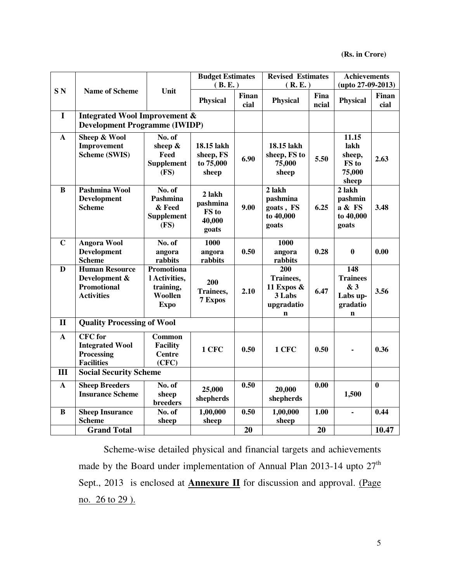|                 |                                                                                   |                                                                    | <b>Budget Estimates</b><br>(B.E.)              |                      | <b>Revised Estimates</b><br>(R.E.)                                       |               | <b>Achievements</b><br>$(upto 27-09-2013)$                           |               |
|-----------------|-----------------------------------------------------------------------------------|--------------------------------------------------------------------|------------------------------------------------|----------------------|--------------------------------------------------------------------------|---------------|----------------------------------------------------------------------|---------------|
| SN <sub>N</sub> | <b>Name of Scheme</b>                                                             | Unit                                                               | <b>Physical</b>                                | <b>Finan</b><br>cial | Physical                                                                 | Fina<br>ncial | <b>Physical</b>                                                      | Finan<br>cial |
| $\mathbf I$     | <b>Integrated Wool Improvement &amp;</b><br><b>Development Programme (IWIDP)</b>  |                                                                    |                                                |                      |                                                                          |               |                                                                      |               |
| $\mathbf{A}$    | Sheep & Wool<br>Improvement<br><b>Scheme (SWIS)</b>                               | No. of<br>sheep &<br>Feed<br><b>Supplement</b><br>(FS)             | 18.15 lakh<br>sheep, FS<br>to 75,000<br>sheep  | 6.90                 | 18.15 lakh<br>sheep, FS to<br>75,000<br>sheep                            | 5.50          | 11.15<br>lakh<br>sheep,<br>FS to<br>75,000<br>sheep                  | 2.63          |
| B               | Pashmina Wool<br><b>Development</b><br><b>Scheme</b>                              | No. of<br>Pashmina<br>& Feed<br><b>Supplement</b><br>(FS)          | 2 lakh<br>pashmina<br>FS to<br>40,000<br>goats | 9.00                 | 2 lakh<br>pashmina<br>goats, FS<br>to 40,000<br>goats                    | 6.25          | 2 lakh<br>pashmin<br>a & FS<br>to 40,000<br>goats                    | 3.48          |
| $\mathbf C$     | <b>Angora Wool</b><br><b>Development</b><br><b>Scheme</b>                         | No. of<br>angora<br>rabbits                                        | 1000<br>angora<br>rabbits                      | 0.50                 | 1000<br>angora<br>rabbits                                                | 0.28          | $\mathbf{0}$                                                         | 0.00          |
| D               | <b>Human Resource</b><br>Development &<br><b>Promotional</b><br><b>Activities</b> | Promotiona<br>l Activities,<br>training,<br>Woollen<br><b>Expo</b> | 200<br>Trainees,<br>7 Expos                    | 2.10                 | 200<br>Trainees,<br>11 Expos $\&$<br>3 Labs<br>upgradatio<br>$\mathbf n$ | 6.47          | 148<br><b>Trainees</b><br>& 3<br>Labs up-<br>gradatio<br>$\mathbf n$ | 3.56          |
| $\mathbf{I}$    | <b>Quality Processing of Wool</b>                                                 |                                                                    |                                                |                      |                                                                          |               |                                                                      |               |
| A               | <b>CFC</b> for<br><b>Integrated Wool</b><br>Processing<br><b>Facilities</b>       | Common<br><b>Facility</b><br><b>Centre</b><br>(CFC)                | 1 CFC                                          | 0.50                 | 1 CFC                                                                    | 0.50          | ä,                                                                   | 0.36          |
| III             | <b>Social Security Scheme</b>                                                     |                                                                    |                                                |                      |                                                                          |               |                                                                      |               |
| $\mathbf{A}$    | <b>Sheep Breeders</b><br><b>Insurance Scheme</b>                                  | No. of<br>sheep<br>breeders                                        | 25,000<br>shepherds                            | 0.50                 | 20,000<br>shepherds                                                      | 0.00          | 1,500                                                                | $\mathbf{0}$  |
| B               | <b>Sheep Insurance</b><br><b>Scheme</b>                                           | No. of<br>sheep                                                    | 1,00,000<br>sheep                              | 0.50                 | 1,00,000<br>sheep                                                        | 1.00          | $\blacksquare$                                                       | 0.44          |
|                 | <b>Grand Total</b>                                                                |                                                                    |                                                | 20                   |                                                                          | 20            |                                                                      | 10.47         |

 Scheme-wise detailed physical and financial targets and achievements made by the Board under implementation of Annual Plan 2013-14 upto  $27<sup>th</sup>$ Sept., 2013 is enclosed at **Annexure II** for discussion and approval. (Page no. 26 to 29 ).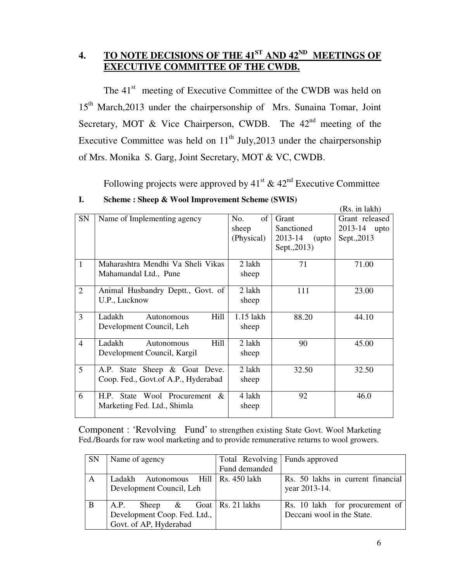## **4. TO NOTE DECISIONS OF THE 41ST AND 42ND MEETINGS OF EXECUTIVE COMMITTEE OF THE CWDB.**

The 41<sup>st</sup> meeting of Executive Committee of the CWDB was held on 15<sup>th</sup> March,2013 under the chairpersonship of Mrs. Sunaina Tomar, Joint Secretary, MOT & Vice Chairperson, CWDB. The  $42<sup>nd</sup>$  meeting of the Executive Committee was held on  $11<sup>th</sup>$  July, 2013 under the chairpersonship of Mrs. Monika S. Garg, Joint Secretary, MOT & VC, CWDB.

Following projects were approved by  $41<sup>st</sup> \& 42<sup>nd</sup>$  Executive Committee

|                |                                     |            |                  | (RS. 111 IAKN) |
|----------------|-------------------------------------|------------|------------------|----------------|
| SN             | Name of Implementing agency         | No.<br>of  | Grant            | Grant released |
|                |                                     | sheep      | Sanctioned       | 2013-14 upto   |
|                |                                     | (Physical) | 2013-14<br>(upto | Sept., 2013    |
|                |                                     |            | Sept., 2013)     |                |
| $\overline{1}$ | Maharashtra Mendhi Va Sheli Vikas   | 2 lakh     | 71               | 71.00          |
|                | Mahamandal Ltd., Pune               | sheep      |                  |                |
| $\overline{2}$ | Animal Husbandry Deptt., Govt. of   | 2 lakh     | 111              | 23.00          |
|                | U.P., Lucknow                       | sheep      |                  |                |
| $\overline{3}$ | Hill<br>Ladakh<br>Autonomous        | 1.15 lakh  | 88.20            | 44.10          |
|                | Development Council, Leh            | sheep      |                  |                |
| $\overline{4}$ | Ladakh<br>Hill<br><b>Autonomous</b> | 2 lakh     | 90               | 45.00          |
|                | Development Council, Kargil         | sheep      |                  |                |
| 5              | A.P. State Sheep & Goat Deve.       | 2 lakh     | 32.50            | 32.50          |
|                | Coop. Fed., Govt.of A.P., Hyderabad | sheep      |                  |                |
| 6              | H.P. State Wool Procurement<br>$\&$ | 4 lakh     | 92               | 46.0           |
|                | Marketing Fed. Ltd., Shimla         | sheep      |                  |                |
|                |                                     |            |                  |                |

## **I. Scheme : Sheep & Wool Improvement Scheme (SWIS)**

Component : 'Revolving Fund' to strengthen existing State Govt. Wool Marketing Fed./Boards for raw wool marketing and to provide remunerative returns to wool growers.

| <b>SN</b> | Name of agency                           | Total Revolving   Funds approved |                                   |
|-----------|------------------------------------------|----------------------------------|-----------------------------------|
|           |                                          | Fund demanded                    |                                   |
| A         | Autonomous Hill   Rs. 450 lakh<br>Ladakh |                                  | Rs. 50 lakhs in current financial |
|           | Development Council, Leh                 |                                  | year 2013-14.                     |
|           |                                          |                                  |                                   |
| B         | Sheep $\&$ Goat   Rs. 21 lakhs<br>A.P.   |                                  | Rs. 10 lakh for procurement of    |
|           | Development Coop. Fed. Ltd.,             |                                  | Deccani wool in the State.        |
|           | Govt. of AP, Hyderabad                   |                                  |                                   |

 $\mathbf{r}$  in a large set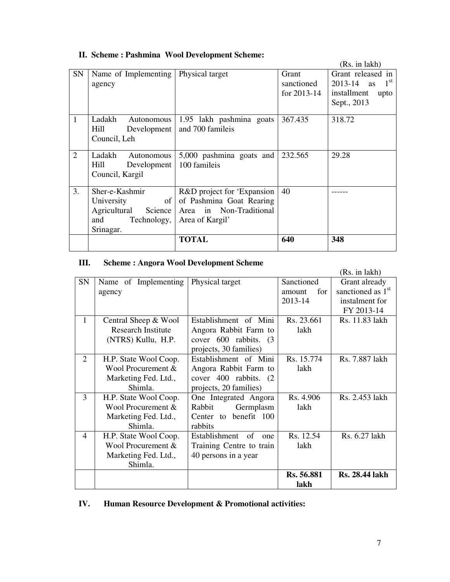|                |                         |                            |             | (Rs. in lakh)                     |
|----------------|-------------------------|----------------------------|-------------|-----------------------------------|
| <b>SN</b>      | Name of Implementing    | Physical target            | Grant       | Grant released in                 |
|                | agency                  |                            | sanctioned  | 1 <sup>st</sup><br>$2013 - 14$ as |
|                |                         |                            | for 2013-14 | installment<br>upto               |
|                |                         |                            |             | Sept., 2013                       |
| $\mathbf{1}$   | Ladakh<br>Autonomous    | 1.95 lakh pashmina goats   | 367.435     | 318.72                            |
|                | Hill<br>Development     | and 700 famileis           |             |                                   |
|                | Council, Leh            |                            |             |                                   |
|                |                         |                            |             |                                   |
| $\overline{2}$ | Ladakh<br>Autonomous    | 5,000 pashmina goats and   | 232.565     | 29.28                             |
|                | Hill<br>Development     | 100 famileis               |             |                                   |
|                | Council, Kargil         |                            |             |                                   |
|                |                         |                            |             |                                   |
| 3.             | Sher-e-Kashmir          | R&D project for 'Expansion | 40          |                                   |
|                | of<br>University        | of Pashmina Goat Rearing   |             |                                   |
|                | Agricultural<br>Science | Area in Non-Traditional    |             |                                   |
|                | Technology,<br>and      | Area of Kargil'            |             |                                   |
|                | Srinagar.               |                            |             |                                   |
|                |                         | <b>TOTAL</b>               | 640         | 348                               |
|                |                         |                            |             |                                   |

## **II. Scheme : Pashmina Wool Development Scheme:**

#### **III. Scheme : Angora Wool Development Scheme**

|    |                           |                          |               | (Rs. in lakh)                 |
|----|---------------------------|--------------------------|---------------|-------------------------------|
| SN | Name of Implementing      | Physical target          | Sanctioned    | Grant already                 |
|    | agency                    |                          | for<br>amount | sanctioned as 1 <sup>st</sup> |
|    |                           |                          | 2013-14       | instalment for                |
|    |                           |                          |               | FY 2013-14                    |
| 1  | Central Sheep & Wool      | Establishment of Mini    | Rs. 23.661    | Rs. 11.83 lakh                |
|    | <b>Research Institute</b> | Angora Rabbit Farm to    | lakh          |                               |
|    | (NTRS) Kullu, H.P.        | cover 600 rabbits. (3)   |               |                               |
|    |                           | projects, 30 families)   |               |                               |
| 2  | H.P. State Wool Coop.     | Establishment of Mini    | Rs. 15.774    | Rs. 7.887 lakh                |
|    | Wool Procurement &        | Angora Rabbit Farm to    | lakh          |                               |
|    | Marketing Fed. Ltd.,      | cover 400 rabbits. (2)   |               |                               |
|    | Shimla.                   | projects, 20 families)   |               |                               |
| 3  | H.P. State Wool Coop.     | One Integrated Angora    | Rs. 4.906     | Rs. 2.453 lakh                |
|    | Wool Procurement &        | Rabbit<br>Germplasm      | lakh          |                               |
|    | Marketing Fed. Ltd.,      | Center to benefit 100    |               |                               |
|    | Shimla.                   | rabbits                  |               |                               |
| 4  | H.P. State Wool Coop.     | Establishment of<br>one  | Rs. 12.54     | Rs. 6.27 lakh                 |
|    | Wool Procurement &        | Training Centre to train | lakh          |                               |
|    | Marketing Fed. Ltd.,      | 40 persons in a year     |               |                               |
|    | Shimla.                   |                          |               |                               |
|    |                           |                          | Rs. 56.881    | <b>Rs. 28.44 lakh</b>         |
|    |                           |                          | lakh          |                               |

## **IV. Human Resource Development & Promotional activities:**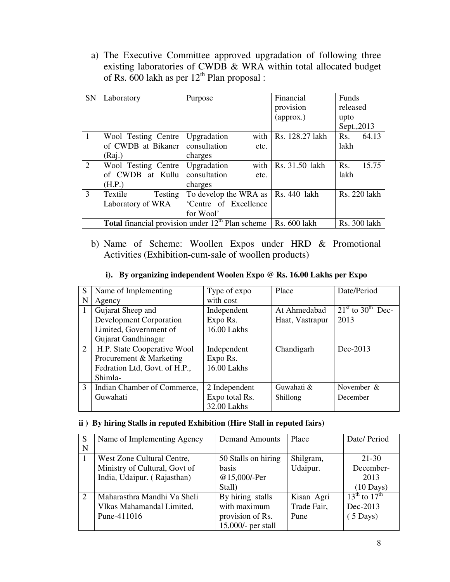a) The Executive Committee approved upgradation of following three existing laboratories of CWDB & WRA within total allocated budget of Rs.  $600$  lakh as per  $12<sup>th</sup>$  Plan proposal :

| <b>SN</b>      | Laboratory          | Purpose                                                   | Financial       | Funds                     |
|----------------|---------------------|-----------------------------------------------------------|-----------------|---------------------------|
|                |                     |                                                           | provision       | released                  |
|                |                     |                                                           | (approx.)       | upto                      |
|                |                     |                                                           |                 | Sept., 2013               |
| $\mathbf{1}$   | Wool Testing Centre | with<br>Upgradation                                       | Rs. 128.27 lakh | Rs.<br>64.13              |
|                | of CWDB at Bikaner  | consultation<br>etc.                                      |                 | lakh                      |
|                | (Rai.)              | charges                                                   |                 |                           |
| 2              | Wool Testing Centre | with<br>Upgradation                                       | Rs. 31.50 lakh  | 15.75<br>R <sub>s</sub> . |
|                | of CWDB at Kullu    | consultation<br>etc.                                      |                 | lakh                      |
|                | (H.P.)              | charges                                                   |                 |                           |
| $\overline{3}$ | Textile<br>Testing  | To develop the WRA as   Rs. 440 lakh                      |                 | Rs. 220 lakh              |
|                | Laboratory of WRA   | 'Centre of Excellence                                     |                 |                           |
|                |                     | for Wool'                                                 |                 |                           |
|                |                     | <b>Total</b> financial provision under $12th$ Plan scheme | Rs. 600 lakh    | Rs. 300 lakh              |

b) Name of Scheme: Woollen Expos under HRD & Promotional Activities (Exhibition-cum-sale of woollen products)

|  | i). By organizing independent Woolen Expo @ Rs. 16.00 Lakhs per Expo |  |  |
|--|----------------------------------------------------------------------|--|--|
|--|----------------------------------------------------------------------|--|--|

| S              | Name of Implementing           | Type of expo   | Place           | Date/Period                                            |
|----------------|--------------------------------|----------------|-----------------|--------------------------------------------------------|
| N              | Agency                         | with cost      |                 |                                                        |
|                | Gujarat Sheep and              | Independent    | At Ahmedabad    | $\overline{21}$ <sup>st</sup> to 30 <sup>th</sup> Dec- |
|                | <b>Development Corporation</b> | Expo Rs.       | Haat, Vastrapur | 2013                                                   |
|                | Limited, Government of         | 16.00 Lakhs    |                 |                                                        |
|                | Gujarat Gandhinagar            |                |                 |                                                        |
| $\overline{2}$ | H.P. State Cooperative Wool    | Independent    | Chandigarh      | Dec-2013                                               |
|                | Procurement & Marketing        | Expo Rs.       |                 |                                                        |
|                | Fedration Ltd, Govt. of H.P.,  | 16.00 Lakhs    |                 |                                                        |
|                | Shimla-                        |                |                 |                                                        |
| $\mathfrak{Z}$ | Indian Chamber of Commerce,    | 2 Independent  | Guwahati &      | November &                                             |
|                | Guwahati                       | Expo total Rs. | Shillong        | December                                               |
|                |                                | 32.00 Lakhs    |                 |                                                        |

#### **ii ) By hiring Stalls in reputed Exhibition (Hire Stall in reputed fairs)**

| S | Name of Implementing Agency   | <b>Demand Amounts</b> | Place       | Date/Period            |
|---|-------------------------------|-----------------------|-------------|------------------------|
| N |                               |                       |             |                        |
|   | West Zone Cultural Centre,    | 50 Stalls on hiring   | Shilgram,   | 21-30                  |
|   | Ministry of Cultural, Govt of | <b>basis</b>          | Udaipur.    | December-              |
|   | India, Udaipur. (Rajasthan)   | @15,000/-Per          |             | 2013                   |
|   |                               | Stall)                |             | $(10 \text{ Days})$    |
| 2 | Maharasthra Mandhi Va Sheli   | By hiring stalls      | Kisan Agri  | $13^{th}$ to $17^{th}$ |
|   | VIkas Mahamandal Limited,     | with maximum          | Trade Fair, | Dec-2013               |
|   | Pune-411016                   | provision of Rs.      | Pune        | $(5 \text{ Days})$     |
|   |                               | $15,000$ - per stall  |             |                        |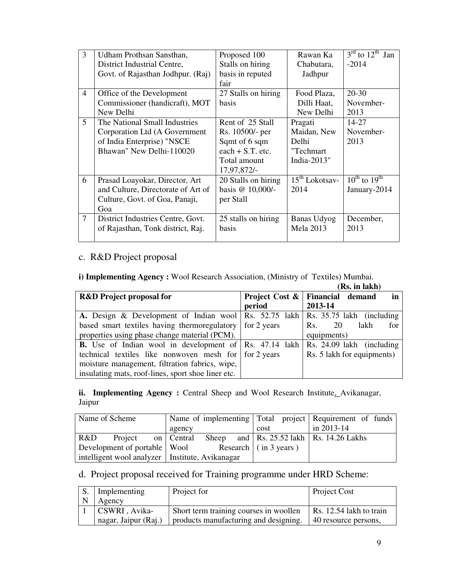| $\overline{3}$ | Udham Prothsan Sansthan,           | Proposed 100        | Rawan Ka         | $3^{\text{rd}}$ to $12^{\text{th}}$<br>Jan |
|----------------|------------------------------------|---------------------|------------------|--------------------------------------------|
|                | District Industrial Centre,        | Stalls on hiring    | Chabutara,       | $-2014$                                    |
|                | Govt. of Rajasthan Jodhpur. (Raj)  | basis in reputed    | Jadhpur          |                                            |
|                |                                    | fair                |                  |                                            |
| $\overline{4}$ | Office of the Development          | 27 Stalls on hiring | Food Plaza,      | $20-30$                                    |
|                | Commissioner (handicraft), MOT     | <b>basis</b>        | Dilli Haat,      | November-                                  |
|                | New Delhi                          |                     | New Delhi        | 2013                                       |
| 5              | The National Small Industries      | Rent of 25 Stall    | Pragati          | 14-27                                      |
|                | Corporation Ltd (A Government      | Rs. 10500/- per     | Maidan, New      | November-                                  |
|                | of India Enterprise) "NSCE         | Sqmt of 6 sqm       | <b>Delhi</b>     | 2013                                       |
|                | Bhawan" New Delhi-110020           | $each + S.T.$ etc.  | "Techmart        |                                            |
|                |                                    | Total amount        | India-2013"      |                                            |
|                |                                    | 17,97,872/-         |                  |                                            |
| 6              | Prasad Loayokar, Director, Art     | 20 Stalls on hiring | $15th$ Lokotsav- | $10^{\text{th}}$ to $19^{\text{th}}$       |
|                | and Culture, Directorate of Art of | basis @ 10,000/-    | 2014             | January-2014                               |
|                | Culture, Govt. of Goa, Panaji,     | per Stall           |                  |                                            |
|                | Goa                                |                     |                  |                                            |
| 7              | District Industries Centre, Govt.  | 25 stalls on hiring | Banas Udyog      | December,                                  |
|                | of Rajasthan, Tonk district, Raj.  | <b>basis</b>        | <b>Mela 2013</b> | 2013                                       |
|                |                                    |                     |                  |                                            |

## c. R&D Project proposal

**i) Implementing Agency :** Wool Research Association, (Ministry of Textiles) Mumbai.

|                                                               |                           | (Rs. in lakh)              |
|---------------------------------------------------------------|---------------------------|----------------------------|
| <b>R&amp;D</b> Project proposal for                           | <b>Project Cost &amp;</b> | Financial demand<br>in     |
|                                                               | period                    | 2013-14                    |
| A. Design & Development of Indian wool   Rs. 52.75 lakh       |                           | Rs. 35.75 lakh (including  |
| based smart textiles having thermoregulatory for 2 years      |                           | lakh<br>for<br>20<br>Rs.   |
| properties using phase change material (PCM).                 |                           | equipments)                |
| <b>B.</b> Use of Indian wool in development of Rs. 47.14 lakh |                           | Rs. 24.09 lakh (including  |
| technical textiles like nonwoven mesh for for 2 years         |                           | Rs. 5 lakh for equipments) |
| moisture management, filtration fabrics, wipe,                |                           |                            |
| insulating mats, roof-lines, sport shoe liner etc.            |                           |                            |

ii. Implementing Agency : Central Sheep and Wool Research Institute, Avikanagar, Jaipur

| Name of Scheme                                    |                    | Name of implementing Total project Requirement of funds |                              |  |  |      |                                                          |  |
|---------------------------------------------------|--------------------|---------------------------------------------------------|------------------------------|--|--|------|----------------------------------------------------------|--|
|                                                   |                    |                                                         | agency                       |  |  | cost | in 2013-14                                               |  |
| R&D                                               | Project on Central |                                                         |                              |  |  |      | Sheep and $\vert$ Rs. 25.52 lakh $\vert$ Rs. 14.26 Lakhs |  |
| Development of portable   Wool                    |                    |                                                         | Research $\int$ (in 3 years) |  |  |      |                                                          |  |
| intelligent wool analyzer   Institute, Avikanagar |                    |                                                         |                              |  |  |      |                                                          |  |

## d. Project proposal received for Training programme under HRD Scheme:

| Implementing         | Project for                            | Project Cost            |
|----------------------|----------------------------------------|-------------------------|
| Agency               |                                        |                         |
| CSWRI, Avika-        | Short term training courses in woollen | Rs. 12.54 lakh to train |
| nagar, Jaipur (Raj.) | products manufacturing and designing.  | 40 resource persons,    |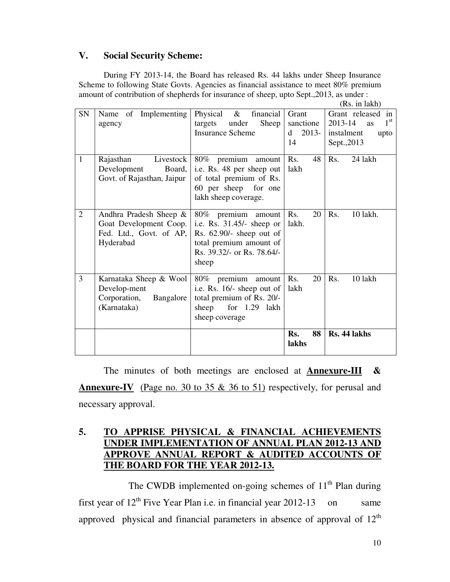## **V. Social Security Scheme:**

 During FY 2013-14, the Board has released Rs. 44 lakhs under Sheep Insurance Scheme to following State Govts. Agencies as financial assistance to meet 80% premium amount of contribution of shepherds for insurance of sheep, upto Sept.,2013, as under :

|                |                                                                                          |                                                                                                                                                 |                                          | (Rs. in lakh)                                                                                  |
|----------------|------------------------------------------------------------------------------------------|-------------------------------------------------------------------------------------------------------------------------------------------------|------------------------------------------|------------------------------------------------------------------------------------------------|
| <b>SN</b>      | Name of Implementing<br>agency                                                           | Physical $\&$<br>financial  <br>targets under<br>Sheep<br><b>Insurance Scheme</b>                                                               | Grant<br>sanctione<br>$2013-$<br>d<br>14 | Grant released in<br>$1^{\rm st}$<br>2013-14<br><b>as</b><br>instalment<br>upto<br>Sept., 2013 |
| 1              | Livestock  <br>Rajasthan<br>Development<br>Board,<br>Govt. of Rajasthan, Jaipur          | 80% premium amount<br>i.e. Rs. 48 per sheep out<br>of total premium of Rs.<br>60 per sheep for one<br>lakh sheep coverage.                      | 48<br>Rs.<br>lakh                        | Rs.<br>24 lakh                                                                                 |
| $\overline{2}$ | Andhra Pradesh Sheep &<br>Goat Development Coop.<br>Fed. Ltd., Govt. of AP,<br>Hyderabad | 80% premium amount<br>i.e. Rs. $31.45/-$ sheep or<br>Rs. 62.90/- sheep out of<br>total premium amount of<br>Rs. 39.32/- or Rs. 78.64/-<br>sheep | Rs.<br>20<br>lakh.                       | R <sub>s</sub> .<br>10 lakh.                                                                   |
| 3              | Karnataka Sheep & Wool<br>Develop-ment<br>Corporation,<br>Bangalore<br>(Karnataka)       | 80% premium amount<br>i.e. Rs. 16/- sheep out of<br>total premium of Rs. 20/-<br>for 1.29 lakh<br>sheep<br>sheep coverage                       | Rs.<br>20<br>lakh                        | Rs.<br>10 lakh                                                                                 |
|                |                                                                                          |                                                                                                                                                 | 88<br>Rs.<br>lakhs                       | Rs. 44 lakhs                                                                                   |

 The minutes of both meetings are enclosed at **Annexure-III & Annexure-IV** (Page no. 30 to 35 & 36 to 51) respectively, for perusal and necessary approval.

## **5. TO APPRISE PHYSICAL & FINANCIAL ACHIEVEMENTS UNDER IMPLEMENTATION OF ANNUAL PLAN 2012-13 AND APPROVE ANNUAL REPORT & AUDITED ACCOUNTS OF THE BOARD FOR THE YEAR 2012-13.**

The CWDB implemented on-going schemes of  $11<sup>th</sup>$  Plan during first year of  $12^{th}$  Five Year Plan i.e. in financial year 2012-13 on same approved physical and financial parameters in absence of approval of  $12<sup>th</sup>$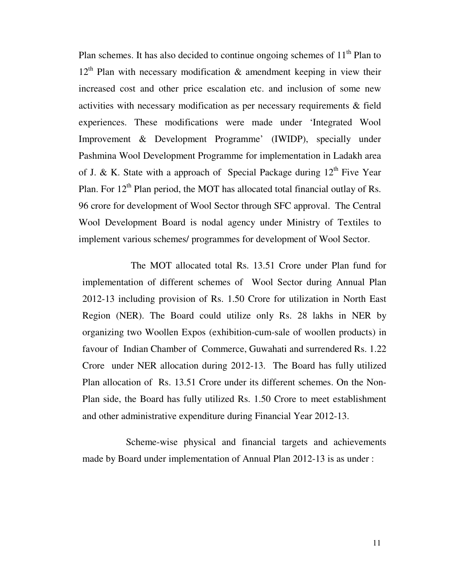Plan schemes. It has also decided to continue ongoing schemes of  $11<sup>th</sup>$  Plan to  $12<sup>th</sup>$  Plan with necessary modification & amendment keeping in view their increased cost and other price escalation etc. and inclusion of some new activities with necessary modification as per necessary requirements & field experiences. These modifications were made under 'Integrated Wool Improvement & Development Programme' (IWIDP), specially under Pashmina Wool Development Programme for implementation in Ladakh area of J. & K. State with a approach of Special Package during  $12<sup>th</sup>$  Five Year Plan. For  $12^{th}$  Plan period, the MOT has allocated total financial outlay of Rs. 96 crore for development of Wool Sector through SFC approval. The Central Wool Development Board is nodal agency under Ministry of Textiles to implement various schemes/ programmes for development of Wool Sector.

 The MOT allocated total Rs. 13.51 Crore under Plan fund for implementation of different schemes of Wool Sector during Annual Plan 2012-13 including provision of Rs. 1.50 Crore for utilization in North East Region (NER). The Board could utilize only Rs. 28 lakhs in NER by organizing two Woollen Expos (exhibition-cum-sale of woollen products) in favour of Indian Chamber of Commerce, Guwahati and surrendered Rs. 1.22 Crore under NER allocation during 2012-13. The Board has fully utilized Plan allocation of Rs. 13.51 Crore under its different schemes. On the Non-Plan side, the Board has fully utilized Rs. 1.50 Crore to meet establishment and other administrative expenditure during Financial Year 2012-13.

 Scheme-wise physical and financial targets and achievements made by Board under implementation of Annual Plan 2012-13 is as under :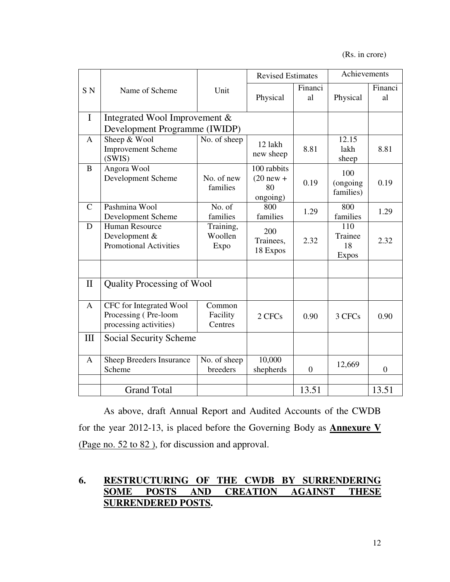(Rs. in crore)

|                |                                                                           |                               | <b>Revised Estimates</b>                     |               | Achievements                         |                  |
|----------------|---------------------------------------------------------------------------|-------------------------------|----------------------------------------------|---------------|--------------------------------------|------------------|
| S <sub>N</sub> | Name of Scheme                                                            | Unit                          | Physical                                     | Financi<br>al | Physical                             | Financi<br>al    |
| $\mathbf I$    | Integrated Wool Improvement &                                             |                               |                                              |               |                                      |                  |
|                | Development Programme (IWIDP)                                             |                               |                                              |               |                                      |                  |
| A              | Sheep & Wool<br><b>Improvement Scheme</b><br>(SWIS)                       | No. of sheep                  | 12 lakh<br>new sheep                         | 8.81          | 12.15<br>lakh<br>sheep               | 8.81             |
| B              | Angora Wool<br>Development Scheme                                         | No. of new<br>families        | 100 rabbits<br>$(20$ new +<br>80<br>ongoing) | 0.19          | 100<br>(ongoing<br>families)         | 0.19             |
| $\mathcal{C}$  | Pashmina Wool<br>Development Scheme                                       | No. of<br>families            | 800<br>families                              | 1.29          | 800<br>families                      | 1.29             |
| D              | Human Resource<br>Development &<br><b>Promotional Activities</b>          | Training,<br>Woollen<br>Expo  | 200<br>Trainees,<br>18 Expos                 | 2.32          | 110<br>Trainee<br>18<br><b>Expos</b> | 2.32             |
| $\mathbf{I}$   | <b>Quality Processing of Wool</b>                                         |                               |                                              |               |                                      |                  |
| A              | CFC for Integrated Wool<br>Processing (Pre-loom<br>processing activities) | Common<br>Facility<br>Centres | 2 CFCs                                       | 0.90          | 3 CFCs                               | 0.90             |
| III            | Social Security Scheme                                                    |                               |                                              |               |                                      |                  |
| A              | Sheep Breeders Insurance<br>Scheme                                        | No. of sheep<br>breeders      | 10,000<br>shepherds                          | $\mathbf{0}$  | 12,669                               | $\boldsymbol{0}$ |
|                | <b>Grand Total</b>                                                        |                               |                                              | 13.51         |                                      | 13.51            |

As above, draft Annual Report and Audited Accounts of the CWDB for the year 2012-13, is placed before the Governing Body as **Annexure V** (Page no. 52 to 82 ), for discussion and approval.

## **6. RESTRUCTURING OF THE CWDB BY SURRENDERING SOME POSTS AND CREATION AGAINST THESE SURRENDERED POSTS.**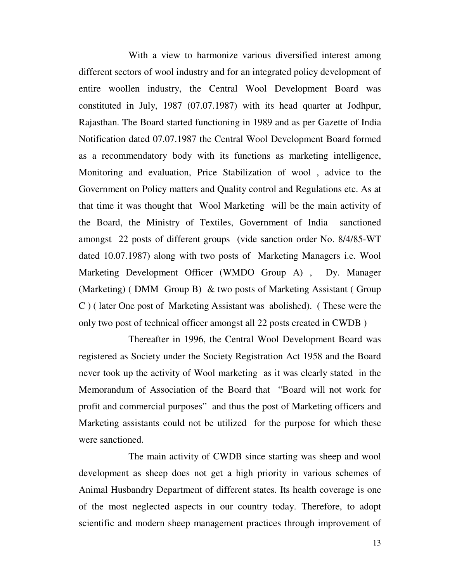With a view to harmonize various diversified interest among different sectors of wool industry and for an integrated policy development of entire woollen industry, the Central Wool Development Board was constituted in July, 1987 (07.07.1987) with its head quarter at Jodhpur, Rajasthan. The Board started functioning in 1989 and as per Gazette of India Notification dated 07.07.1987 the Central Wool Development Board formed as a recommendatory body with its functions as marketing intelligence, Monitoring and evaluation, Price Stabilization of wool , advice to the Government on Policy matters and Quality control and Regulations etc. As at that time it was thought that Wool Marketing will be the main activity of the Board, the Ministry of Textiles, Government of India sanctioned amongst 22 posts of different groups (vide sanction order No. 8/4/85-WT dated 10.07.1987) along with two posts of Marketing Managers i.e. Wool Marketing Development Officer (WMDO Group A) , Dy. Manager (Marketing) ( DMM Group B) & two posts of Marketing Assistant ( Group C ) ( later One post of Marketing Assistant was abolished). ( These were the only two post of technical officer amongst all 22 posts created in CWDB )

 Thereafter in 1996, the Central Wool Development Board was registered as Society under the Society Registration Act 1958 and the Board never took up the activity of Wool marketing as it was clearly stated in the Memorandum of Association of the Board that "Board will not work for profit and commercial purposes" and thus the post of Marketing officers and Marketing assistants could not be utilized for the purpose for which these were sanctioned.

 The main activity of CWDB since starting was sheep and wool development as sheep does not get a high priority in various schemes of Animal Husbandry Department of different states. Its health coverage is one of the most neglected aspects in our country today. Therefore, to adopt scientific and modern sheep management practices through improvement of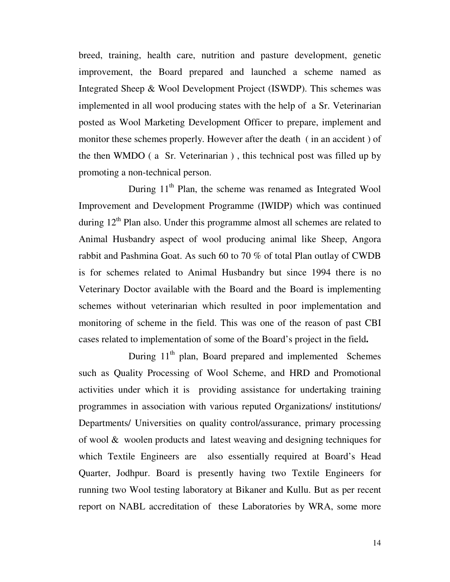breed, training, health care, nutrition and pasture development, genetic improvement, the Board prepared and launched a scheme named as Integrated Sheep & Wool Development Project (ISWDP). This schemes was implemented in all wool producing states with the help of a Sr. Veterinarian posted as Wool Marketing Development Officer to prepare, implement and monitor these schemes properly. However after the death ( in an accident ) of the then WMDO ( a Sr. Veterinarian ) , this technical post was filled up by promoting a non-technical person.

During  $11<sup>th</sup>$  Plan, the scheme was renamed as Integrated Wool Improvement and Development Programme (IWIDP) which was continued during  $12<sup>th</sup>$  Plan also. Under this programme almost all schemes are related to Animal Husbandry aspect of wool producing animal like Sheep, Angora rabbit and Pashmina Goat. As such 60 to 70 % of total Plan outlay of CWDB is for schemes related to Animal Husbandry but since 1994 there is no Veterinary Doctor available with the Board and the Board is implementing schemes without veterinarian which resulted in poor implementation and monitoring of scheme in the field. This was one of the reason of past CBI cases related to implementation of some of the Board's project in the field**.**

During 11<sup>th</sup> plan, Board prepared and implemented Schemes such as Quality Processing of Wool Scheme, and HRD and Promotional activities under which it is providing assistance for undertaking training programmes in association with various reputed Organizations/ institutions/ Departments/ Universities on quality control/assurance, primary processing of wool & woolen products and latest weaving and designing techniques for which Textile Engineers are also essentially required at Board's Head Quarter, Jodhpur. Board is presently having two Textile Engineers for running two Wool testing laboratory at Bikaner and Kullu. But as per recent report on NABL accreditation of these Laboratories by WRA, some more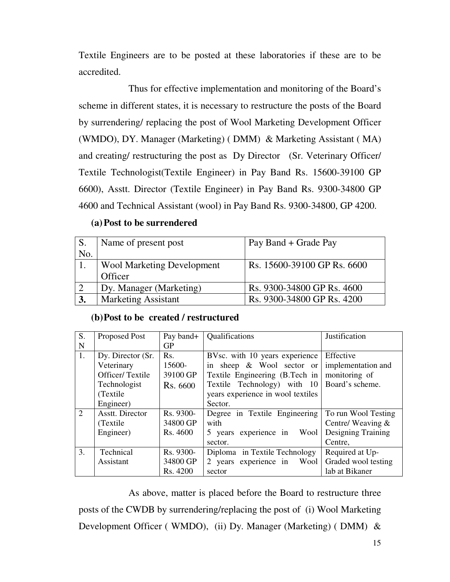Textile Engineers are to be posted at these laboratories if these are to be accredited.

 Thus for effective implementation and monitoring of the Board's scheme in different states, it is necessary to restructure the posts of the Board by surrendering/ replacing the post of Wool Marketing Development Officer (WMDO), DY. Manager (Marketing) ( DMM) & Marketing Assistant ( MA) and creating/ restructuring the post as Dy Director (Sr. Veterinary Officer/ Textile Technologist(Textile Engineer) in Pay Band Rs. 15600-39100 GP 6600), Asstt. Director (Textile Engineer) in Pay Band Rs. 9300-34800 GP 4600 and Technical Assistant (wool) in Pay Band Rs. 9300-34800, GP 4200.

#### **(a)Post to be surrendered**

| S.         | Name of present post       | Pay Band + Grade Pay        |
|------------|----------------------------|-----------------------------|
| No.        |                            |                             |
|            | Wool Marketing Development | Rs. 15600-39100 GP Rs. 6600 |
|            | Officer                    |                             |
| $\sqrt{2}$ | Dy. Manager (Marketing)    | Rs. 9300-34800 GP Rs. 4600  |
| 3.         | <b>Marketing Assistant</b> | Rs. 9300-34800 GP Rs. 4200  |

#### **(b)Post to be created / restructured**

| S.             | Proposed Post     | Pay band+ | Qualifications                    | Justification       |
|----------------|-------------------|-----------|-----------------------------------|---------------------|
| N              |                   | <b>GP</b> |                                   |                     |
| 1.             | Dy. Director (Sr. | Rs.       | BVsc. with 10 years experience    | Effective           |
|                | Veterinary        | 15600-    | in sheep & Wool sector or         | implementation and  |
|                | Officer/Textile   | 39100 GP  | Textile Engineering (B.Tech in    | monitoring of       |
|                | Technologist      | Rs. 6600  | Textile Technology) with 10       | Board's scheme.     |
|                | (Textile)         |           | years experience in wool textiles |                     |
|                | Engineer)         |           | Sector.                           |                     |
| $\overline{2}$ | Asstt. Director   | Rs. 9300- | Degree in Textile Engineering     | To run Wool Testing |
|                | (Textile)         | 34800 GP  | with                              | Centre/Weaving $&$  |
|                | Engineer)         | Rs. 4600  | 5 years experience in<br>Wool     | Designing Training  |
|                |                   |           | sector.                           | Centre,             |
| 3.             | Technical         | Rs. 9300- | Diploma in Textile Technology     | Required at Up-     |
|                | Assistant         | 34800 GP  | 2 years experience in<br>Wool     | Graded wool testing |
|                |                   | Rs. 4200  | sector                            | lab at Bikaner      |

 As above, matter is placed before the Board to restructure three posts of the CWDB by surrendering/replacing the post of (i) Wool Marketing Development Officer ( WMDO), (ii) Dy. Manager (Marketing) ( DMM) &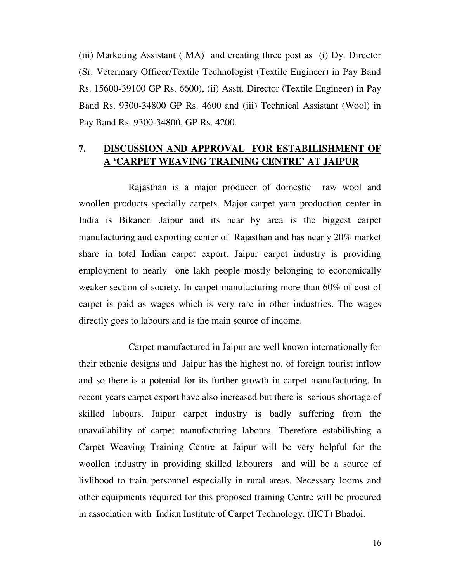(iii) Marketing Assistant ( MA) and creating three post as (i) Dy. Director (Sr. Veterinary Officer/Textile Technologist (Textile Engineer) in Pay Band Rs. 15600-39100 GP Rs. 6600), (ii) Asstt. Director (Textile Engineer) in Pay Band Rs. 9300-34800 GP Rs. 4600 and (iii) Technical Assistant (Wool) in Pay Band Rs. 9300-34800, GP Rs. 4200.

## **7. DISCUSSION AND APPROVAL FOR ESTABILISHMENT OF A 'CARPET WEAVING TRAINING CENTRE' AT JAIPUR**

 Rajasthan is a major producer of domestic raw wool and woollen products specially carpets. Major carpet yarn production center in India is Bikaner. Jaipur and its near by area is the biggest carpet manufacturing and exporting center of Rajasthan and has nearly 20% market share in total Indian carpet export. Jaipur carpet industry is providing employment to nearly one lakh people mostly belonging to economically weaker section of society. In carpet manufacturing more than 60% of cost of carpet is paid as wages which is very rare in other industries. The wages directly goes to labours and is the main source of income.

 Carpet manufactured in Jaipur are well known internationally for their ethenic designs and Jaipur has the highest no. of foreign tourist inflow and so there is a potenial for its further growth in carpet manufacturing. In recent years carpet export have also increased but there is serious shortage of skilled labours. Jaipur carpet industry is badly suffering from the unavailability of carpet manufacturing labours. Therefore estabilishing a Carpet Weaving Training Centre at Jaipur will be very helpful for the woollen industry in providing skilled labourers and will be a source of livlihood to train personnel especially in rural areas. Necessary looms and other equipments required for this proposed training Centre will be procured in association with Indian Institute of Carpet Technology, (IICT) Bhadoi.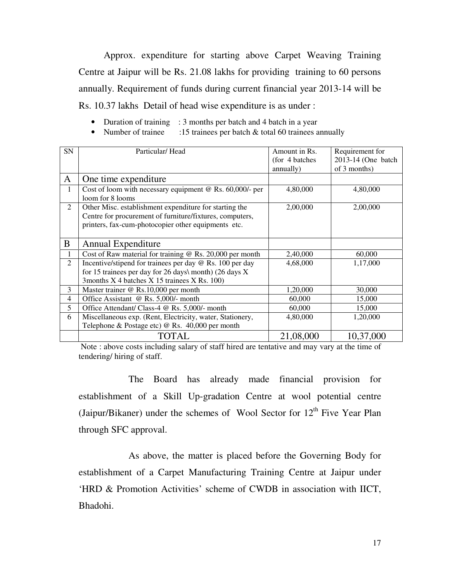Approx. expenditure for starting above Carpet Weaving Training Centre at Jaipur will be Rs. 21.08 lakhs for providing training to 60 persons annually. Requirement of funds during current financial year 2013-14 will be Rs. 10.37 lakhs Detail of head wise expenditure is as under :

- Duration of training : 3 months per batch and 4 batch in a year
- Number of trainee :15 trainees per batch & total 60 trainees annually

| SN             | Particular/Head                                                 | Amount in Rs.   | Requirement for    |
|----------------|-----------------------------------------------------------------|-----------------|--------------------|
|                |                                                                 | (for 4 batches) | 2013-14 (One batch |
|                |                                                                 | annually)       | of 3 months)       |
| A              | One time expenditure                                            |                 |                    |
| 1              | Cost of loom with necessary equipment $@$ Rs. 60,000/- per      | 4,80,000        | 4,80,000           |
|                | loom for 8 looms                                                |                 |                    |
| 2              | Other Misc. establishment expenditure for starting the          | 2,00,000        | 2,00,000           |
|                | Centre for procurement of furniture/fixtures, computers,        |                 |                    |
|                | printers, fax-cum-photocopier other equipments etc.             |                 |                    |
|                |                                                                 |                 |                    |
| B              | Annual Expenditure                                              |                 |                    |
|                | Cost of Raw material for training $\omega$ Rs. 20,000 per month | 2,40,000        | 60,000             |
| $\overline{2}$ | Incentive/stipend for trainees per day @ Rs. 100 per day        | 4,68,000        | 1,17,000           |
|                | for 15 trainees per day for 26 days\ month) (26 days $X$        |                 |                    |
|                | 3months X 4 batches X 15 trainees X Rs. 100)                    |                 |                    |
| 3              | Master trainer $@$ Rs.10,000 per month                          | 1,20,000        | 30,000             |
| $\overline{4}$ | Office Assistant @ Rs. 5,000/- month                            | 60,000          | 15,000             |
| 5              | Office Attendant/ Class-4 @ Rs. 5,000/- month                   | 60,000          | 15,000             |
| 6              | Miscellaneous exp. (Rent, Electricity, water, Stationery,       | 4,80,000        | 1,20,000           |
|                | Telephone & Postage etc) @ Rs. 40,000 per month                 |                 |                    |
|                | TOTAL                                                           | 21,08,000       | 10,37,000          |

 Note : above costs including salary of staff hired are tentative and may vary at the time of tendering/ hiring of staff.

 The Board has already made financial provision for establishment of a Skill Up-gradation Centre at wool potential centre (Jaipur/Bikaner) under the schemes of Wool Sector for  $12<sup>th</sup>$  Five Year Plan through SFC approval.

 As above, the matter is placed before the Governing Body for establishment of a Carpet Manufacturing Training Centre at Jaipur under 'HRD & Promotion Activities' scheme of CWDB in association with IICT, Bhadohi.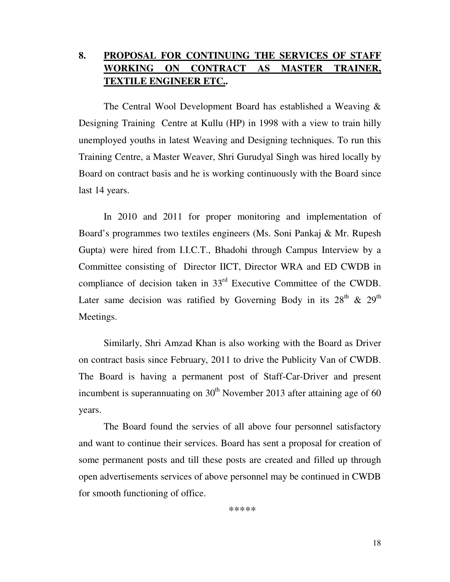## **8. PROPOSAL FOR CONTINUING THE SERVICES OF STAFF WORKING ON CONTRACT AS MASTER TRAINER, TEXTILE ENGINEER ETC..**

 The Central Wool Development Board has established a Weaving & Designing Training Centre at Kullu (HP) in 1998 with a view to train hilly unemployed youths in latest Weaving and Designing techniques. To run this Training Centre, a Master Weaver, Shri Gurudyal Singh was hired locally by Board on contract basis and he is working continuously with the Board since last 14 years.

 In 2010 and 2011 for proper monitoring and implementation of Board's programmes two textiles engineers (Ms. Soni Pankaj & Mr. Rupesh Gupta) were hired from I.I.C.T., Bhadohi through Campus Interview by a Committee consisting of Director IICT, Director WRA and ED CWDB in compliance of decision taken in 33rd Executive Committee of the CWDB. Later same decision was ratified by Governing Body in its  $28<sup>th</sup>$  &  $29<sup>th</sup>$ Meetings.

 Similarly, Shri Amzad Khan is also working with the Board as Driver on contract basis since February, 2011 to drive the Publicity Van of CWDB. The Board is having a permanent post of Staff-Car-Driver and present incumbent is superannuating on  $30<sup>th</sup>$  November 2013 after attaining age of 60 years.

 The Board found the servies of all above four personnel satisfactory and want to continue their services. Board has sent a proposal for creation of some permanent posts and till these posts are created and filled up through open advertisements services of above personnel may be continued in CWDB for smooth functioning of office.

\*\*\*\*\*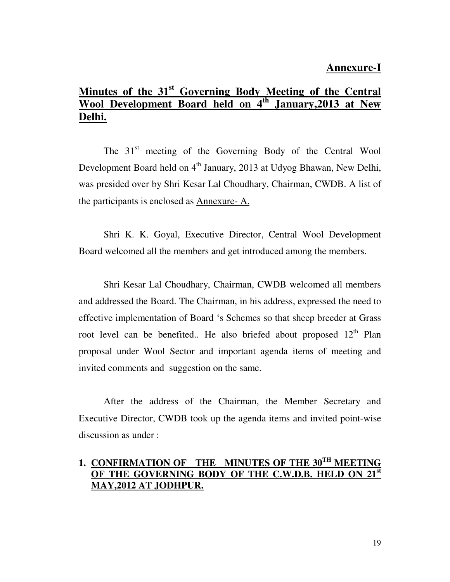## **Annexure-I**

## **Minutes of the 31<sup>st</sup> Governing Body Meeting of the Central Wool Development Board held on 4<sup>th</sup> January, 2013 at New Wool Development Board held on Delhi.**

The  $31<sup>st</sup>$  meeting of the Governing Body of the Central Wool Development Board held on  $4<sup>th</sup>$  January, 2013 at Udyog Bhawan, New Delhi, was presided over by Shri Kesar Lal Choudhary, Chairman, CWDB. A list of the participants is enclosed as Annexure- A.

 Shri K. K. Goyal, Executive Director, Central Wool Development Board welcomed all the members and get introduced among the members.

 Shri Kesar Lal Choudhary, Chairman, CWDB welcomed all members and addressed the Board. The Chairman, in his address, expressed the need to effective implementation of Board 's Schemes so that sheep breeder at Grass root level can be benefited.. He also briefed about proposed  $12<sup>th</sup>$  Plan proposal under Wool Sector and important agenda items of meeting and invited comments and suggestion on the same.

 After the address of the Chairman, the Member Secretary and Executive Director, CWDB took up the agenda items and invited point-wise discussion as under :

## **1. CONFIRMATION OF THE MINUTES OF THE 30TH MEETING**  OF THE GOVERNING BODY OF THE C.W.D.B. HELD ON **MAY,2012 AT JODHPUR.**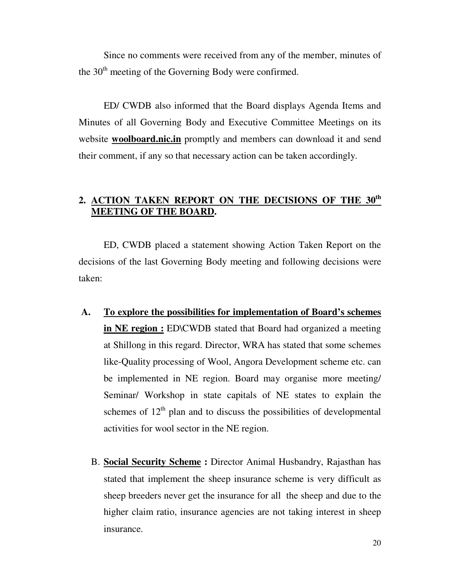Since no comments were received from any of the member, minutes of the  $30<sup>th</sup>$  meeting of the Governing Body were confirmed.

 ED/ CWDB also informed that the Board displays Agenda Items and Minutes of all Governing Body and Executive Committee Meetings on its website **woolboard.nic.in** promptly and members can download it and send their comment, if any so that necessary action can be taken accordingly.

## **2. ACTION TAKEN REPORT ON THE DECISIONS OF THE 30th MEETING OF THE BOARD.**

 ED, CWDB placed a statement showing Action Taken Report on the decisions of the last Governing Body meeting and following decisions were taken:

- **A. To explore the possibilities for implementation of Board's schemes in NE region :** ED\CWDB stated that Board had organized a meeting at Shillong in this regard. Director, WRA has stated that some schemes like-Quality processing of Wool, Angora Development scheme etc. can be implemented in NE region. Board may organise more meeting/ Seminar/ Workshop in state capitals of NE states to explain the schemes of  $12<sup>th</sup>$  plan and to discuss the possibilities of developmental activities for wool sector in the NE region.
	- B. **Social Security Scheme :** Director Animal Husbandry, Rajasthan has stated that implement the sheep insurance scheme is very difficult as sheep breeders never get the insurance for all the sheep and due to the higher claim ratio, insurance agencies are not taking interest in sheep insurance.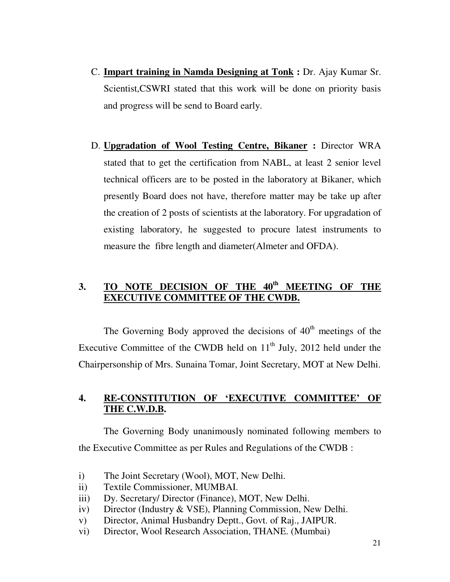- C. **Impart training in Namda Designing at Tonk :** Dr. Ajay Kumar Sr. Scientist,CSWRI stated that this work will be done on priority basis and progress will be send to Board early.
- D. **Upgradation of Wool Testing Centre, Bikaner :** Director WRA stated that to get the certification from NABL, at least 2 senior level technical officers are to be posted in the laboratory at Bikaner, which presently Board does not have, therefore matter may be take up after the creation of 2 posts of scientists at the laboratory. For upgradation of existing laboratory, he suggested to procure latest instruments to measure the fibre length and diameter(Almeter and OFDA).

## **3. TO NOTE DECISION OF THE 40th MEETING OF THE EXECUTIVE COMMITTEE OF THE CWDB.**

The Governing Body approved the decisions of  $40<sup>th</sup>$  meetings of the Executive Committee of the CWDB held on  $11<sup>th</sup>$  July, 2012 held under the Chairpersonship of Mrs. Sunaina Tomar, Joint Secretary, MOT at New Delhi.

## **4. RE-CONSTITUTION OF 'EXECUTIVE COMMITTEE' OF THE C.W.D.B.**

 The Governing Body unanimously nominated following members to the Executive Committee as per Rules and Regulations of the CWDB :

- i) The Joint Secretary (Wool), MOT, New Delhi.
- ii) Textile Commissioner, MUMBAI.
- iii) Dy. Secretary/ Director (Finance), MOT, New Delhi.
- iv) Director (Industry & VSE), Planning Commission, New Delhi.
- v) Director, Animal Husbandry Deptt., Govt. of Raj., JAIPUR.
- vi) Director, Wool Research Association, THANE. (Mumbai)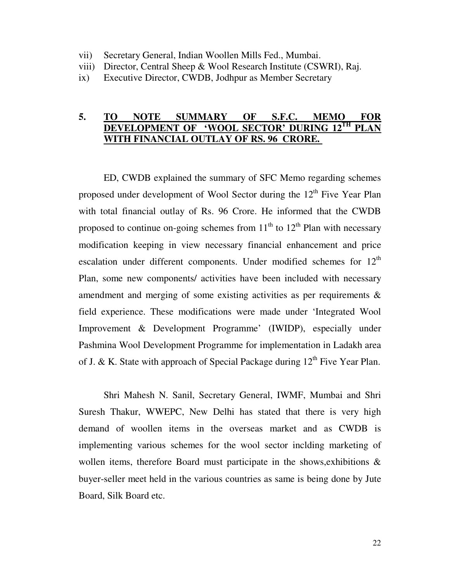- vii) Secretary General, Indian Woollen Mills Fed., Mumbai.
- viii) Director, Central Sheep & Wool Research Institute (CSWRI), Raj.
- ix) Executive Director, CWDB, Jodhpur as Member Secretary

#### **5. TO NOTE SUMMARY OF S.F.C. MEMO FOR DEVELOPMENT OF 'WOOL SECTOR' DURING 12TH PLAN WITH FINANCIAL OUTLAY OF RS. 96 CRORE.**

 ED, CWDB explained the summary of SFC Memo regarding schemes proposed under development of Wool Sector during the  $12<sup>th</sup>$  Five Year Plan with total financial outlay of Rs. 96 Crore. He informed that the CWDB proposed to continue on-going schemes from  $11<sup>th</sup>$  to  $12<sup>th</sup>$  Plan with necessary modification keeping in view necessary financial enhancement and price escalation under different components. Under modified schemes for  $12<sup>th</sup>$ Plan, some new components/ activities have been included with necessary amendment and merging of some existing activities as per requirements & field experience. These modifications were made under 'Integrated Wool Improvement & Development Programme' (IWIDP), especially under Pashmina Wool Development Programme for implementation in Ladakh area of J. & K. State with approach of Special Package during  $12<sup>th</sup>$  Five Year Plan.

Shri Mahesh N. Sanil, Secretary General, IWMF, Mumbai and Shri Suresh Thakur, WWEPC, New Delhi has stated that there is very high demand of woollen items in the overseas market and as CWDB is implementing various schemes for the wool sector inclding marketing of wollen items, therefore Board must participate in the shows,exhibitions & buyer-seller meet held in the various countries as same is being done by Jute Board, Silk Board etc.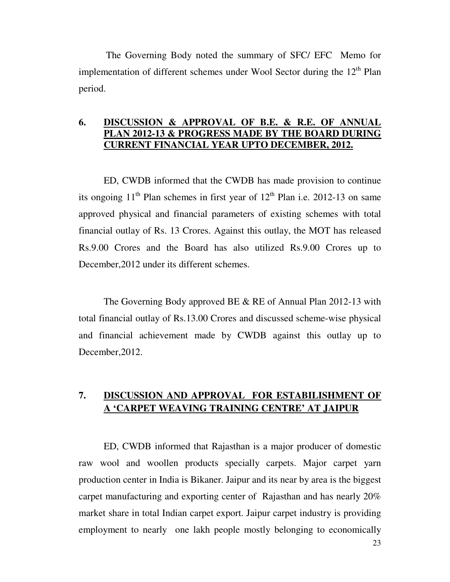The Governing Body noted the summary of SFC/ EFC Memo for implementation of different schemes under Wool Sector during the  $12<sup>th</sup>$  Plan period.

#### **6. DISCUSSION & APPROVAL OF B.E. & R.E. OF ANNUAL PLAN 2012-13 & PROGRESS MADE BY THE BOARD DURING CURRENT FINANCIAL YEAR UPTO DECEMBER, 2012.**

 ED, CWDB informed that the CWDB has made provision to continue its ongoing  $11<sup>th</sup>$  Plan schemes in first year of  $12<sup>th</sup>$  Plan i.e. 2012-13 on same approved physical and financial parameters of existing schemes with total financial outlay of Rs. 13 Crores. Against this outlay, the MOT has released Rs.9.00 Crores and the Board has also utilized Rs.9.00 Crores up to December,2012 under its different schemes.

The Governing Body approved BE & RE of Annual Plan 2012-13 with total financial outlay of Rs.13.00 Crores and discussed scheme-wise physical and financial achievement made by CWDB against this outlay up to December,2012.

## **7. DISCUSSION AND APPROVAL FOR ESTABILISHMENT OF A 'CARPET WEAVING TRAINING CENTRE' AT JAIPUR**

ED, CWDB informed that Rajasthan is a major producer of domestic raw wool and woollen products specially carpets. Major carpet yarn production center in India is Bikaner. Jaipur and its near by area is the biggest carpet manufacturing and exporting center of Rajasthan and has nearly 20% market share in total Indian carpet export. Jaipur carpet industry is providing employment to nearly one lakh people mostly belonging to economically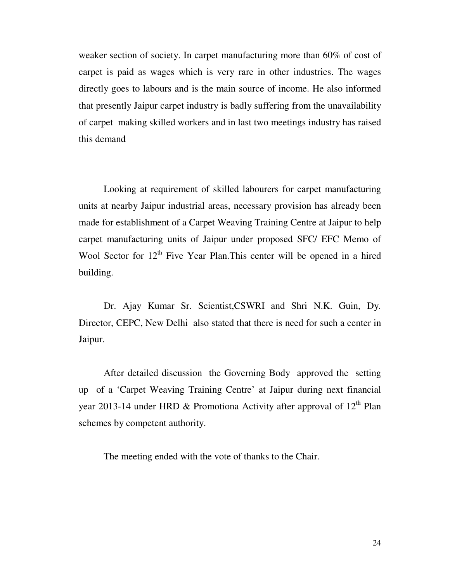weaker section of society. In carpet manufacturing more than 60% of cost of carpet is paid as wages which is very rare in other industries. The wages directly goes to labours and is the main source of income. He also informed that presently Jaipur carpet industry is badly suffering from the unavailability of carpet making skilled workers and in last two meetings industry has raised this demand

Looking at requirement of skilled labourers for carpet manufacturing units at nearby Jaipur industrial areas, necessary provision has already been made for establishment of a Carpet Weaving Training Centre at Jaipur to help carpet manufacturing units of Jaipur under proposed SFC/ EFC Memo of Wool Sector for  $12<sup>th</sup>$  Five Year Plan. This center will be opened in a hired building.

Dr. Ajay Kumar Sr. Scientist,CSWRI and Shri N.K. Guin, Dy. Director, CEPC, New Delhi also stated that there is need for such a center in Jaipur.

After detailed discussion the Governing Body approved the setting up of a 'Carpet Weaving Training Centre' at Jaipur during next financial year 2013-14 under HRD & Promotiona Activity after approval of  $12<sup>th</sup>$  Plan schemes by competent authority.

The meeting ended with the vote of thanks to the Chair.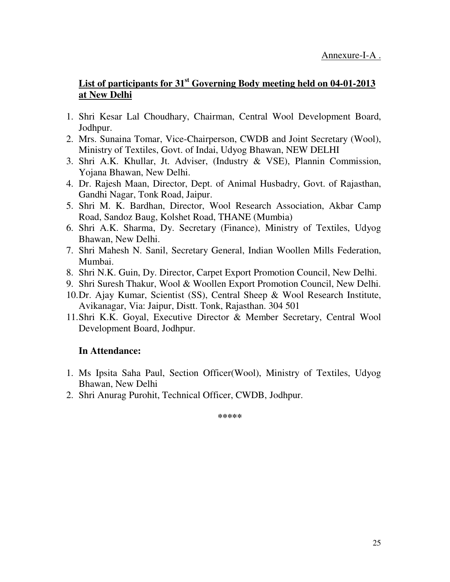## **List of participants for 31st Governing Body meeting held on 04-01-2013 at New Delhi**

- 1. Shri Kesar Lal Choudhary, Chairman, Central Wool Development Board, Jodhpur.
- 2. Mrs. Sunaina Tomar, Vice-Chairperson, CWDB and Joint Secretary (Wool), Ministry of Textiles, Govt. of Indai, Udyog Bhawan, NEW DELHI
- 3. Shri A.K. Khullar, Jt. Adviser, (Industry & VSE), Plannin Commission, Yojana Bhawan, New Delhi.
- 4. Dr. Rajesh Maan, Director, Dept. of Animal Husbadry, Govt. of Rajasthan, Gandhi Nagar, Tonk Road, Jaipur.
- 5. Shri M. K. Bardhan, Director, Wool Research Association, Akbar Camp Road, Sandoz Baug, Kolshet Road, THANE (Mumbia)
- 6. Shri A.K. Sharma, Dy. Secretary (Finance), Ministry of Textiles, Udyog Bhawan, New Delhi.
- 7. Shri Mahesh N. Sanil, Secretary General, Indian Woollen Mills Federation, Mumbai.
- 8. Shri N.K. Guin, Dy. Director, Carpet Export Promotion Council, New Delhi.
- 9. Shri Suresh Thakur, Wool & Woollen Export Promotion Council, New Delhi.
- 10.Dr. Ajay Kumar, Scientist (SS), Central Sheep & Wool Research Institute, Avikanagar, Via: Jaipur, Distt. Tonk, Rajasthan. 304 501
- 11.Shri K.K. Goyal, Executive Director & Member Secretary, Central Wool Development Board, Jodhpur.

## **In Attendance:**

- 1. Ms Ipsita Saha Paul, Section Officer(Wool), Ministry of Textiles, Udyog Bhawan, New Delhi
- 2. Shri Anurag Purohit, Technical Officer, CWDB, Jodhpur.

**\*\*\*\*\***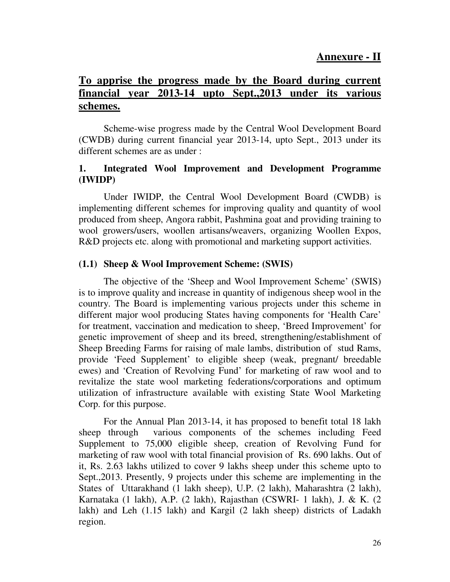## **Annexure - II**

## **To apprise the progress made by the Board during current financial year 2013-14 upto Sept.,2013 under its various schemes.**

 Scheme-wise progress made by the Central Wool Development Board (CWDB) during current financial year 2013-14, upto Sept., 2013 under its different schemes are as under :

#### **1. Integrated Wool Improvement and Development Programme (IWIDP)**

Under IWIDP, the Central Wool Development Board (CWDB) is implementing different schemes for improving quality and quantity of wool produced from sheep, Angora rabbit, Pashmina goat and providing training to wool growers/users, woollen artisans/weavers, organizing Woollen Expos, R&D projects etc. along with promotional and marketing support activities.

#### **(1.1) Sheep & Wool Improvement Scheme: (SWIS)**  Ĭ

 The objective of the 'Sheep and Wool Improvement Scheme' (SWIS) is to improve quality and increase in quantity of indigenous sheep wool in the country. The Board is implementing various projects under this scheme in different major wool producing States having components for 'Health Care' for treatment, vaccination and medication to sheep, 'Breed Improvement' for genetic improvement of sheep and its breed, strengthening/establishment of Sheep Breeding Farms for raising of male lambs, distribution of stud Rams, provide 'Feed Supplement' to eligible sheep (weak, pregnant/ breedable ewes) and 'Creation of Revolving Fund' for marketing of raw wool and to revitalize the state wool marketing federations/corporations and optimum utilization of infrastructure available with existing State Wool Marketing Corp. for this purpose.

 For the Annual Plan 2013-14, it has proposed to benefit total 18 lakh sheep through various components of the schemes including Feed Supplement to 75,000 eligible sheep, creation of Revolving Fund for marketing of raw wool with total financial provision of Rs. 690 lakhs. Out of it, Rs. 2.63 lakhs utilized to cover 9 lakhs sheep under this scheme upto to Sept.,2013. Presently, 9 projects under this scheme are implementing in the States of Uttarakhand (1 lakh sheep), U.P. (2 lakh), Maharashtra (2 lakh), Karnataka (1 lakh), A.P. (2 lakh), Rajasthan (CSWRI- 1 lakh), J. & K. (2 lakh) and Leh (1.15 lakh) and Kargil (2 lakh sheep) districts of Ladakh region.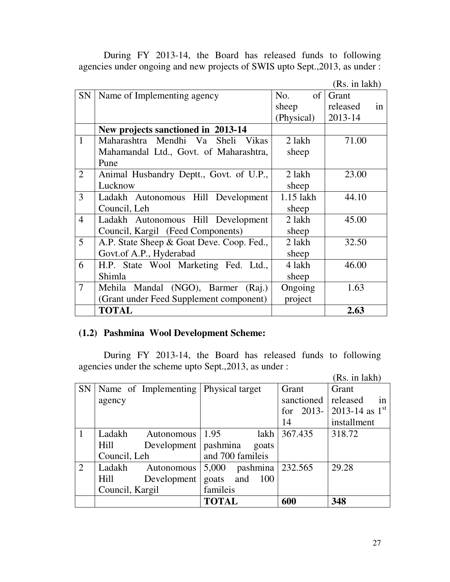During FY 2013-14, the Board has released funds to following agencies under ongoing and new projects of SWIS upto Sept.,2013, as under :

| (Rs. in lakh) |
|---------------|
|---------------|

| SN             | Name of Implementing agency               | of<br>No.   | Grant          |
|----------------|-------------------------------------------|-------------|----------------|
|                |                                           | sheep       | released<br>in |
|                |                                           | (Physical)  | 2013-14        |
|                | New projects sanctioned in 2013-14        |             |                |
| $\mathbf{1}$   | Maharashtra Mendhi Va Sheli Vikas         | 2 lakh      | 71.00          |
|                | Mahamandal Ltd., Govt. of Maharashtra,    | sheep       |                |
|                | Pune                                      |             |                |
| 2              | Animal Husbandry Deptt., Govt. of U.P.,   | 2 lakh      | 23.00          |
|                | Lucknow                                   | sheep       |                |
| 3              | Ladakh Autonomous Hill Development        | $1.15$ lakh | 44.10          |
|                | Council, Leh                              | sheep       |                |
| $\overline{4}$ | Ladakh Autonomous Hill Development        | 2 lakh      | 45.00          |
|                | Council, Kargil (Feed Components)         | sheep       |                |
| 5              | A.P. State Sheep & Goat Deve. Coop. Fed., | 2 lakh      | 32.50          |
|                | Govt.of A.P., Hyderabad                   | sheep       |                |
| 6              | H.P. State Wool Marketing Fed. Ltd.,      | 4 lakh      | 46.00          |
|                | Shimla                                    | sheep       |                |
| $\overline{7}$ | Mehila Mandal (NGO), Barmer (Raj.)        | Ongoing     | 1.63           |
|                | (Grant under Feed Supplement component)   | project     |                |
|                | <b>TOTAL</b>                              |             | 2.63           |

## **(1.2) Pashmina Wool Development Scheme:**

 During FY 2013-14, the Board has released funds to following agencies under the scheme upto Sept.,2013, as under :

(Rs. in lakh)

|           |                                        |                             |            | (10.1)                             |
|-----------|----------------------------------------|-----------------------------|------------|------------------------------------|
| <b>SN</b> | Name of Implementing   Physical target |                             | Grant      | Grant                              |
|           | agency                                 |                             | sanctioned | released<br>1n                     |
|           |                                        |                             | for        | 2013-   2013-14 as $1^{\text{st}}$ |
|           |                                        |                             | 14         | installment                        |
|           | Ladakh<br>Autonomous                   | 1.95<br>lakh                | 367.435    | 318.72                             |
|           | Hill<br>Development                    | pashmina<br>goats           |            |                                    |
|           | Council, Leh                           | and 700 famileis            |            |                                    |
| 2         | Ladakh<br>Autonomous                   | pashmina   232.565<br>5,000 |            | 29.28                              |
|           | Hill<br>Development                    | 100<br>goats and            |            |                                    |
|           | Council, Kargil                        | famileis                    |            |                                    |
|           |                                        | <b>TOTAL</b>                | 600        | 348                                |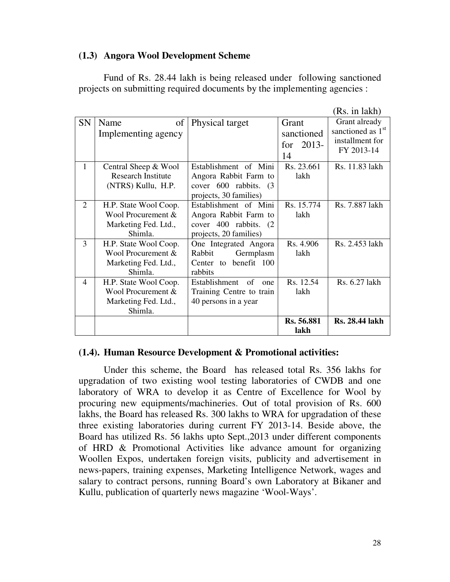#### **(1.3) Angora Wool Development Scheme**

 Fund of Rs. 28.44 lakh is being released under following sanctioned projects on submitting required documents by the implementing agencies :

|           |                           |                            |                | RS. In Jakh)                  |
|-----------|---------------------------|----------------------------|----------------|-------------------------------|
| <b>SN</b> | Name<br>of                | Physical target            | Grant          | Grant already                 |
|           | Implementing agency       |                            | sanctioned     | sanctioned as 1 <sup>st</sup> |
|           |                           |                            | $2013-$<br>for | installment for               |
|           |                           |                            | 14             | FY 2013-14                    |
| 1         | Central Sheep & Wool      | Establishment of Mini      | Rs. 23.661     | Rs. 11.83 lakh                |
|           | <b>Research Institute</b> | Angora Rabbit Farm to      | lakh           |                               |
|           | (NTRS) Kullu, H.P.        | cover 600 rabbits. (3)     |                |                               |
|           |                           | projects, 30 families)     |                |                               |
| 2         | H.P. State Wool Coop.     | Establishment of Mini      | Rs. 15.774     | Rs. 7.887 lakh                |
|           | Wool Procurement &        | Angora Rabbit Farm to      | lakh           |                               |
|           | Marketing Fed. Ltd.,      | cover 400 rabbits. (2)     |                |                               |
|           | Shimla.                   | projects, 20 families)     |                |                               |
| 3         | H.P. State Wool Coop.     | One Integrated Angora      | Rs. 4.906      | Rs. 2.453 lakh                |
|           | Wool Procurement &        | Rabbit<br>Germplasm        | lakh           |                               |
|           | Marketing Fed. Ltd.,      | Center to benefit 100      |                |                               |
|           | Shimla.                   | rabbits                    |                |                               |
| 4         | H.P. State Wool Coop.     | Establishment<br>of<br>one | Rs. 12.54      | Rs. 6.27 lakh                 |
|           | Wool Procurement &        | Training Centre to train   | lakh           |                               |
|           | Marketing Fed. Ltd.,      | 40 persons in a year       |                |                               |
|           | Shimla.                   |                            |                |                               |
|           |                           |                            | Rs. 56.881     | <b>Rs. 28.44 lakh</b>         |
|           |                           |                            | lakh           |                               |

#### **(1.4). Human Resource Development & Promotional activities:**

 Under this scheme, the Board has released total Rs. 356 lakhs for upgradation of two existing wool testing laboratories of CWDB and one laboratory of WRA to develop it as Centre of Excellence for Wool by procuring new equipments/machineries. Out of total provision of Rs. 600 lakhs, the Board has released Rs. 300 lakhs to WRA for upgradation of these three existing laboratories during current FY 2013-14. Beside above, the Board has utilized Rs. 56 lakhs upto Sept.,2013 under different components of HRD & Promotional Activities like advance amount for organizing Woollen Expos, undertaken foreign visits, publicity and advertisement in news-papers, training expenses, Marketing Intelligence Network, wages and salary to contract persons, running Board's own Laboratory at Bikaner and Kullu, publication of quarterly news magazine 'Wool-Ways'.

 $\mathbf{r}$  in a large set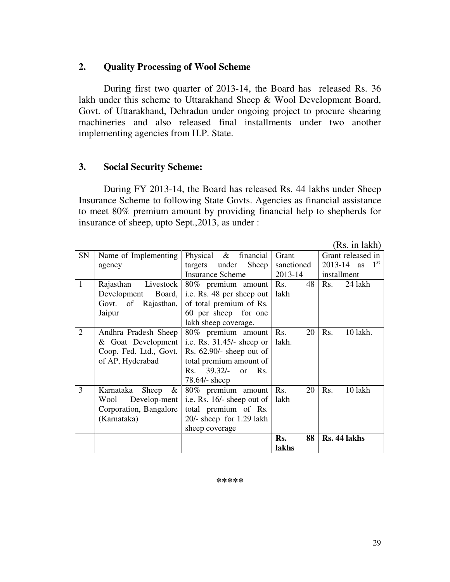## **2. Quality Processing of Wool Scheme**

 During first two quarter of 2013-14, the Board has released Rs. 36 lakh under this scheme to Uttarakhand Sheep & Wool Development Board, Govt. of Uttarakhand, Dehradun under ongoing project to procure shearing machineries and also released final installments under two another implementing agencies from H.P. State.

## **3. Social Security Scheme:**

 During FY 2013-14, the Board has released Rs. 44 lakhs under Sheep Insurance Scheme to following State Govts. Agencies as financial assistance to meet 80% premium amount by providing financial help to shepherds for insurance of sheep, upto Sept.,2013, as under :

(Rs. in lakh)

| <b>SN</b>      | Name of Implementing    | Physical $\&$ financial      | Grant      | Grant released in              |  |
|----------------|-------------------------|------------------------------|------------|--------------------------------|--|
|                | agency                  | under Sheep<br>targets       | sanctioned | $1^{\rm st}$<br>$2013 - 14$ as |  |
|                |                         | <b>Insurance Scheme</b>      | 2013-14    | installment                    |  |
| 1              | Rajasthan<br>Livestock  | 80% premium amount           | Rs.<br>48  | 24 lakh<br>Rs.                 |  |
|                | Development<br>Board,   | i.e. Rs. 48 per sheep out    | lakh       |                                |  |
|                | Govt. of Rajasthan,     | of total premium of Rs.      |            |                                |  |
|                | Jaipur                  | 60 per sheep for one         |            |                                |  |
|                |                         | lakh sheep coverage.         |            |                                |  |
| $\overline{2}$ | Andhra Pradesh Sheep    | 80% premium amount Rs.       | 20         | Rs.<br>10 lakh.                |  |
|                | & Goat Development      | i.e. Rs. $31.45/-$ sheep or  | lakh.      |                                |  |
|                | Coop. Fed. Ltd., Govt.  | Rs. $62.90/-$ sheep out of   |            |                                |  |
|                | of AP, Hyderabad        | total premium amount of      |            |                                |  |
|                |                         | $39.32/-$ or<br>Rs.<br>Rs.   |            |                                |  |
|                |                         | 78.64/- sheep                |            |                                |  |
| 3              | Karnataka<br>Sheep<br>& | 80% premium amount           | Rs.<br>20  | Rs.<br>10 lakh                 |  |
|                | Wool<br>Develop-ment    | i.e. Rs. $16/-$ sheep out of | lakh       |                                |  |
|                | Corporation, Bangalore  | total premium of Rs.         |            |                                |  |
|                | (Karnataka)             | $20/-$ sheep for 1.29 lakh   |            |                                |  |
|                |                         | sheep coverage               |            |                                |  |
|                |                         |                              | 88<br>Rs.  | Rs. 44 lakhs                   |  |
|                |                         |                              | lakhs      |                                |  |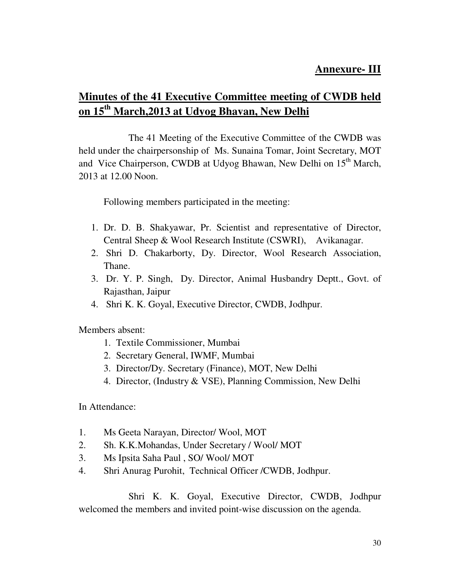## **Annexure- III**

## **Minutes of the 41 Executive Committee meeting of CWDB held on 15th March,2013 at Udyog Bhavan, New Delhi**

 The 41 Meeting of the Executive Committee of the CWDB was held under the chairpersonship of Ms. Sunaina Tomar, Joint Secretary, MOT and Vice Chairperson, CWDB at Udyog Bhawan, New Delhi on 15<sup>th</sup> March, 2013 at 12.00 Noon.

Following members participated in the meeting:

- 1. Dr. D. B. Shakyawar, Pr. Scientist and representative of Director, Central Sheep & Wool Research Institute (CSWRI), Avikanagar.
- 2. Shri D. Chakarborty, Dy. Director, Wool Research Association, Thane.
- 3. Dr. Y. P. Singh, Dy. Director, Animal Husbandry Deptt., Govt. of Rajasthan, Jaipur
- 4. Shri K. K. Goyal, Executive Director, CWDB, Jodhpur.

Members absent:

- 1. Textile Commissioner, Mumbai
- 2. Secretary General, IWMF, Mumbai
- 3. Director/Dy. Secretary (Finance), MOT, New Delhi
- 4. Director, (Industry & VSE), Planning Commission, New Delhi

In Attendance:

- 1. Ms Geeta Narayan, Director/ Wool, MOT
- 2. Sh. K.K.Mohandas, Under Secretary / Wool/ MOT
- 3. Ms Ipsita Saha Paul , SO/ Wool/ MOT
- 4. Shri Anurag Purohit, Technical Officer /CWDB, Jodhpur.

 Shri K. K. Goyal, Executive Director, CWDB, Jodhpur welcomed the members and invited point-wise discussion on the agenda.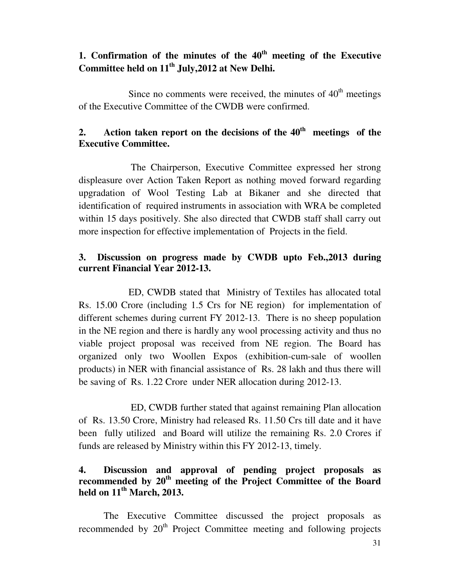## **1. Confirmation of the minutes of the 40th meeting of the Executive Committee held on 11th July,2012 at New Delhi.**

Since no comments were received, the minutes of  $40<sup>th</sup>$  meetings of the Executive Committee of the CWDB were confirmed.

## **2. Action taken report on the decisions of the 40th meetings of the Executive Committee.**

 The Chairperson, Executive Committee expressed her strong displeasure over Action Taken Report as nothing moved forward regarding upgradation of Wool Testing Lab at Bikaner and she directed that identification of required instruments in association with WRA be completed within 15 days positively. She also directed that CWDB staff shall carry out more inspection for effective implementation of Projects in the field.

## **3. Discussion on progress made by CWDB upto Feb.,2013 during current Financial Year 2012-13.**

 ED, CWDB stated that Ministry of Textiles has allocated total Rs. 15.00 Crore (including 1.5 Crs for NE region) for implementation of different schemes during current FY 2012-13. There is no sheep population in the NE region and there is hardly any wool processing activity and thus no viable project proposal was received from NE region. The Board has organized only two Woollen Expos (exhibition-cum-sale of woollen products) in NER with financial assistance of Rs. 28 lakh and thus there will be saving of Rs. 1.22 Crore under NER allocation during 2012-13.

 ED, CWDB further stated that against remaining Plan allocation of Rs. 13.50 Crore, Ministry had released Rs. 11.50 Crs till date and it have been fully utilized and Board will utilize the remaining Rs. 2.0 Crores if funds are released by Ministry within this FY 2012-13, timely.

## **4. Discussion and approval of pending project proposals as recommended by 20th meeting of the Project Committee of the Board held on 11th March, 2013.**

 The Executive Committee discussed the project proposals as recommended by  $20<sup>th</sup>$  Project Committee meeting and following projects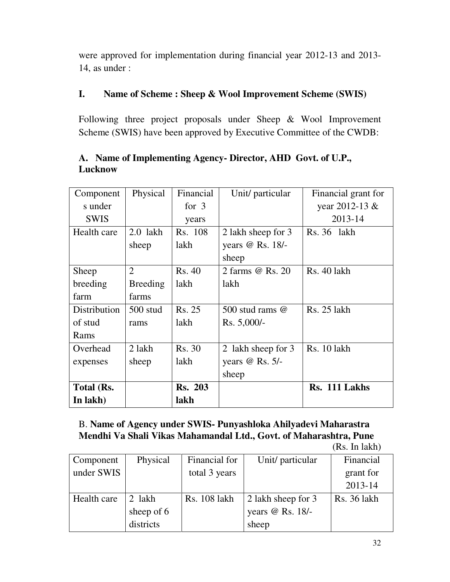were approved for implementation during financial year 2012-13 and 2013- 14, as under :

## **I. Name of Scheme : Sheep & Wool Improvement Scheme (SWIS)**

Following three project proposals under Sheep & Wool Improvement Scheme (SWIS) have been approved by Executive Committee of the CWDB:

| Component    | Physical        | Financial      | Unit/ particular       | Financial grant for |
|--------------|-----------------|----------------|------------------------|---------------------|
| s under      |                 | for $3$        |                        | year 2012-13 &      |
| <b>SWIS</b>  |                 | years          |                        | 2013-14             |
| Health care  | $2.0$ lakh      | Rs. 108        | 2 lakh sheep for 3     | Rs. 36 lakh         |
|              | sheep           | lakh           | years @ Rs. 18/-       |                     |
|              |                 |                | sheep                  |                     |
| Sheep        | $\overline{2}$  | Rs. 40         | 2 farms @ Rs. 20       | Rs. 40 lakh         |
| breeding     | <b>Breeding</b> | lakh           | lakh                   |                     |
| farm         | farms           |                |                        |                     |
| Distribution | $500$ stud      | Rs. 25         | 500 stud rams $\omega$ | Rs. 25 lakh         |
| of stud      | rams            | lakh           | $Rs. 5,000/-$          |                     |
| Rams         |                 |                |                        |                     |
| Overhead     | 2 lakh          | <b>Rs. 30</b>  | 2 lakh sheep for 3     | Rs. 10 lakh         |
| expenses     | sheep           | lakh           | years $@$ Rs. 5/-      |                     |
|              |                 |                | sheep                  |                     |
| Total (Rs.   |                 | <b>Rs. 203</b> |                        | Rs. 111 Lakhs       |
| In lakh)     |                 | lakh           |                        |                     |

## **A. Name of Implementing Agency- Director, AHD Govt. of U.P., Lucknow**

B. **Name of Agency under SWIS- Punyashloka Ahilyadevi Maharastra Mendhi Va Shali Vikas Mahamandal Ltd., Govt. of Maharashtra, Pune** 

(Rs. In lakh)

| Component   | Physical   | Financial for       | Unit/ particular   | Financial   |
|-------------|------------|---------------------|--------------------|-------------|
| under SWIS  |            | total 3 years       |                    | grant for   |
|             |            |                     |                    | 2013-14     |
| Health care | 2 lakh     | <b>Rs.</b> 108 lakh | 2 lakh sheep for 3 | Rs. 36 lakh |
|             | sheep of 6 |                     | years @ Rs. 18/-   |             |
|             | districts  |                     | sheep              |             |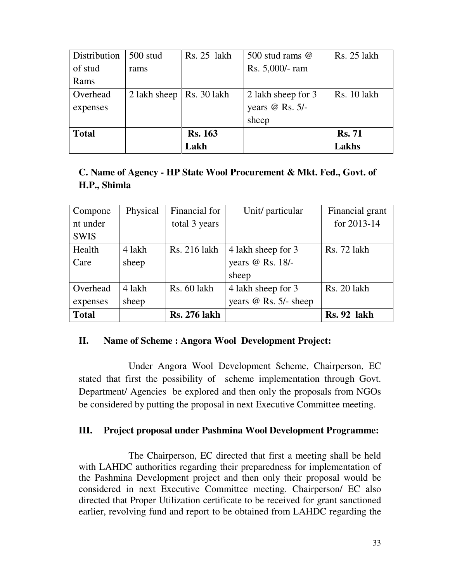| Distribution | $500$ stud   | Rs. 25 lakh    | 500 stud rams $\omega$ | Rs. 25 lakh        |
|--------------|--------------|----------------|------------------------|--------------------|
| of stud      | rams         |                | Rs. 5,000/- ram        |                    |
| Rams         |              |                |                        |                    |
| Overhead     | 2 lakh sheep | Rs. 30 lakh    | 2 lakh sheep for 3     | <b>Rs.</b> 10 lakh |
| expenses     |              |                | years $@$ Rs. 5/-      |                    |
|              |              |                | sheep                  |                    |
| <b>Total</b> |              | <b>Rs. 163</b> |                        | <b>Rs. 71</b>      |
|              |              | Lakh           |                        | Lakhs              |

## **C. Name of Agency - HP State Wool Procurement & Mkt. Fed., Govt. of H.P., Shimla**

| Compone      | Physical | Financial for       | Unit/ particular        | Financial grant    |
|--------------|----------|---------------------|-------------------------|--------------------|
| nt under     |          | total 3 years       |                         | for 2013-14        |
| <b>SWIS</b>  |          |                     |                         |                    |
| Health       | 4 lakh   | Rs. 216 lakh        | 4 lakh sheep for 3      | <b>Rs.</b> 72 lakh |
| Care         | sheep    |                     | years @ Rs. 18/-        |                    |
|              |          |                     | sheep                   |                    |
| Overhead     | 4 lakh   | Rs. 60 lakh         | 4 lakh sheep for 3      | <b>Rs. 20 lakh</b> |
| expenses     | sheep    |                     | years $@$ Rs. 5/- sheep |                    |
| <b>Total</b> |          | <b>Rs. 276 lakh</b> |                         | Rs. 92 lakh        |

## **II. Name of Scheme : Angora Wool Development Project:**

 Under Angora Wool Development Scheme, Chairperson, EC stated that first the possibility of scheme implementation through Govt. Department/ Agencies be explored and then only the proposals from NGOs be considered by putting the proposal in next Executive Committee meeting.

#### **III. Project proposal under Pashmina Wool Development Programme:**

 The Chairperson, EC directed that first a meeting shall be held with LAHDC authorities regarding their preparedness for implementation of the Pashmina Development project and then only their proposal would be considered in next Executive Committee meeting. Chairperson/ EC also directed that Proper Utilization certificate to be received for grant sanctioned earlier, revolving fund and report to be obtained from LAHDC regarding the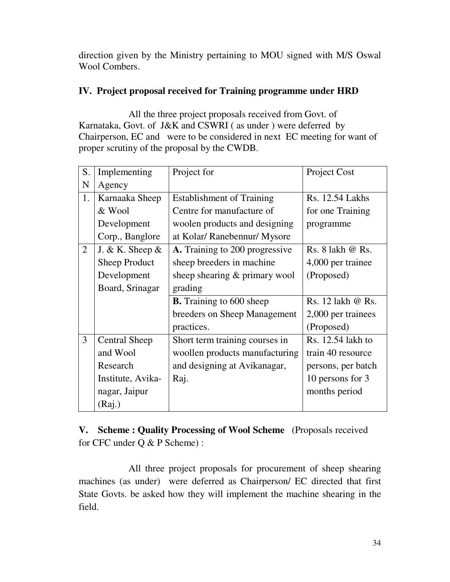direction given by the Ministry pertaining to MOU signed with M/S Oswal Wool Combers.

## **IV. Project proposal received for Training programme under HRD**

 All the three project proposals received from Govt. of Karnataka, Govt. of J&K and CSWRI ( as under ) were deferred by Chairperson, EC and were to be considered in next EC meeting for want of proper scrutiny of the proposal by the CWDB.

| S.             | Implementing         | Project for                      | Project Cost         |
|----------------|----------------------|----------------------------------|----------------------|
| N              | Agency               |                                  |                      |
| 1.             | Karnaaka Sheep       | <b>Establishment of Training</b> | Rs. 12.54 Lakhs      |
|                | & Wool               | Centre for manufacture of        | for one Training     |
|                | Development          | woolen products and designing    | programme            |
|                | Corp., Banglore      | at Kolar/ Ranebennur/ Mysore     |                      |
| $\overline{2}$ | J. & K. Sheep $\&$   | A. Training to 200 progressive   | Rs. $8$ lakh $@$ Rs. |
|                | <b>Sheep Product</b> | sheep breeders in machine        | 4,000 per trainee    |
|                | Development          | sheep shearing & primary wool    | (Proposed)           |
|                | Board, Srinagar      | grading                          |                      |
|                |                      | <b>B.</b> Training to 600 sheep  | Rs. 12 lakh @ Rs.    |
|                |                      | breeders on Sheep Management     | 2,000 per trainees   |
|                |                      | practices.                       | (Proposed)           |
| 3              | <b>Central Sheep</b> | Short term training courses in   | Rs. 12.54 lakh to    |
|                | and Wool             | woollen products manufacturing   | train 40 resource    |
|                | Research             | and designing at Avikanagar,     | persons, per batch   |
|                | Institute, Avika-    | Raj.                             | 10 persons for 3     |
|                | nagar, Jaipur        |                                  | months period        |
|                | (Raj.)               |                                  |                      |

**V. Scheme : Quality Processing of Wool Scheme** (Proposals received for CFC under Q & P Scheme) :

 All three project proposals for procurement of sheep shearing machines (as under) were deferred as Chairperson/ EC directed that first State Govts. be asked how they will implement the machine shearing in the field.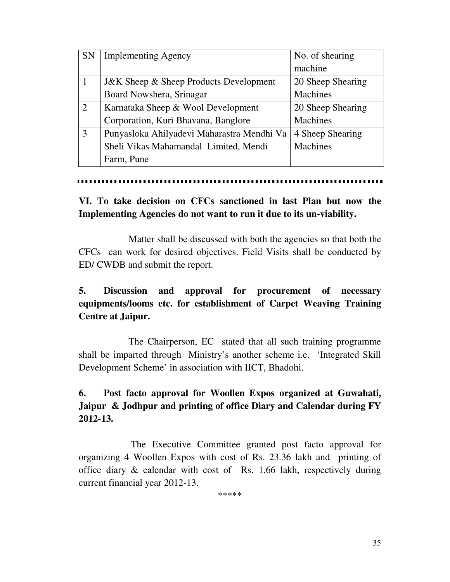| <b>SN</b> | <b>Implementing Agency</b>                        | No. of shearing   |
|-----------|---------------------------------------------------|-------------------|
|           |                                                   | machine           |
|           | <b>J&amp;K</b> Sheep & Sheep Products Development | 20 Sheep Shearing |
|           | Board Nowshera, Srinagar                          | Machines          |
| 2         | Karnataka Sheep & Wool Development                | 20 Sheep Shearing |
|           | Corporation, Kuri Bhavana, Banglore               | Machines          |
| 3         | Punyasloka Ahilyadevi Maharastra Mendhi Va        | 4 Sheep Shearing  |
|           | Sheli Vikas Mahamandal Limited, Mendi             | Machines          |
|           | Farm, Pune                                        |                   |

## **VI. To take decision on CFCs sanctioned in last Plan but now the Implementing Agencies do not want to run it due to its un-viability.**

 Matter shall be discussed with both the agencies so that both the CFCs can work for desired objectives. Field Visits shall be conducted by ED/ CWDB and submit the report.

## **5. Discussion and approval for procurement of necessary equipments/looms etc. for establishment of Carpet Weaving Training Centre at Jaipur.**

 The Chairperson, EC stated that all such training programme shall be imparted through Ministry's another scheme i.e. 'Integrated Skill Development Scheme' in association with IICT, Bhadohi.

## **6. Post facto approval for Woollen Expos organized at Guwahati, Jaipur & Jodhpur and printing of office Diary and Calendar during FY 2012-13.**

The Executive Committee granted post facto approval for organizing 4 Woollen Expos with cost of Rs. 23.36 lakh and printing of office diary & calendar with cost of Rs. 1.66 lakh, respectively during current financial year 2012-13.

\*\*\*\*\*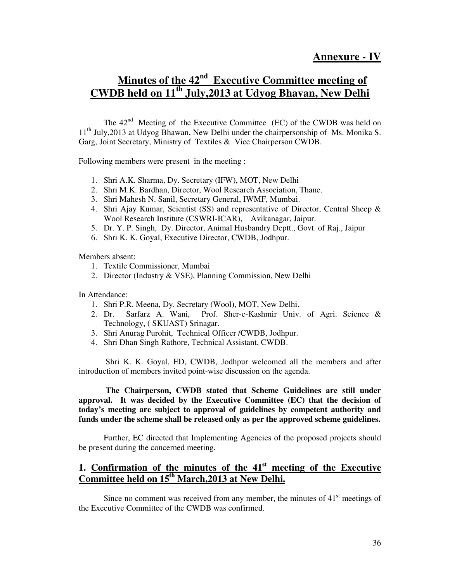## **Minutes of the 42nd Executive Committee meeting of CWDB held on 11th July,2013 at Udyog Bhavan, New Delhi**

The  $42<sup>nd</sup>$  Meeting of the Executive Committee (EC) of the CWDB was held on  $11<sup>th</sup>$  July, 2013 at Udyog Bhawan, New Delhi under the chairpersonship of Ms. Monika S. Garg, Joint Secretary, Ministry of Textiles & Vice Chairperson CWDB.

Following members were present in the meeting :

- 1. Shri A.K. Sharma, Dy. Secretary (IFW), MOT, New Delhi
- 2. Shri M.K. Bardhan, Director, Wool Research Association, Thane.
- 3. Shri Mahesh N. Sanil, Secretary General, IWMF, Mumbai.
- 4. Shri Ajay Kumar, Scientist (SS) and representative of Director, Central Sheep & Wool Research Institute (CSWRI-ICAR), Avikanagar, Jaipur.
- 5. Dr. Y. P. Singh, Dy. Director, Animal Husbandry Deptt., Govt. of Raj., Jaipur
- 6. Shri K. K. Goyal, Executive Director, CWDB, Jodhpur.

Members absent:

- 1. Textile Commissioner, Mumbai
- 2. Director (Industry & VSE), Planning Commission, New Delhi

In Attendance:

- 1. Shri P.R. Meena, Dy. Secretary (Wool), MOT, New Delhi.
- 2. Dr. Sarfarz A. Wani, Prof. Sher-e-Kashmir Univ. of Agri. Science & Technology, ( SKUAST) Srinagar.
- 3. Shri Anurag Purohit, Technical Officer /CWDB, Jodhpur.
- 4. Shri Dhan Singh Rathore, Technical Assistant, CWDB.

 Shri K. K. Goyal, ED, CWDB, Jodhpur welcomed all the members and after introduction of members invited point-wise discussion on the agenda.

 **The Chairperson, CWDB stated that Scheme Guidelines are still under approval. It was decided by the Executive Committee (EC) that the decision of today's meeting are subject to approval of guidelines by competent authority and funds under the scheme shall be released only as per the approved scheme guidelines.** 

Further, EC directed that Implementing Agencies of the proposed projects should be present during the concerned meeting.

## **1. Confirmation of the minutes of the 41st meeting of the Executive Committee held on 15th March,2013 at New Delhi.**

Since no comment was received from any member, the minutes of  $41<sup>st</sup>$  meetings of the Executive Committee of the CWDB was confirmed.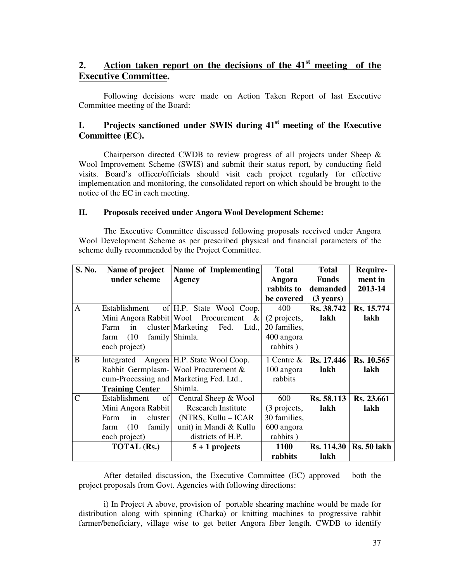## **2. Action taken report on the decisions of the 41st meeting of the Executive Committee.**

Following decisions were made on Action Taken Report of last Executive Committee meeting of the Board:

#### **I. Projects sanctioned under SWIS during 41st meeting of the Executive Committee (EC).**

Chairperson directed CWDB to review progress of all projects under Sheep  $\&$ Wool Improvement Scheme (SWIS) and submit their status report, by conducting field visits. Board's officer/officials should visit each project regularly for effective implementation and monitoring, the consolidated report on which should be brought to the notice of the EC in each meeting.

#### **II. Proposals received under Angora Wool Development Scheme:**

The Executive Committee discussed following proposals received under Angora Wool Development Scheme as per prescribed physical and financial parameters of the scheme dully recommended by the Project Committee.

| S. No.         | Name of project        | Name of Implementing                              | <b>Total</b>  | <b>Total</b>        | Require-    |
|----------------|------------------------|---------------------------------------------------|---------------|---------------------|-------------|
|                | under scheme           | <b>Agency</b>                                     | Angora        | <b>Funds</b>        | ment in     |
|                |                        |                                                   | rabbits to    | demanded            | 2013-14     |
|                |                        |                                                   | be covered    | $(3 \text{ years})$ |             |
| $\overline{A}$ | Establishment          | of H.P. State Wool Coop.                          | 400           | Rs. 38.742          | Rs. 15.774  |
|                |                        | Mini Angora Rabbit   Wool Procurement<br>$\alpha$ | (2 projects,  | lakh                | lakh        |
|                | Farm<br>in             | cluster Marketing Fed.<br>Ltd.,                   | 20 families,  |                     |             |
|                | (10)<br>farm           | family Shimla.                                    | 400 angora    |                     |             |
|                | each project)          |                                                   | rabbits)      |                     |             |
| B              |                        | Integrated Angora H.P. State Wool Coop.           | 1 Centre $\&$ | Rs. 17.446          | Rs. 10.565  |
|                |                        | Rabbit Germplasm- Wool Procurement &              | 100 angora    | lakh                | lakh        |
|                |                        | cum-Processing and Marketing Fed. Ltd.,           | rabbits       |                     |             |
|                | <b>Training Center</b> | Shimla.                                           |               |                     |             |
| $\mathbf C$    | of<br>Establishment    | Central Sheep & Wool                              | 600           | Rs. 58.113          | Rs. 23.661  |
|                | Mini Angora Rabbit     | <b>Research Institute</b>                         | (3 projects,  | lakh                | lakh        |
|                | in<br>Farm<br>cluster  | (NTRS, Kullu – ICAR                               | 30 families,  |                     |             |
|                | (10)<br>family<br>farm | unit) in Mandi & Kullu                            | 600 angora    |                     |             |
|                | each project)          | districts of H.P.                                 | rabbits)      |                     |             |
|                | <b>TOTAL (Rs.)</b>     | $5 + 1$ projects                                  | <b>1100</b>   | <b>Rs.</b> 114.30   | Rs. 50 lakh |
|                |                        |                                                   | rabbits       | lakh                |             |

After detailed discussion, the Executive Committee (EC) approved both the project proposals from Govt. Agencies with following directions:

i) In Project A above, provision of portable shearing machine would be made for distribution along with spinning (Charka) or knitting machines to progressive rabbit farmer/beneficiary, village wise to get better Angora fiber length. CWDB to identify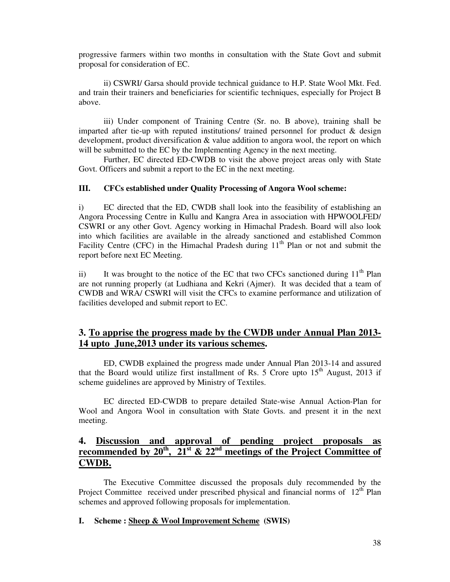progressive farmers within two months in consultation with the State Govt and submit proposal for consideration of EC.

ii) CSWRI/ Garsa should provide technical guidance to H.P. State Wool Mkt. Fed. and train their trainers and beneficiaries for scientific techniques, especially for Project B above.

iii) Under component of Training Centre (Sr. no. B above), training shall be imparted after tie-up with reputed institutions/ trained personnel for product  $\&$  design development, product diversification & value addition to angora wool, the report on which will be submitted to the EC by the Implementing Agency in the next meeting.

Further, EC directed ED-CWDB to visit the above project areas only with State Govt. Officers and submit a report to the EC in the next meeting.

#### **III. CFCs established under Quality Processing of Angora Wool scheme:**

i) EC directed that the ED, CWDB shall look into the feasibility of establishing an Angora Processing Centre in Kullu and Kangra Area in association with HPWOOLFED/ CSWRI or any other Govt. Agency working in Himachal Pradesh. Board will also look into which facilities are available in the already sanctioned and established Common Facility Centre (CFC) in the Himachal Pradesh during  $11<sup>th</sup>$  Plan or not and submit the report before next EC Meeting.

ii) It was brought to the notice of the EC that two CFCs sanctioned during  $11<sup>th</sup>$  Plan are not running properly (at Ludhiana and Kekri (Ajmer). It was decided that a team of CWDB and WRA/ CSWRI will visit the CFCs to examine performance and utilization of facilities developed and submit report to EC.

#### **3. To apprise the progress made by the CWDB under Annual Plan 2013- 14 upto June,2013 under its various schemes.**

ED, CWDB explained the progress made under Annual Plan 2013-14 and assured that the Board would utilize first installment of Rs. 5 Crore upto  $15<sup>th</sup>$  August, 2013 if scheme guidelines are approved by Ministry of Textiles.

EC directed ED-CWDB to prepare detailed State-wise Annual Action-Plan for Wool and Angora Wool in consultation with State Govts. and present it in the next meeting.

#### **4.** Discussion and approval of pending project proposals as recommended by  $20^{th}$ ,  $21^{st}$  &  $22^{nd}$  meetings of the Project Committee of **recommended by 20th, 21st & 22nd meetings of the Project Committee of CWDB.**

The Executive Committee discussed the proposals duly recommended by the Project Committee received under prescribed physical and financial norms of  $12<sup>th</sup>$  Plan schemes and approved following proposals for implementation.

#### **I. Scheme : Sheep & Wool Improvement Scheme (SWIS)**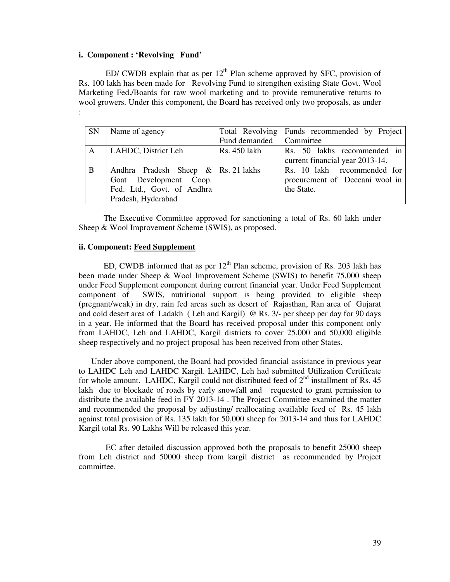#### **i. Component : 'Revolving Fund'**

ED/ CWDB explain that as per  $12<sup>th</sup>$  Plan scheme approved by SFC, provision of Rs. 100 lakh has been made for Revolving Fund to strengthen existing State Govt. Wool Marketing Fed./Boards for raw wool marketing and to provide remunerative returns to wool growers. Under this component, the Board has received only two proposals, as under :

| <b>SN</b>    | Name of agency                         |                           | Total Revolving Funds recommended by Project |
|--------------|----------------------------------------|---------------------------|----------------------------------------------|
|              |                                        | Fund demanded   Committee |                                              |
| $\mathsf{A}$ | LAHDC, District Leh                    | Rs. 450 lakh              | Rs. 50 lakhs recommended in                  |
|              |                                        |                           | current financial year 2013-14.              |
| B            | Andhra Pradesh Sheep $\&$ Rs. 21 lakhs |                           | Rs. 10 lakh recommended for                  |
|              | Goat Development Coop.                 |                           | procurement of Deccani wool in               |
|              | Fed. Ltd., Govt. of Andhra             |                           | the State.                                   |
|              | Pradesh, Hyderabad                     |                           |                                              |

The Executive Committee approved for sanctioning a total of Rs. 60 lakh under Sheep & Wool Improvement Scheme (SWIS), as proposed.

#### **ii. Component: Feed Supplement**

ED, CWDB informed that as per  $12<sup>th</sup>$  Plan scheme, provision of Rs. 203 lakh has been made under Sheep & Wool Improvement Scheme (SWIS) to benefit 75,000 sheep under Feed Supplement component during current financial year. Under Feed Supplement component of SWIS, nutritional support is being provided to eligible sheep (pregnant/weak) in dry, rain fed areas such as desert of Rajasthan, Ran area of Gujarat and cold desert area of Ladakh ( Leh and Kargil) @ Rs. 3/- per sheep per day for 90 days in a year. He informed that the Board has received proposal under this component only from LAHDC, Leh and LAHDC, Kargil districts to cover 25,000 and 50,000 eligible sheep respectively and no project proposal has been received from other States.

Under above component, the Board had provided financial assistance in previous year to LAHDC Leh and LAHDC Kargil. LAHDC, Leh had submitted Utilization Certificate for whole amount. LAHDC, Kargil could not distributed feed of  $2<sup>nd</sup>$  installment of Rs. 45 lakh due to blockade of roads by early snowfall and requested to grant permission to distribute the available feed in FY 2013-14 . The Project Committee examined the matter and recommended the proposal by adjusting/ reallocating available feed of Rs. 45 lakh against total provision of Rs. 135 lakh for 50,000 sheep for 2013-14 and thus for LAHDC Kargil total Rs. 90 Lakhs Will be released this year.

 EC after detailed discussion approved both the proposals to benefit 25000 sheep from Leh district and 50000 sheep from kargil district as recommended by Project committee.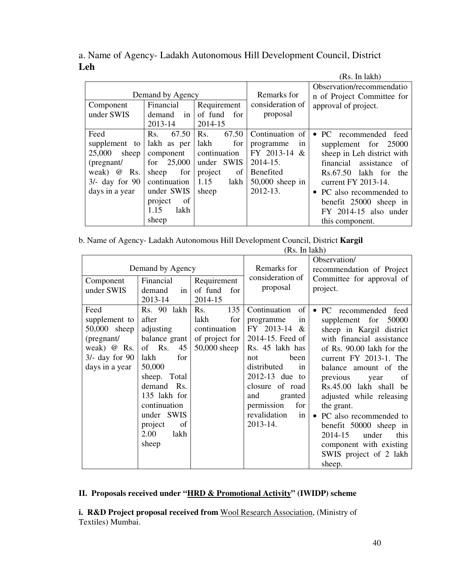|                  |                  |               |                   | (Rs. In lakh)                    |
|------------------|------------------|---------------|-------------------|----------------------------------|
|                  |                  |               |                   | Observation/recommendatio        |
|                  | Demand by Agency |               | Remarks for       | n of Project Committee for       |
| Component        | Financial        | Requirement   | consideration of  | approval of project.             |
| under SWIS       | in<br>demand     | of fund for   | proposal          |                                  |
|                  | 2013-14          | 2014-15       |                   |                                  |
| Feed             | Rs.<br>67.50     | 67.50<br>Rs.  | Continuation of   | PC recommended feed<br>$\bullet$ |
| supplement to    | lakh as per      | lakh<br>for   | programme<br>1n   | supplement for 25000             |
| 25,000<br>sheep  | component        | continuation  | FY 2013-14 &      | sheep in Leh district with       |
| (pregnant/       | 25,000<br>for    | under SWIS    | $2014 - 15.$      | assistance<br>financial<br>-of   |
| Rs.<br>weak) @   | for<br>sheep     | project<br>of | Benefited         | Rs.67.50 lakh for the            |
| $3/-$ day for 90 | continuation     | 1.15<br>lakh  | $50,000$ sheep in | current FY 2013-14.              |
| days in a year   | under SWIS       | sheep         | 2012-13.          | • PC also recommended to         |
|                  | of<br>project    |               |                   | benefit 25000 sheep in           |
|                  | lakh<br>1.15     |               |                   | FY 2014-15 also under            |
|                  | sheep            |               |                   | this component.                  |

a. Name of Agency- Ladakh Autonomous Hill Development Council, District **Leh** 

b. Name of Agency- Ladakh Autonomous Hill Development Council, District **Kargil**

|                                                                                                                 |                                                                                                                                                                                                                   |                                                                               | (Rs. In lakh)                                                                                                                                                                                                                                     |                                                                                                                                                                                                                                                                                                                                                                                                                                                   |
|-----------------------------------------------------------------------------------------------------------------|-------------------------------------------------------------------------------------------------------------------------------------------------------------------------------------------------------------------|-------------------------------------------------------------------------------|---------------------------------------------------------------------------------------------------------------------------------------------------------------------------------------------------------------------------------------------------|---------------------------------------------------------------------------------------------------------------------------------------------------------------------------------------------------------------------------------------------------------------------------------------------------------------------------------------------------------------------------------------------------------------------------------------------------|
| Demand by Agency<br>Requirement<br>Financial<br>Component<br>under SWIS<br>of fund<br>for<br>demand<br>in       |                                                                                                                                                                                                                   |                                                                               | Remarks for<br>consideration of<br>proposal                                                                                                                                                                                                       | Observation/<br>recommendation of Project<br>Committee for approval of<br>project.                                                                                                                                                                                                                                                                                                                                                                |
|                                                                                                                 | 2013-14                                                                                                                                                                                                           | 2014-15                                                                       |                                                                                                                                                                                                                                                   |                                                                                                                                                                                                                                                                                                                                                                                                                                                   |
| Feed<br>supplement to<br>50,000 sheep<br>(pregnant/<br>weak) $\omega$ Rs.<br>$3/-$ day for 90<br>days in a year | Rs. 90 lakh<br>after<br>adjusting<br>balance grant<br>of Rs.<br>45<br>lakh<br>for<br>50,000<br>sheep. Total<br>demand Rs.<br>135 lakh for<br>continuation<br>under SWIS<br>project<br>of<br>2.00<br>lakh<br>sheep | 135<br>Rs.<br>lakh<br>for<br>continuation<br>of project for<br>$50,000$ sheep | Continuation<br>of<br>programme<br>in<br>FY 2013-14<br>&<br>2014-15. Feed of<br>Rs. 45 lakh has<br>been<br>not<br>distributed<br>in<br>2012-13 due to<br>closure of road<br>and<br>granted<br>permission<br>for<br>revalidation<br>in<br>2013-14. | PC recommended feed<br>$\bullet$<br>supplement for<br>50000<br>sheep in Kargil district<br>with financial assistance<br>of Rs. 90.00 lakh for the<br>current FY 2013-1. The<br>balance amount of the<br>previous<br>of<br>year<br>Rs.45.00 lakh shall be<br>adjusted while releasing<br>the grant.<br>PC also recommended to<br>benefit 50000 sheep in<br>2014-15<br>under<br>this<br>component with existing<br>SWIS project of 2 lakh<br>sheep. |

#### **II. Proposals received under "HRD & Promotional Activity" (IWIDP) scheme**

**i. R&D Project proposal received from** Wool Research Association, (Ministry of Textiles) Mumbai.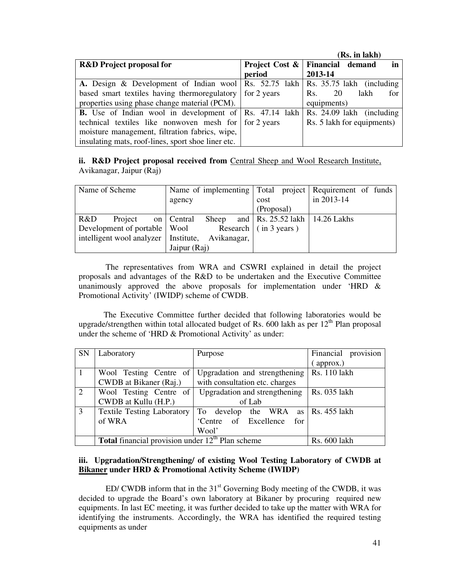|                                                                                     |        | (Rs. in lakh)                                      |
|-------------------------------------------------------------------------------------|--------|----------------------------------------------------|
| <b>R&amp;D</b> Project proposal for                                                 |        | <b>Project Cost &amp;   Financial demand</b><br>in |
|                                                                                     | period | 2013-14                                            |
| A. Design & Development of Indian wool   Rs. 52.75 lakh   Rs. 35.75 lakh (including |        |                                                    |
| based smart textiles having thermoregulatory for 2 years                            |        | 20<br>lakh<br>Rs.<br>for                           |
| properties using phase change material (PCM).                                       |        | equipments)                                        |
| <b>B.</b> Use of Indian wool in development of Rs. 47.14 lakh                       |        | Rs. 24.09 lakh (including                          |
| technical textiles like nonwoven mesh for for 2 years                               |        | Rs. 5 lakh for equipments)                         |
| moisture management, filtration fabrics, wipe,                                      |        |                                                    |
| insulating mats, roof-lines, sport shoe liner etc.                                  |        |                                                    |

**ii. R&D Project proposal received from Central Sheep and Wool Research Institute,** Avikanagar, Jaipur (Raj)

| Name of Scheme                                     |         | Name of implementing Total project Requirement of funds |              |  |      |                              |            |                                                      |  |
|----------------------------------------------------|---------|---------------------------------------------------------|--------------|--|------|------------------------------|------------|------------------------------------------------------|--|
|                                                    |         | agency                                                  |              |  | cost |                              | in 2013-14 |                                                      |  |
|                                                    |         |                                                         |              |  |      | (Proposal)                   |            |                                                      |  |
| R&D                                                | Project |                                                         | on   Central |  |      |                              |            | Sheep and $\vert$ Rs. 25.52 lakh $\vert$ 14.26 Lakhs |  |
| Development of portable   Wool                     |         |                                                         |              |  |      | Research $\int$ (in 3 years) |            |                                                      |  |
| intelligent wool analyzer   Institute, Avikanagar, |         |                                                         |              |  |      |                              |            |                                                      |  |
|                                                    |         | Jaipur (Raj)                                            |              |  |      |                              |            |                                                      |  |

 The representatives from WRA and CSWRI explained in detail the project proposals and advantages of the R&D to be undertaken and the Executive Committee unanimously approved the above proposals for implementation under 'HRD & Promotional Activity' (IWIDP) scheme of CWDB.

The Executive Committee further decided that following laboratories would be upgrade/strengthen within total allocated budget of Rs. 600 lakh as per  $12<sup>th</sup>$  Plan proposal under the scheme of 'HRD & Promotional Activity' as under:

| SN             | Laboratory                                                | Purpose                                                             | Financial provision |
|----------------|-----------------------------------------------------------|---------------------------------------------------------------------|---------------------|
|                |                                                           |                                                                     | approx.)            |
| $\mathbf{1}$   | Wool Testing Centre of                                    | Upgradation and strengthening                                       | Rs. 110 lakh        |
|                | CWDB at Bikaner (Raj.)                                    | with consultation etc. charges                                      |                     |
| 2              | Wool Testing Centre of                                    | Upgradation and strengthening                                       | Rs. 035 lakh        |
|                | CWDB at Kullu (H.P.)                                      | of Lab                                                              |                     |
| $\overline{3}$ | <b>Textile Testing Laboratory</b>                         | To develop the WRA as $\left  \text{Rs. } 455 \text{ lakh} \right $ |                     |
|                | of WRA                                                    | 'Centre of Excellence for                                           |                     |
|                |                                                           | Wool'                                                               |                     |
|                | <b>Total</b> financial provision under $12th$ Plan scheme | <b>Rs. 600 lakh</b>                                                 |                     |

#### **iii. Upgradation/Strengthening/ of existing Wool Testing Laboratory of CWDB at Bikaner under HRD & Promotional Activity Scheme (IWIDP)**

ED/ CWDB inform that in the  $31<sup>st</sup>$  Governing Body meeting of the CWDB, it was decided to upgrade the Board's own laboratory at Bikaner by procuring required new equipments. In last EC meeting, it was further decided to take up the matter with WRA for identifying the instruments. Accordingly, the WRA has identified the required testing equipments as under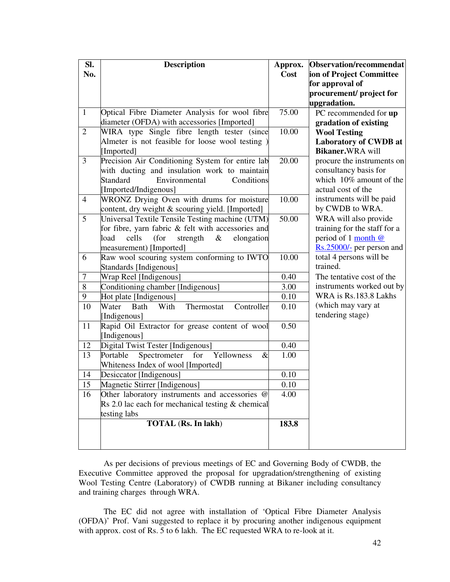| SI.            | <b>Description</b>                                                   | Approx.      | Observation/recommendat                          |
|----------------|----------------------------------------------------------------------|--------------|--------------------------------------------------|
| No.            |                                                                      | Cost         | ion of Project Committee                         |
|                |                                                                      |              | for approval of                                  |
|                |                                                                      |              | procurement/ project for                         |
|                |                                                                      |              | upgradation.                                     |
| $\mathbf{1}$   | Optical Fibre Diameter Analysis for wool fibre                       | 75.00        | PC recommended for up                            |
|                | diameter (OFDA) with accessories [Imported]                          |              | gradation of existing                            |
| $\overline{2}$ | WIRA type Single fibre length tester (since                          | 10.00        | <b>Wool Testing</b>                              |
|                | Almeter is not feasible for loose wool testing)                      |              | Laboratory of CWDB at                            |
|                | [Imported]                                                           |              | Bikaner.WRA will                                 |
| 3              | Precision Air Conditioning System for entire lab                     | 20.00        | procure the instruments on                       |
|                | with ducting and insulation work to maintain                         |              | consultancy basis for                            |
|                | Environmental<br>Conditions<br>Standard                              |              | which 10% amount of the<br>actual cost of the    |
|                | [Imported/Indigenous]                                                |              |                                                  |
| $\overline{4}$ | WRONZ Drying Oven with drums for moisture                            | 10.00        | instruments will be paid<br>by CWDB to WRA.      |
| 5              | content, dry weight & scouring yield. [Imported]                     | 50.00        |                                                  |
|                | Universal Textile Tensile Testing machine (UTM)                      |              | WRA will also provide                            |
|                | for fibre, yarn fabric & felt with accessories and                   |              | training for the staff for a                     |
|                | cells<br>load<br>(for<br>strength<br>&<br>elongation                 |              | period of 1 month @<br>Rs.25000/- per person and |
|                | measurement) [Imported]                                              | 10.00        | total 4 persons will be                          |
| 6              | Raw wool scouring system conforming to IWTO                          |              | trained.                                         |
| 7              | Standards [Indigenous]                                               | 0.40         | The tentative cost of the                        |
| 8              | Wrap Reel [Indigenous]                                               | 3.00         | instruments worked out by                        |
| 9              | Conditioning chamber [Indigenous]                                    | 0.10         | WRA is Rs.183.8 Lakhs                            |
|                | Hot plate [Indigenous]                                               |              | (which may vary at                               |
| 10             | Bath<br>With<br>Water<br>Controller<br>Thermostat                    | 0.10         | tendering stage)                                 |
|                | [Indigenous]                                                         | 0.50         |                                                  |
| 11             | Rapid Oil Extractor for grease content of wool                       |              |                                                  |
|                | [Indigenous]                                                         |              |                                                  |
| 12<br>13       | Digital Twist Tester [Indigenous]<br>Portable<br>$\&$                | 0.40<br>1.00 |                                                  |
|                | Spectrometer for<br>Yellowness<br>Whiteness Index of wool [Imported] |              |                                                  |
|                |                                                                      | 0.10         |                                                  |
| 14<br>15       | Desiccator [Indigenous]<br>Magnetic Stirrer [Indigenous]             | 0.10         |                                                  |
|                |                                                                      |              |                                                  |
| 16             | Other laboratory instruments and accessories @                       | 4.00         |                                                  |
|                | Rs 2.0 lac each for mechanical testing $&$ chemical                  |              |                                                  |
|                | testing labs<br>TOTAL (Rs. In lakh)                                  | 183.8        |                                                  |
|                |                                                                      |              |                                                  |
|                |                                                                      |              |                                                  |
|                |                                                                      |              |                                                  |

 As per decisions of previous meetings of EC and Governing Body of CWDB, the Executive Committee approved the proposal for upgradation/strengthening of existing Wool Testing Centre (Laboratory) of CWDB running at Bikaner including consultancy and training charges through WRA.

The EC did not agree with installation of 'Optical Fibre Diameter Analysis (OFDA)' Prof. Vani suggested to replace it by procuring another indigenous equipment with approx. cost of Rs. 5 to 6 lakh. The EC requested WRA to re-look at it.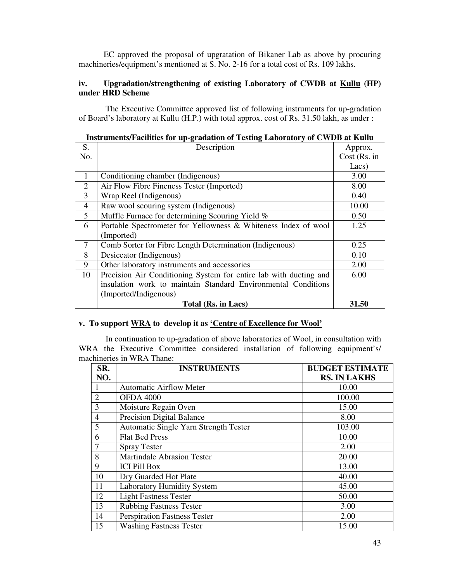EC approved the proposal of upgratation of Bikaner Lab as above by procuring machineries/equipment's mentioned at S. No. 2-16 for a total cost of Rs. 109 lakhs.

#### **iv. Upgradation/strengthening of existing Laboratory of CWDB at Kullu (HP) under HRD Scheme**

 The Executive Committee approved list of following instruments for up-gradation of Board's laboratory at Kullu (H.P.) with total approx. cost of Rs. 31.50 lakh, as under :

| S.             | Description                                                       | Approx.        |
|----------------|-------------------------------------------------------------------|----------------|
| No.            |                                                                   | $Cost$ (Rs. in |
|                |                                                                   | Lacs)          |
| 1              | Conditioning chamber (Indigenous)                                 | 3.00           |
| $\overline{2}$ | Air Flow Fibre Fineness Tester (Imported)                         | 8.00           |
| 3              | Wrap Reel (Indigenous)                                            | 0.40           |
| $\overline{4}$ | Raw wool scouring system (Indigenous)                             | 10.00          |
| 5              | Muffle Furnace for determining Scouring Yield %                   | 0.50           |
| 6              | Portable Spectrometer for Yellowness & Whiteness Index of wool    | 1.25           |
|                | (Imported)                                                        |                |
| 7              | Comb Sorter for Fibre Length Determination (Indigenous)           | 0.25           |
| 8              | Desiccator (Indigenous)                                           | 0.10           |
| 9              | Other laboratory instruments and accessories                      | 2.00           |
| 10             | Precision Air Conditioning System for entire lab with ducting and | 6.00           |
|                | insulation work to maintain Standard Environmental Conditions     |                |
|                | (Imported/Indigenous)                                             |                |
|                | Total (Rs. in Lacs)                                               | 31.50          |

#### **v. To support WRA to develop it as 'Centre of Excellence for Wool'**

 In continuation to up-gradation of above laboratories of Wool, in consultation with WRA the Executive Committee considered installation of following equipment's/ machineries in WRA Thane:

| SR.            | <b>INSTRUMENTS</b>                    | <b>BUDGET ESTIMATE</b> |
|----------------|---------------------------------------|------------------------|
| NO.            |                                       | <b>RS. IN LAKHS</b>    |
|                | <b>Automatic Airflow Meter</b>        | 10.00                  |
| $\overline{2}$ | <b>OFDA 4000</b>                      | 100.00                 |
| 3              | Moisture Regain Oven                  | 15.00                  |
| $\overline{4}$ | <b>Precision Digital Balance</b>      | 8.00                   |
| 5              | Automatic Single Yarn Strength Tester | 103.00                 |
| 6              | <b>Flat Bed Press</b>                 | 10.00                  |
|                | <b>Spray Tester</b>                   | 2.00                   |
| 8              | <b>Martindale Abrasion Tester</b>     | 20.00                  |
| 9              | <b>ICI Pill Box</b>                   | 13.00                  |
| 10             | Dry Guarded Hot Plate                 | 40.00                  |
| 11             | <b>Laboratory Humidity System</b>     | 45.00                  |
| 12             | <b>Light Fastness Tester</b>          | 50.00                  |
| 13             | <b>Rubbing Fastness Tester</b>        | 3.00                   |
| 14             | Perspiration Fastness Tester          | 2.00                   |
| 15             | <b>Washing Fastness Tester</b>        | 15.00                  |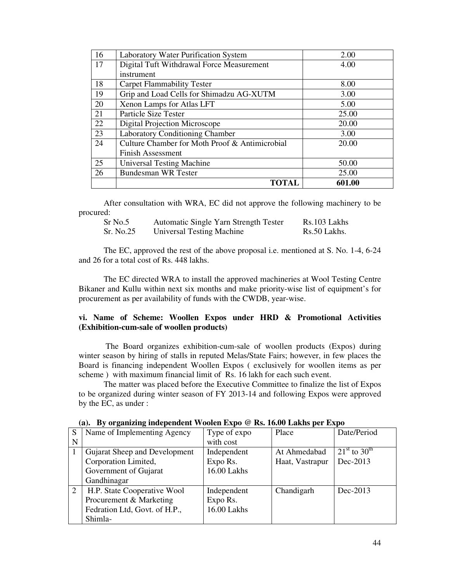| 16 | <b>Laboratory Water Purification System</b>    | 2.00   |
|----|------------------------------------------------|--------|
| 17 | Digital Tuft Withdrawal Force Measurement      | 4.00   |
|    | instrument                                     |        |
| 18 | <b>Carpet Flammability Tester</b>              | 8.00   |
| 19 | Grip and Load Cells for Shimadzu AG-XUTM       | 3.00   |
| 20 | Xenon Lamps for Atlas LFT                      | 5.00   |
| 21 | Particle Size Tester                           | 25.00  |
| 22 | Digital Projection Microscope                  | 20.00  |
| 23 | Laboratory Conditioning Chamber                | 3.00   |
| 24 | Culture Chamber for Moth Proof & Antimicrobial | 20.00  |
|    | <b>Finish Assessment</b>                       |        |
| 25 | <b>Universal Testing Machine</b>               | 50.00  |
| 26 | <b>Bundesman WR Tester</b>                     | 25.00  |
|    | TOTAL                                          | 601.00 |

After consultation with WRA, EC did not approve the following machinery to be procured:

| $Sr$ No.5 | <b>Automatic Single Yarn Strength Tester</b> | Rs.103 Lakhs |
|-----------|----------------------------------------------|--------------|
| Sr. No.25 | Universal Testing Machine                    | Rs.50 Lakhs. |

The EC, approved the rest of the above proposal i.e. mentioned at S. No. 1-4, 6-24 and 26 for a total cost of Rs. 448 lakhs.

The EC directed WRA to install the approved machineries at Wool Testing Centre Bikaner and Kullu within next six months and make priority-wise list of equipment's for procurement as per availability of funds with the CWDB, year-wise.

#### **vi. Name of Scheme: Woollen Expos under HRD & Promotional Activities (Exhibition-cum-sale of woollen products)**

 The Board organizes exhibition-cum-sale of woollen products (Expos) during winter season by hiring of stalls in reputed Melas/State Fairs; however, in few places the Board is financing independent Woollen Expos ( exclusively for woollen items as per scheme ) with maximum financial limit of Rs. 16 lakh for each such event.

The matter was placed before the Executive Committee to finalize the list of Expos to be organized during winter season of FY 2013-14 and following Expos were approved by the EC, as under :

|   | $\mathbf{u}_i$ . By organizing independent would happe the root hanne per happe |              |                 |                                |  |  |  |
|---|---------------------------------------------------------------------------------|--------------|-----------------|--------------------------------|--|--|--|
| S | Name of Implementing Agency                                                     | Type of expo | Place           | Date/Period                    |  |  |  |
| N |                                                                                 | with cost    |                 |                                |  |  |  |
|   | Gujarat Sheep and Development                                                   | Independent  | At Ahmedabad    | $21^{\rm st}$ to $30^{\rm th}$ |  |  |  |
|   | Corporation Limited,                                                            | Expo Rs.     | Haat, Vastrapur | Dec-2013                       |  |  |  |
|   | Government of Gujarat                                                           | 16.00 Lakhs  |                 |                                |  |  |  |
|   | Gandhinagar                                                                     |              |                 |                                |  |  |  |
| 2 | H.P. State Cooperative Wool                                                     | Independent  | Chandigarh      | Dec-2013                       |  |  |  |
|   | Procurement & Marketing                                                         | Expo Rs.     |                 |                                |  |  |  |
|   | Fedration Ltd, Govt. of H.P.,                                                   | 16.00 Lakhs  |                 |                                |  |  |  |
|   | Shimla-                                                                         |              |                 |                                |  |  |  |

#### **(a). By organizing independent Woolen Expo @ Rs. 16.00 Lakhs per Expo**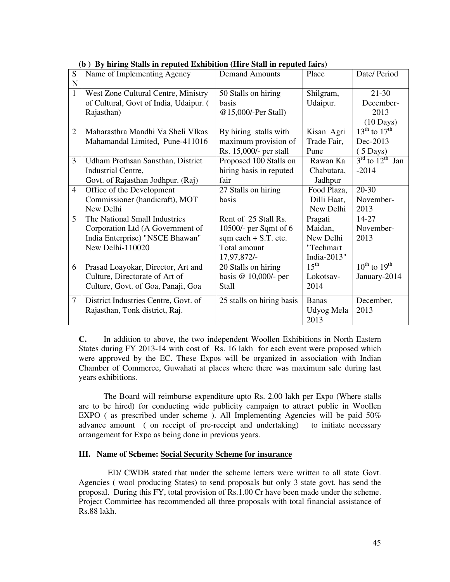| S              | (p) Dy mring bians in repaira Eximoliton (rm e bian in repaira fan s)<br>Name of Implementing Agency | <b>Demand Amounts</b>     | Place            | Date/ Period                            |
|----------------|------------------------------------------------------------------------------------------------------|---------------------------|------------------|-----------------------------------------|
| ${\bf N}$      |                                                                                                      |                           |                  |                                         |
| $\mathbf{1}$   | West Zone Cultural Centre, Ministry                                                                  | 50 Stalls on hiring       | Shilgram,        | $21 - 30$                               |
|                | of Cultural, Govt of India, Udaipur. (                                                               | basis                     | Udaipur.         | December-                               |
|                | Rajasthan)                                                                                           | @15,000/-Per Stall)       |                  | 2013                                    |
|                |                                                                                                      |                           |                  | $(10 \text{ Days})$                     |
| $\overline{2}$ | Maharasthra Mandhi Va Sheli VIkas                                                                    | By hiring stalls with     | Kisan Agri       | $13^{\text{th}}$ to $17^{\text{th}}$    |
|                | Mahamandal Limited, Pune-411016                                                                      | maximum provision of      | Trade Fair,      | Dec-2013                                |
|                |                                                                                                      | Rs. 15,000/- per stall    | Pune             | $(5 \text{ Days})$                      |
| 3              | Udham Prothsan Sansthan, District                                                                    | Proposed 100 Stalls on    | Rawan Ka         | $3^{\text{rd}}$ to $12^{\text{th}}$ Jan |
|                | Industrial Centre,                                                                                   | hiring basis in reputed   | Chabutara,       | $-2014$                                 |
|                | Govt. of Rajasthan Jodhpur. (Raj)                                                                    | fair                      | Jadhpur          |                                         |
| $\overline{4}$ | Office of the Development                                                                            | 27 Stalls on hiring       | Food Plaza,      | $20 - 30$                               |
|                | Commissioner (handicraft), MOT                                                                       | basis                     | Dilli Haat,      | November-                               |
|                | New Delhi                                                                                            |                           | New Delhi        | 2013                                    |
| 5              | The National Small Industries                                                                        | Rent of 25 Stall Rs.      | Pragati          | 14-27                                   |
|                | Corporation Ltd (A Government of                                                                     | 10500/- per Sqmt of $6$   | Maidan,          | November-                               |
|                | India Enterprise) "NSCE Bhawan"                                                                      | sqm each $+ S.T.$ etc.    | New Delhi        | 2013                                    |
|                | New Delhi-110020                                                                                     | Total amount              | "Techmart        |                                         |
|                |                                                                                                      | 17,97,872/-               | India-2013"      |                                         |
| 6              | Prasad Loayokar, Director, Art and                                                                   | 20 Stalls on hiring       | $15^{\text{th}}$ | $10^{th}$ to $19^{th}$                  |
|                | Culture, Directorate of Art of                                                                       | basis @ 10,000/- per      | Lokotsav-        | January-2014                            |
|                | Culture, Govt. of Goa, Panaji, Goa                                                                   | <b>Stall</b>              | 2014             |                                         |
| $\tau$         | District Industries Centre, Govt. of                                                                 | 25 stalls on hiring basis | <b>Banas</b>     | December,                               |
|                | Rajasthan, Tonk district, Raj.                                                                       |                           | Udyog Mela       | 2013                                    |
|                |                                                                                                      |                           | 2013             |                                         |

|  |  |  |  |  | (b) By hiring Stalls in reputed Exhibition (Hire Stall in reputed fairs) |
|--|--|--|--|--|--------------------------------------------------------------------------|
|--|--|--|--|--|--------------------------------------------------------------------------|

**C.** In addition to above, the two independent Woollen Exhibitions in North Eastern States during FY 2013-14 with cost of Rs. 16 lakh for each event were proposed which were approved by the EC. These Expos will be organized in association with Indian Chamber of Commerce, Guwahati at places where there was maximum sale during last years exhibitions.

 The Board will reimburse expenditure upto Rs. 2.00 lakh per Expo (Where stalls are to be hired) for conducting wide publicity campaign to attract public in Woollen EXPO ( as prescribed under scheme ). All Implementing Agencies will be paid 50% advance amount ( on receipt of pre-receipt and undertaking) to initiate necessary arrangement for Expo as being done in previous years.

#### **III. Name of Scheme: Social Security Scheme for insurance**

 ED/ CWDB stated that under the scheme letters were written to all state Govt. Agencies ( wool producing States) to send proposals but only 3 state govt. has send the proposal. During this FY, total provision of Rs.1.00 Cr have been made under the scheme. Project Committee has recommended all three proposals with total financial assistance of Rs.88 lakh.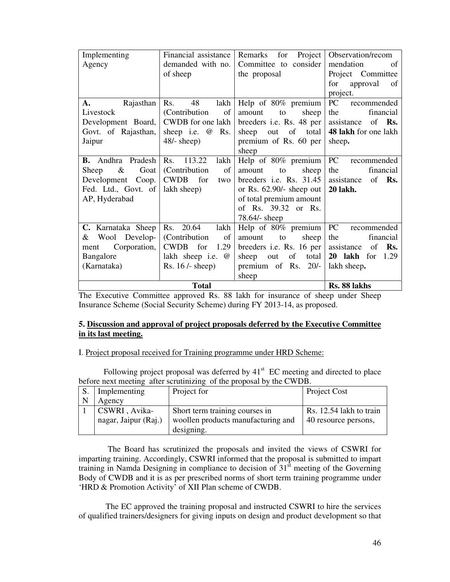| Implementing                                | Financial assistance  | Project  <br>Remarks for    | Observation/recom           |
|---------------------------------------------|-----------------------|-----------------------------|-----------------------------|
| Agency                                      | demanded with no.     | Committee to consider       | mendation<br>of             |
|                                             | of sheep              | the proposal                | Project Committee           |
|                                             |                       |                             | for<br>approval<br>of       |
|                                             |                       |                             | project.                    |
| Rajasthan<br>$\mathbf{A}$ .                 | Rs.<br>48<br>lakh     | Help of $80\%$ premium      | PC<br>recommended           |
| Livestock                                   | (Contribution)<br>of  | sheep<br>amount<br>to       | financial<br>the            |
| Development Board,   CWDB for one lakh      |                       | breeders i.e. Rs. 48 per    | assistance<br>of <b>Rs.</b> |
| Govt. of Rajasthan,                         | sheep i.e. $@$<br>Rs. | sheep out of total          | 48 lakh for one lakh        |
| Jaipur                                      | $48/-$ sheep)         | premium of Rs. 60 per       | sheep.                      |
|                                             |                       | sheep                       |                             |
| <b>B.</b> Andhra Pradesh $\vert$ Rs. 113.22 | lakh                  | Help of 80% premium         | PC recommended              |
| Goat<br>Sheep $\&$                          | (Contribution)<br>of  | to<br>sheep<br>amount       | financial<br>the            |
| Development Coop.                           | CWDB for<br>two       | breeders i.e. Rs. $31.45$   | assistance<br>of <b>Rs.</b> |
| Fed. Ltd., Govt. of                         | lakh sheep)           | or Rs. $62.90/-$ sheep out  | <b>20 lakh.</b>             |
| AP, Hyderabad                               |                       | of total premium amount     |                             |
|                                             |                       | of Rs. 39.32 or Rs.         |                             |
|                                             |                       | $78.64$ /- sheep            |                             |
| C. Karnataka Sheep                          | Rs. 20.64<br>lakh     | Help of $80\%$ premium PC   | recommended                 |
| & Wool Develop-                             | (Contribution)<br>of  | sheep<br>amount<br>to       | financial<br>the            |
| Corporation,<br>ment                        | CWDB for<br>1.29      | breeders i.e. Rs. 16 per    | assistance<br>of <b>Rs.</b> |
| Bangalore                                   | lakh sheep i.e. @     | of<br>total<br>sheep<br>out | <b>20 lakh</b> for 1.29     |
| (Karnataka)                                 | Rs. $16$ /- sheep)    | premium of Rs. 20/-         | lakh sheep.                 |
|                                             |                       | sheep                       |                             |
|                                             | Rs. 88 lakhs          |                             |                             |

The Executive Committee approved Rs. 88 lakh for insurance of sheep under Sheep Insurance Scheme (Social Security Scheme) during FY 2013-14, as proposed.

#### **5. Discussion and approval of project proposals deferred by the Executive Committee in its last meeting.**

#### I. Project proposal received for Training programme under HRD Scheme:

Following project proposal was deferred by  $41<sup>st</sup>$  EC meeting and directed to place before next meeting after scrutinizing of the proposal by the CWDB.

| Implementing         | Project for                        | Project Cost            |
|----------------------|------------------------------------|-------------------------|
| Agency               |                                    |                         |
| CSWRI, Avika-        | Short term training courses in     | Rs. 12.54 lakh to train |
| nagar, Jaipur (Raj.) | woollen products manufacturing and | 40 resource persons,    |
|                      | designing.                         |                         |

 The Board has scrutinized the proposals and invited the views of CSWRI for imparting training. Accordingly, CSWRI informed that the proposal is submitted to impart training in Namda Designing in compliance to decision of  $31<sup>st</sup>$  meeting of the Governing Body of CWDB and it is as per prescribed norms of short term training programme under 'HRD & Promotion Activity' of XII Plan scheme of CWDB.

 The EC approved the training proposal and instructed CSWRI to hire the services of qualified trainers/designers for giving inputs on design and product development so that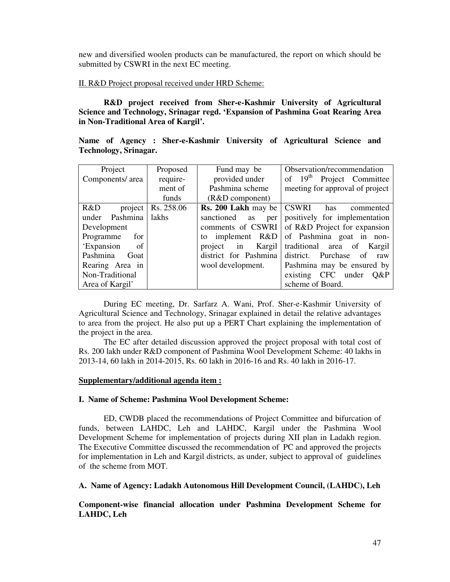new and diversified woolen products can be manufactured, the report on which should be submitted by CSWRI in the next EC meeting.

#### II. R&D Project proposal received under HRD Scheme:

**R&D project received from Sher-e-Kashmir University of Agricultural Science and Technology, Srinagar regd. 'Expansion of Pashmina Goat Rearing Area in Non-Traditional Area of Kargil'.** 

|  |                              | Name of Agency: Sher-e-Kashmir University of Agricultural Science and |  |  |  |
|--|------------------------------|-----------------------------------------------------------------------|--|--|--|
|  | <b>Technology, Srinagar.</b> |                                                                       |  |  |  |

| Project           | Proposed   | Fund may be                                  | Observation/recommendation            |
|-------------------|------------|----------------------------------------------|---------------------------------------|
| Components/ area  | require-   | provided under                               | of 19 <sup>th</sup> Project Committee |
|                   | ment of    | Pashmina scheme                              | meeting for approval of project       |
|                   | funds      | $(R&D$ component)                            |                                       |
| project<br>R&D    | Rs. 258.06 | <b>Rs. 200 Lakh</b> may be $\vert$ CSWRI has | commented                             |
| Pashmina<br>under | lakhs      | sanctioned<br><b>as</b><br>per               | positively for implementation         |
| Development       |            | comments of CSWRI                            | of R&D Project for expansion          |
| Programme<br>for  |            | to implement $R&D$                           | of Pashmina goat in non-              |
| 'Expansion<br>of  |            | project<br>in                                | Kargil traditional area of Kargil     |
| Pashmina<br>Goat  |            | district for Pashmina                        | district. Purchase of<br>raw          |
| Rearing Area in   |            | wool development.                            | Pashmina may be ensured by            |
| Non-Traditional   |            |                                              | existing CFC under<br>$O\&P$          |
| Area of Kargil'   |            |                                              | scheme of Board.                      |

During EC meeting, Dr. Sarfarz A. Wani, Prof. Sher-e-Kashmir University of Agricultural Science and Technology, Srinagar explained in detail the relative advantages to area from the project. He also put up a PERT Chart explaining the implementation of the project in the area.

The EC after detailed discussion approved the project proposal with total cost of Rs. 200 lakh under R&D component of Pashmina Wool Development Scheme: 40 lakhs in 2013-14, 60 lakh in 2014-2015, Rs. 60 lakh in 2016-16 and Rs. 40 lakh in 2016-17.

#### **Supplementary/additional agenda item :**

#### **I. Name of Scheme: Pashmina Wool Development Scheme:**

ED, CWDB placed the recommendations of Project Committee and bifurcation of funds, between LAHDC, Leh and LAHDC, Kargil under the Pashmina Wool Development Scheme for implementation of projects during XII plan in Ladakh region. The Executive Committee discussed the recommendation of PC and approved the projects for implementation in Leh and Kargil districts, as under, subject to approval of guidelines of the scheme from MOT.

**A. Name of Agency: Ladakh Autonomous Hill Development Council, (LAHDC), Leh** 

**Component-wise financial allocation under Pashmina Development Scheme for LAHDC, Leh**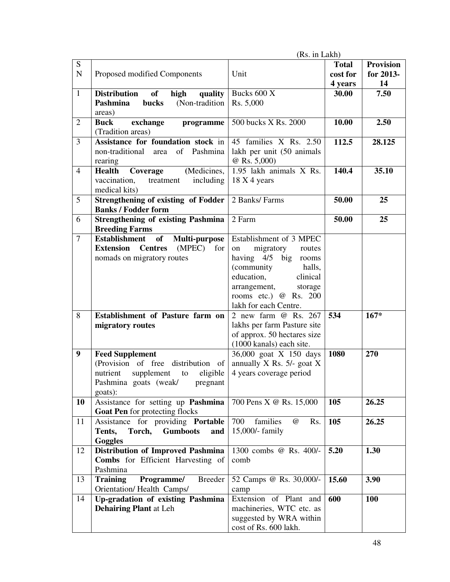|                |                                                                          | (Rs. in Lakh)                      |              |                  |
|----------------|--------------------------------------------------------------------------|------------------------------------|--------------|------------------|
| ${\bf S}$      |                                                                          |                                    | <b>Total</b> | <b>Provision</b> |
| $\mathbf N$    | Proposed modified Components                                             | Unit                               | cost for     | for 2013-        |
|                |                                                                          |                                    | 4 years      | 14               |
| $\mathbf{1}$   | <b>Distribution</b><br>of<br>high<br>quality                             | Bucks 600 X                        | 30.00        | 7.50             |
|                | Pashmina<br>bucks<br>(Non-tradition                                      | Rs. 5,000                          |              |                  |
|                | areas)                                                                   |                                    |              |                  |
| $\overline{2}$ | <b>Buck</b><br>exchange<br>programme                                     | 500 bucks X Rs. 2000               | 10.00        | 2.50             |
|                | (Tradition areas)                                                        |                                    |              |                  |
| $\overline{3}$ | Assistance for foundation stock in                                       | 45 families X Rs. 2.50             | 112.5        | 28.125           |
|                | non-traditional area<br>of<br>Pashmina                                   | lakh per unit (50 animals          |              |                  |
|                | rearing                                                                  | @ Rs. 5,000)                       |              |                  |
| $\overline{4}$ | (Medicines,<br>Coverage<br><b>Health</b>                                 | 1.95 lakh animals X Rs.            | 140.4        | 35.10            |
|                | vaccination,<br>including<br>treatment<br>medical kits)                  | 18 X 4 years                       |              |                  |
| 5              |                                                                          | 2 Banks/ Farms                     | 50.00        | 25               |
|                | <b>Strengthening of existing of Fodder</b><br><b>Banks / Fodder form</b> |                                    |              |                  |
| 6              | <b>Strengthening of existing Pashmina</b>                                | 2 Farm                             | 50.00        | 25               |
|                | <b>Breeding Farms</b>                                                    |                                    |              |                  |
| $\tau$         | <b>Establishment</b><br><b>of</b><br>Multi-purpose                       | Establishment of 3 MPEC            |              |                  |
|                | <b>Extension</b> Centres<br>(MPEC) for                                   | migratory<br>routes<br>on          |              |                  |
|                | nomads on migratory routes                                               | having 4/5 big rooms               |              |                  |
|                |                                                                          | (community)<br>halls,              |              |                  |
|                |                                                                          | education,<br>clinical             |              |                  |
|                |                                                                          | arrangement,<br>storage            |              |                  |
|                |                                                                          | rooms etc.) @ Rs. 200              |              |                  |
|                |                                                                          | lakh for each Centre.              |              |                  |
| 8              | <b>Establishment</b> of Pasture farm on                                  | 2 new farm @ Rs. 267               | 534          | $167*$           |
|                | migratory routes                                                         | lakhs per farm Pasture site        |              |                  |
|                |                                                                          | of approx. 50 hectares size        |              |                  |
|                |                                                                          | (1000 kanals) each site.           |              |                  |
| 9              | <b>Feed Supplement</b>                                                   | 36,000 goat X 150 days             | 1080         | 270              |
|                | (Provision of free distribution of                                       | annually $X$ Rs. 5/- goat $X$      |              |                  |
|                | nutrient<br>supplement<br>eligible<br>to                                 | 4 years coverage period            |              |                  |
|                | Pashmina goats (weak/<br>pregnant                                        |                                    |              |                  |
| 10             | goats):<br>Assistance for setting up Pashmina                            | 700 Pens X @ Rs. 15,000            | 105          | 26.25            |
|                | Goat Pen for protecting flocks                                           |                                    |              |                  |
| 11             | Assistance for providing Portable                                        | 700<br>families<br>$\omega$<br>Rs. | 105          | 26.25            |
|                | Torch,<br><b>Gumboots</b><br>Tents,<br>and                               | 15,000/- family                    |              |                  |
|                | Goggles                                                                  |                                    |              |                  |
| 12             | <b>Distribution of Improved Pashmina</b>                                 | 1300 combs @ Rs. 400/-             | 5.20         | 1.30             |
|                | Combs for Efficient Harvesting of                                        | comb                               |              |                  |
|                | Pashmina                                                                 |                                    |              |                  |
| 13             | Programme/<br><b>Breeder</b><br><b>Training</b>                          | 52 Camps @ Rs. 30,000/-            | 15.60        | 3.90             |
|                | Orientation/Health Camps/                                                | camp                               |              |                  |
| 14             | Up-gradation of existing Pashmina                                        | Extension of Plant and             | 600          | <b>100</b>       |
|                | <b>Dehairing Plant at Leh</b>                                            | machineries, WTC etc. as           |              |                  |
|                |                                                                          | suggested by WRA within            |              |                  |
|                |                                                                          | cost of Rs. 600 lakh.              |              |                  |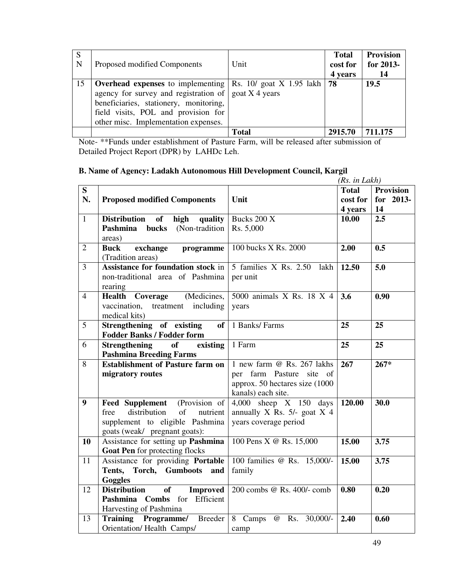| S<br>N | Proposed modified Components                                                                                                                                                                                                                                       | Unit         | <b>Total</b><br>cost for<br>4 years | <b>Provision</b><br>for 2013-<br>14 |
|--------|--------------------------------------------------------------------------------------------------------------------------------------------------------------------------------------------------------------------------------------------------------------------|--------------|-------------------------------------|-------------------------------------|
| 15     | <b>Overhead expenses</b> to implementing $\vert$ Rs. 10/ goat X 1.95 lakh<br>agency for survey and registration of $\vert$ goat X 4 years<br>beneficiaries, stationery, monitoring,<br>field visits, POL and provision for<br>other misc. Implementation expenses. |              | 78                                  | 19.5                                |
|        |                                                                                                                                                                                                                                                                    | <b>Total</b> | 2915.70                             | 711.175                             |

Note- \*\*Funds under establishment of Pasture Farm, will be released after submission of Detailed Project Report (DPR) by LAHDc Leh.

#### **B. Name of Agency: Ladakh Autonomous Hill Development Council, Kargil**

|                  |                                                                                                                                                       |                                                                                                                | (Rs. in Lakh)                       |                                     |
|------------------|-------------------------------------------------------------------------------------------------------------------------------------------------------|----------------------------------------------------------------------------------------------------------------|-------------------------------------|-------------------------------------|
| S<br>N.          | <b>Proposed modified Components</b>                                                                                                                   | Unit                                                                                                           | <b>Total</b><br>cost for<br>4 years | <b>Provision</b><br>for 2013-<br>14 |
| $\mathbf{1}$     | <b>Distribution</b><br>of<br>high<br>quality<br>Pashmina bucks (Non-tradition<br>areas)                                                               | Bucks 200 X<br>Rs. 5,000                                                                                       | 10.00                               | $\overline{2.5}$                    |
| $\overline{2}$   | <b>Buck</b><br>exchange<br>programme<br>(Tradition areas)                                                                                             | 100 bucks X Rs. 2000                                                                                           | 2.00                                | 0.5                                 |
| $\overline{3}$   | Assistance for foundation stock in<br>non-traditional area of Pashmina<br>rearing                                                                     | 5 families X Rs. 2.50 lakh<br>per unit                                                                         | 12.50                               | 5.0                                 |
| $\overline{4}$   | (Medicines,<br><b>Health</b><br>Coverage<br>vaccination,<br>treatment including<br>medical kits)                                                      | 5000 animals X Rs. 18 X 4<br>years                                                                             | 3.6                                 | 0.90                                |
| 5                | Strengthening of existing<br>of<br><b>Fodder Banks / Fodder form</b>                                                                                  | 1 Banks/ Farms                                                                                                 | 25                                  | 25                                  |
| 6                | <b>Strengthening</b><br><b>of</b><br>existing<br><b>Pashmina Breeding Farms</b>                                                                       | 1 Farm                                                                                                         | 25                                  | 25                                  |
| 8                | <b>Establishment of Pasture farm on</b><br>migratory routes                                                                                           | 1 new farm @ Rs. 267 lakhs<br>per farm Pasture site of<br>approx. 50 hectares size (1000<br>kanals) each site. | 267                                 | $267*$                              |
| $\boldsymbol{9}$ | <b>Feed Supplement</b><br>(Provision of<br>distribution<br>of<br>free<br>nutrient<br>supplement to eligible Pashmina<br>goats (weak/ pregnant goats): | $4,000$ sheep $X$ 150 days<br>annually X Rs. 5/- goat X 4<br>years coverage period                             | 120.00                              | 30.0                                |
| 10               | Assistance for setting up Pashmina<br>Goat Pen for protecting flocks                                                                                  | 100 Pens X @ Rs. 15,000                                                                                        | 15.00                               | 3.75                                |
| 11               | Assistance for providing Portable<br>Tents, Torch, Gumboots and<br><b>Goggles</b>                                                                     | 100 families @ Rs. 15,000/-<br>family                                                                          | 15.00                               | 3.75                                |
| 12               | <b>Distribution</b><br><b>of</b><br><b>Improved</b><br>Pashmina Combs for Efficient<br>Harvesting of Pashmina                                         | 200 combs @ Rs. 400/- comb                                                                                     | 0.80                                | 0.20                                |
| 13               | Programme/ Breeder<br><b>Training</b><br>Orientation/ Health Camps/                                                                                   | 8 Camps @ Rs. 30,000/-<br>camp                                                                                 | 2.40                                | 0.60                                |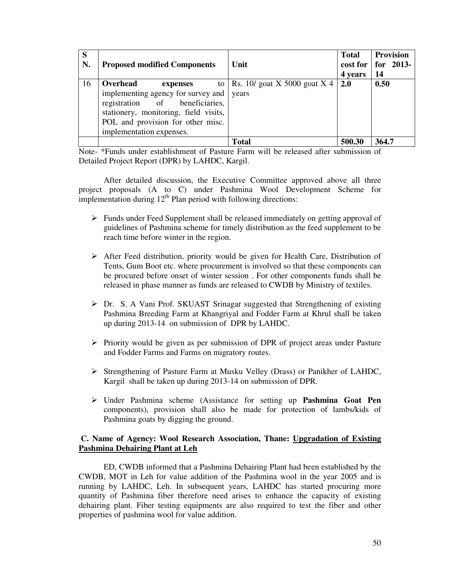| S<br>N. | <b>Proposed modified Components</b>                                                                                                                                                                    | Unit                                         | <b>Total</b><br>cost for<br>4 years | Provision<br>for $2013$ -<br>14 |
|---------|--------------------------------------------------------------------------------------------------------------------------------------------------------------------------------------------------------|----------------------------------------------|-------------------------------------|---------------------------------|
| 16      | Overhead<br>expenses<br>implementing agency for survey and<br>registration of beneficiaries,<br>stationery, monitoring, field visits,<br>POL and provision for other misc.<br>implementation expenses. | to   Rs. 10/ goat X 5000 goat X 4  <br>vears | 2.0                                 | 0.50                            |
|         |                                                                                                                                                                                                        | <b>Total</b>                                 | 500.30                              | 364.7                           |

Note- \*Funds under establishment of Pasture Farm will be released after submission of Detailed Project Report (DPR) by LAHDC, Kargil.

After detailed discussion, the Executive Committee approved above all three project proposals (A to C) under Pashmina Wool Development Scheme for implementation during  $12<sup>th</sup>$  Plan period with following directions:

- $\triangleright$  Funds under Feed Supplement shall be released immediately on getting approval of guidelines of Pashmina scheme for timely distribution as the feed supplement to be reach time before winter in the region.
- $\triangleright$  After Feed distribution, priority would be given for Health Care, Distribution of Tents, Gum Boot etc. where procurement is involved so that these components can be procured before onset of winter session . For other components funds shall be released in phase manner as funds are released to CWDB by Ministry of textiles.
- $\triangleright$  Dr. S. A Vani Prof. SKUAST Srinagar suggested that Strengthening of existing Pashmina Breeding Farm at Khangriyal and Fodder Farm at Khrul shall be taken up during 2013-14 on submission of DPR by LAHDC.
- $\triangleright$  Priority would be given as per submission of DPR of project areas under Pasture and Fodder Farms and Farms on migratory routes.
- Strengthening of Pasture Farm at Musku Velley (Drass) or Panikher of LAHDC, Kargil shall be taken up during 2013-14 on submission of DPR.
- Under Pashmina scheme (Assistance for setting up **Pashmina Goat Pen** components), provision shall also be made for protection of lambs/kids of Pashmina goats by digging the ground.

#### **C. Name of Agency: Wool Research Association, Thane: Upgradation of Existing Pashmina Dehairing Plant at Leh**

ED, CWDB informed that a Pashmina Dehairing Plant had been established by the CWDB, MOT in Leh for value addition of the Pashmina wool in the year 2005 and is running by LAHDC, Leh. In subsequent years, LAHDC has started procuring more quantity of Pashmina fiber therefore need arises to enhance the capacity of existing dehairing plant. Fiber testing equipments are also required to test the fiber and other properties of pashmina wool for value addition.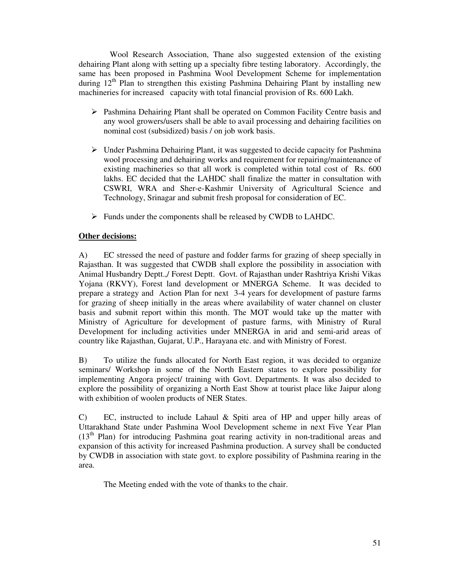Wool Research Association, Thane also suggested extension of the existing dehairing Plant along with setting up a specialty fibre testing laboratory. Accordingly, the same has been proposed in Pashmina Wool Development Scheme for implementation during  $12<sup>th</sup>$  Plan to strengthen this existing Pashmina Dehairing Plant by installing new machineries for increased capacity with total financial provision of Rs. 600 Lakh.

- $\triangleright$  Pashmina Dehairing Plant shall be operated on Common Facility Centre basis and any wool growers/users shall be able to avail processing and dehairing facilities on nominal cost (subsidized) basis / on job work basis.
- $\triangleright$  Under Pashmina Dehairing Plant, it was suggested to decide capacity for Pashmina wool processing and dehairing works and requirement for repairing/maintenance of existing machineries so that all work is completed within total cost of Rs. 600 lakhs. EC decided that the LAHDC shall finalize the matter in consultation with CSWRI, WRA and Sher-e-Kashmir University of Agricultural Science and Technology, Srinagar and submit fresh proposal for consideration of EC.
- Funds under the components shall be released by CWDB to LAHDC.

#### **Other decisions:**

A) EC stressed the need of pasture and fodder farms for grazing of sheep specially in Rajasthan. It was suggested that CWDB shall explore the possibility in association with Animal Husbandry Deptt.,/ Forest Deptt. Govt. of Rajasthan under Rashtriya Krishi Vikas Yojana (RKVY), Forest land development or MNERGA Scheme. It was decided to prepare a strategy and Action Plan for next 3-4 years for development of pasture farms for grazing of sheep initially in the areas where availability of water channel on cluster basis and submit report within this month. The MOT would take up the matter with Ministry of Agriculture for development of pasture farms, with Ministry of Rural Development for including activities under MNERGA in arid and semi-arid areas of country like Rajasthan, Gujarat, U.P., Harayana etc. and with Ministry of Forest.

B) To utilize the funds allocated for North East region, it was decided to organize seminars/ Workshop in some of the North Eastern states to explore possibility for implementing Angora project/ training with Govt. Departments. It was also decided to explore the possibility of organizing a North East Show at tourist place like Jaipur along with exhibition of woolen products of NER States.

C) EC, instructed to include Lahaul & Spiti area of HP and upper hilly areas of Uttarakhand State under Pashmina Wool Development scheme in next Five Year Plan  $(13<sup>th</sup> Plan)$  for introducing Pashmina goat rearing activity in non-traditional areas and expansion of this activity for increased Pashmina production. A survey shall be conducted by CWDB in association with state govt. to explore possibility of Pashmina rearing in the area.

The Meeting ended with the vote of thanks to the chair.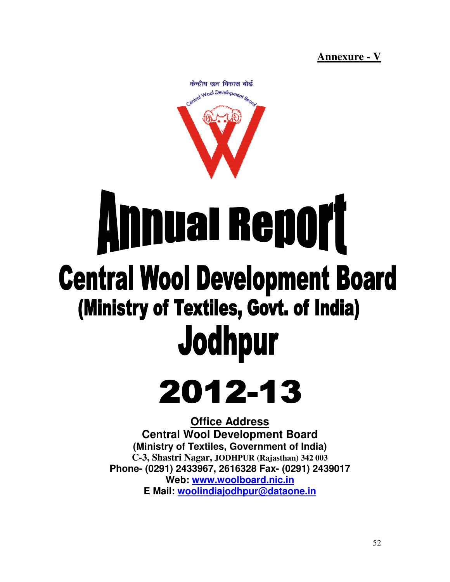**Annexure - V**



# **Annual Report Central Wool Development Board** (Ministry of Textiles, Govt. of India) Jodhpur

## 2012-13

**Central Wool Development Board (Ministry of Textiles, Government of India) C-3, Shastri Nagar, 3, Nagar, JODHPUR (Rajasthan) 342 003 Phone- (0291) 2433967, 2616328 Fax Fax- (0291) 2439017 Web: www.woolboard.nic.in E Mail: woolindiajodhpur@dataone.in Office Address**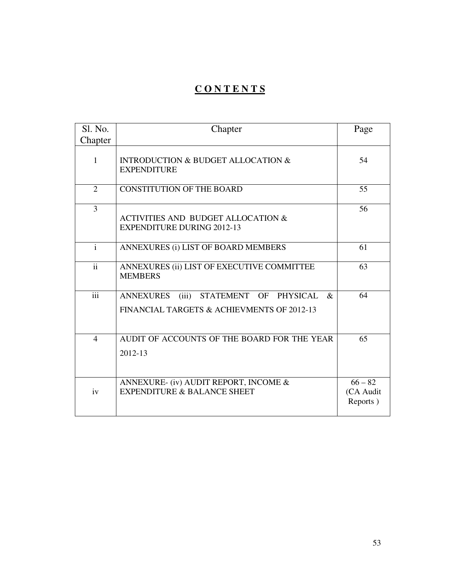## **C O N T E N T S**

| Sl. No.         | Chapter                                                                                                            | Page                               |
|-----------------|--------------------------------------------------------------------------------------------------------------------|------------------------------------|
| Chapter         |                                                                                                                    |                                    |
| 1               | <b>INTRODUCTION &amp; BUDGET ALLOCATION &amp;</b><br><b>EXPENDITURE</b>                                            | 54                                 |
| 2               | <b>CONSTITUTION OF THE BOARD</b>                                                                                   | 55                                 |
| $\overline{3}$  | <b>ACTIVITIES AND BUDGET ALLOCATION &amp;</b><br><b>EXPENDITURE DURING 2012-13</b>                                 | 56                                 |
| $\mathbf{i}$    | ANNEXURES (i) LIST OF BOARD MEMBERS                                                                                | 61                                 |
| $\overline{ii}$ | ANNEXURES (ii) LIST OF EXECUTIVE COMMITTEE<br><b>MEMBERS</b>                                                       | 63                                 |
| iii             | STATEMENT OF<br><b>PHYSICAL</b><br><b>ANNEXURES</b><br>(iii)<br>$\&$<br>FINANCIAL TARGETS & ACHIEVMENTS OF 2012-13 | 64                                 |
| $\overline{4}$  | AUDIT OF ACCOUNTS OF THE BOARD FOR THE YEAR<br>2012-13                                                             | 65                                 |
| iv              | ANNEXURE- (iv) AUDIT REPORT, INCOME &<br><b>EXPENDITURE &amp; BALANCE SHEET</b>                                    | $66 - 82$<br>(CA Audit<br>Reports) |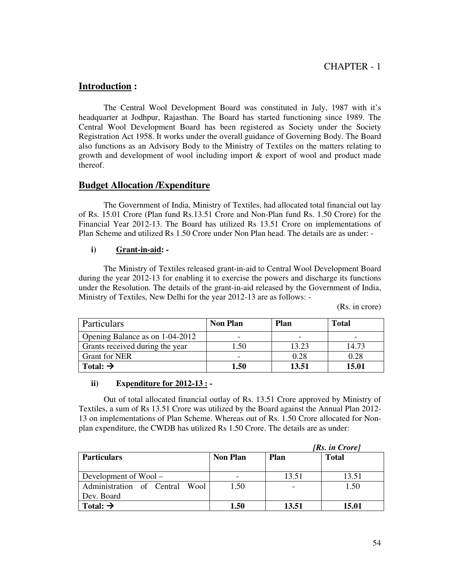#### **Introduction :**

 The Central Wool Development Board was constituted in July, 1987 with it's headquarter at Jodhpur, Rajasthan. The Board has started functioning since 1989. The Central Wool Development Board has been registered as Society under the Society Registration Act 1958. It works under the overall guidance of Governing Body. The Board also functions as an Advisory Body to the Ministry of Textiles on the matters relating to growth and development of wool including import & export of wool and product made thereof.

#### **Budget Allocation /Expenditure**

The Government of India, Ministry of Textiles, had allocated total financial out lay of Rs. 15.01 Crore (Plan fund Rs.13.51 Crore and Non-Plan fund Rs. 1.50 Crore) for the Financial Year 2012-13. The Board has utilized Rs 13.51 Crore on implementations of Plan Scheme and utilized Rs 1.50 Crore under Non Plan head. The details are as under: -

#### **i) Grant-in-aid: -**

The Ministry of Textiles released grant-in-aid to Central Wool Development Board during the year 2012-13 for enabling it to exercise the powers and discharge its functions under the Resolution. The details of the grant-in-aid released by the Government of India, Ministry of Textiles, New Delhi for the year 2012-13 are as follows: -

(Rs. in crore)

| Particulars                     | <b>Non Plan</b> | Plan                     | Total |
|---------------------------------|-----------------|--------------------------|-------|
| Opening Balance as on 1-04-2012 | -               | $\overline{\phantom{0}}$ |       |
| Grants received during the year | . .50           | 13.23                    | 14.73 |
| <b>Grant for NER</b>            | -               | 0.28                     | 0.28  |
| Total: $\rightarrow$            | 1.50            | 13.51                    | 15.01 |

#### **ii) Expenditure for 2012-13 : -**

Out of total allocated financial outlay of Rs. 13.51 Crore approved by Ministry of Textiles, a sum of Rs 13.51 Crore was utilized by the Board against the Annual Plan 2012- 13 on implementations of Plan Scheme. Whereas out of Rs. 1.50 Crore allocated for Nonplan expenditure, the CWDB has utilized Rs 1.50 Crore. The details are as under:

| [Rs. in Crore]                      |          |             |              |
|-------------------------------------|----------|-------------|--------------|
| <b>Particulars</b>                  | Non Plan | <b>Plan</b> | <b>Total</b> |
|                                     |          |             |              |
| Development of $Wood -$             |          | 13.51       | 13.51        |
| Administration of Central<br>- Wool | 1.50     |             | 1.50         |
| Dev. Board                          |          |             |              |
| Total: $\rightarrow$                | 1.50     | 13.51       | 15.01        |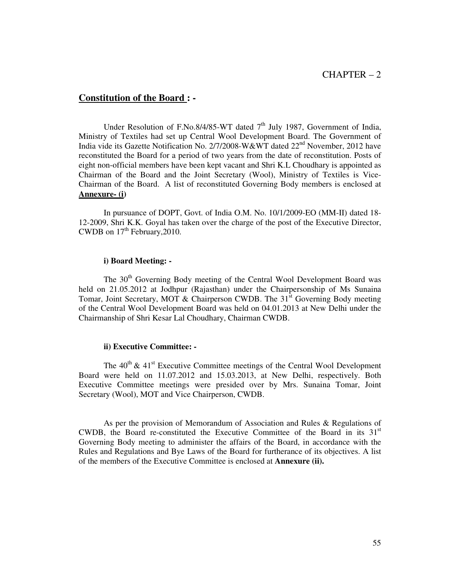#### **Constitution of the Board : -**

Under Resolution of F.No.8/4/85-WT dated  $7<sup>th</sup>$  July 1987, Government of India, Ministry of Textiles had set up Central Wool Development Board. The Government of India vide its Gazette Notification No. 2/7/2008-W&WT dated 22<sup>nd</sup> November, 2012 have reconstituted the Board for a period of two years from the date of reconstitution. Posts of eight non-official members have been kept vacant and Shri K.L Choudhary is appointed as Chairman of the Board and the Joint Secretary (Wool), Ministry of Textiles is Vice-Chairman of the Board. A list of reconstituted Governing Body members is enclosed at **Annexure- (i)** 

 In pursuance of DOPT, Govt. of India O.M. No. 10/1/2009-EO (MM-II) dated 18- 12-2009, Shri K.K. Goyal has taken over the charge of the post of the Executive Director, CWDB on  $17<sup>th</sup>$  February, 2010.

#### **i) Board Meeting: -**

The 30<sup>th</sup> Governing Body meeting of the Central Wool Development Board was held on 21.05.2012 at Jodhpur (Rajasthan) under the Chairpersonship of Ms Sunaina Tomar, Joint Secretary, MOT & Chairperson CWDB. The  $31<sup>st</sup>$  Governing Body meeting of the Central Wool Development Board was held on 04.01.2013 at New Delhi under the Chairmanship of Shri Kesar Lal Choudhary, Chairman CWDB.

#### **ii) Executive Committee: -**

The  $40^{th}$  &  $41^{st}$  Executive Committee meetings of the Central Wool Development Board were held on 11.07.2012 and 15.03.2013, at New Delhi, respectively. Both Executive Committee meetings were presided over by Mrs. Sunaina Tomar, Joint Secretary (Wool), MOT and Vice Chairperson, CWDB.

As per the provision of Memorandum of Association and Rules & Regulations of CWDB, the Board re-constituted the Executive Committee of the Board in its  $31<sup>st</sup>$ Governing Body meeting to administer the affairs of the Board, in accordance with the Rules and Regulations and Bye Laws of the Board for furtherance of its objectives. A list of the members of the Executive Committee is enclosed at **Annexure (ii).**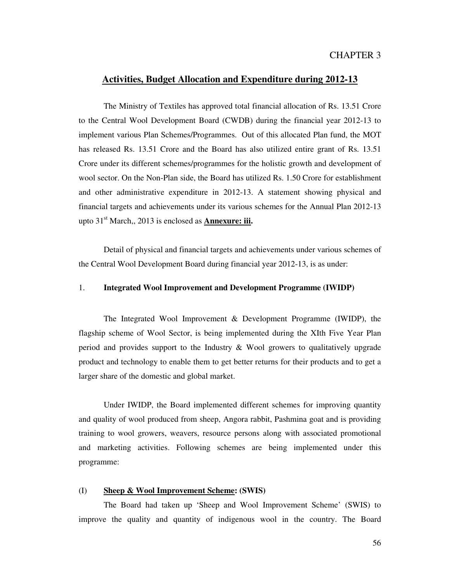#### **Activities, Budget Allocation and Expenditure during 2012-13**

 The Ministry of Textiles has approved total financial allocation of Rs. 13.51 Crore to the Central Wool Development Board (CWDB) during the financial year 2012-13 to implement various Plan Schemes/Programmes. Out of this allocated Plan fund, the MOT has released Rs. 13.51 Crore and the Board has also utilized entire grant of Rs. 13.51 Crore under its different schemes/programmes for the holistic growth and development of wool sector. On the Non-Plan side, the Board has utilized Rs. 1.50 Crore for establishment and other administrative expenditure in 2012-13. A statement showing physical and financial targets and achievements under its various schemes for the Annual Plan 2012-13 upto 31<sup>st</sup> March., 2013 is enclosed as **Annexure: iii.** 

 Detail of physical and financial targets and achievements under various schemes of the Central Wool Development Board during financial year 2012-13, is as under:

#### 1. **Integrated Wool Improvement and Development Programme (IWIDP)**

 The Integrated Wool Improvement & Development Programme (IWIDP), the flagship scheme of Wool Sector, is being implemented during the XIth Five Year Plan period and provides support to the Industry & Wool growers to qualitatively upgrade product and technology to enable them to get better returns for their products and to get a larger share of the domestic and global market.

 Under IWIDP, the Board implemented different schemes for improving quantity and quality of wool produced from sheep, Angora rabbit, Pashmina goat and is providing training to wool growers, weavers, resource persons along with associated promotional and marketing activities. Following schemes are being implemented under this programme:

#### (I) **Sheep & Wool Improvement Scheme: (SWIS)**

 The Board had taken up 'Sheep and Wool Improvement Scheme' (SWIS) to improve the quality and quantity of indigenous wool in the country. The Board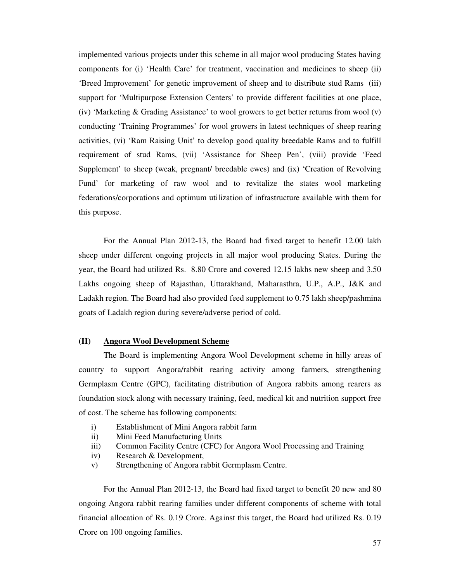implemented various projects under this scheme in all major wool producing States having components for (i) 'Health Care' for treatment, vaccination and medicines to sheep (ii) 'Breed Improvement' for genetic improvement of sheep and to distribute stud Rams (iii) support for 'Multipurpose Extension Centers' to provide different facilities at one place, (iv) 'Marketing & Grading Assistance' to wool growers to get better returns from wool (v) conducting 'Training Programmes' for wool growers in latest techniques of sheep rearing activities, (vi) 'Ram Raising Unit' to develop good quality breedable Rams and to fulfill requirement of stud Rams, (vii) 'Assistance for Sheep Pen', (viii) provide 'Feed Supplement' to sheep (weak, pregnant/ breedable ewes) and (ix) 'Creation of Revolving Fund' for marketing of raw wool and to revitalize the states wool marketing federations/corporations and optimum utilization of infrastructure available with them for this purpose.

 For the Annual Plan 2012-13, the Board had fixed target to benefit 12.00 lakh sheep under different ongoing projects in all major wool producing States. During the year, the Board had utilized Rs. 8.80 Crore and covered 12.15 lakhs new sheep and 3.50 Lakhs ongoing sheep of Rajasthan, Uttarakhand, Maharasthra, U.P., A.P., J&K and Ladakh region. The Board had also provided feed supplement to 0.75 lakh sheep/pashmina goats of Ladakh region during severe/adverse period of cold.

#### **(II) Angora Wool Development Scheme**

The Board is implementing Angora Wool Development scheme in hilly areas of country to support Angora/rabbit rearing activity among farmers, strengthening Germplasm Centre (GPC), facilitating distribution of Angora rabbits among rearers as foundation stock along with necessary training, feed, medical kit and nutrition support free of cost. The scheme has following components:

- i) Establishment of Mini Angora rabbit farm
- ii) Mini Feed Manufacturing Units
- iii) Common Facility Centre (CFC) for Angora Wool Processing and Training
- iv) Research & Development,
- v) Strengthening of Angora rabbit Germplasm Centre.

 For the Annual Plan 2012-13, the Board had fixed target to benefit 20 new and 80 ongoing Angora rabbit rearing families under different components of scheme with total financial allocation of Rs. 0.19 Crore. Against this target, the Board had utilized Rs. 0.19 Crore on 100 ongoing families.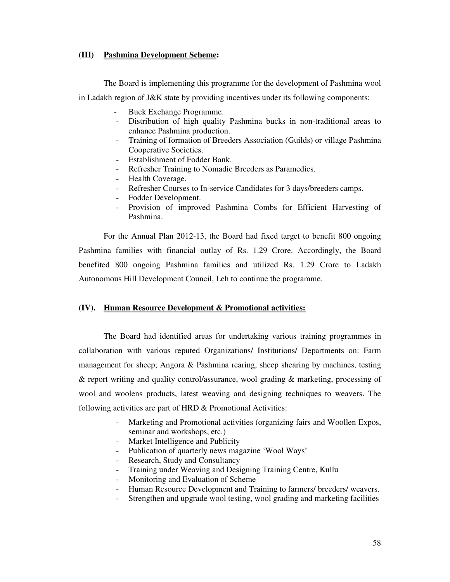#### **(III) Pashmina Development Scheme:**

The Board is implementing this programme for the development of Pashmina wool

in Ladakh region of J&K state by providing incentives under its following components:

- Buck Exchange Programme.
- Distribution of high quality Pashmina bucks in non-traditional areas to enhance Pashmina production.
- Training of formation of Breeders Association (Guilds) or village Pashmina Cooperative Societies.
- Establishment of Fodder Bank.
- Refresher Training to Nomadic Breeders as Paramedics.
- Health Coverage.
- Refresher Courses to In-service Candidates for 3 days/breeders camps.
- Fodder Development.
- Provision of improved Pashmina Combs for Efficient Harvesting of Pashmina.

For the Annual Plan 2012-13, the Board had fixed target to benefit 800 ongoing Pashmina families with financial outlay of Rs. 1.29 Crore. Accordingly, the Board benefited 800 ongoing Pashmina families and utilized Rs. 1.29 Crore to Ladakh Autonomous Hill Development Council, Leh to continue the programme.

#### **(IV). Human Resource Development & Promotional activities:**

 The Board had identified areas for undertaking various training programmes in collaboration with various reputed Organizations/ Institutions/ Departments on: Farm management for sheep; Angora & Pashmina rearing, sheep shearing by machines, testing & report writing and quality control/assurance, wool grading & marketing, processing of wool and woolens products, latest weaving and designing techniques to weavers. The following activities are part of HRD & Promotional Activities:

- Marketing and Promotional activities (organizing fairs and Woollen Expos, seminar and workshops, etc.)
- Market Intelligence and Publicity
- Publication of quarterly news magazine 'Wool Ways'
- Research, Study and Consultancy
- Training under Weaving and Designing Training Centre, Kullu
- Monitoring and Evaluation of Scheme
- Human Resource Development and Training to farmers/ breeders/ weavers.
- Strengthen and upgrade wool testing, wool grading and marketing facilities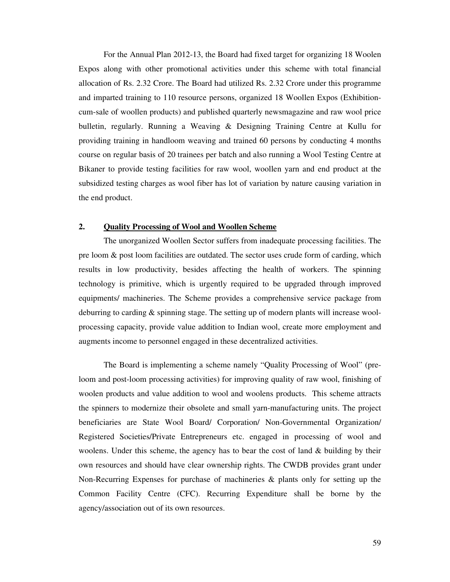For the Annual Plan 2012-13, the Board had fixed target for organizing 18 Woolen Expos along with other promotional activities under this scheme with total financial allocation of Rs. 2.32 Crore. The Board had utilized Rs. 2.32 Crore under this programme and imparted training to 110 resource persons, organized 18 Woollen Expos (Exhibitioncum-sale of woollen products) and published quarterly newsmagazine and raw wool price bulletin, regularly. Running a Weaving & Designing Training Centre at Kullu for providing training in handloom weaving and trained 60 persons by conducting 4 months course on regular basis of 20 trainees per batch and also running a Wool Testing Centre at Bikaner to provide testing facilities for raw wool, woollen yarn and end product at the subsidized testing charges as wool fiber has lot of variation by nature causing variation in the end product.

#### **2. Quality Processing of Wool and Woollen Scheme**

 The unorganized Woollen Sector suffers from inadequate processing facilities. The pre loom & post loom facilities are outdated. The sector uses crude form of carding, which results in low productivity, besides affecting the health of workers. The spinning technology is primitive, which is urgently required to be upgraded through improved equipments/ machineries. The Scheme provides a comprehensive service package from deburring to carding & spinning stage. The setting up of modern plants will increase woolprocessing capacity, provide value addition to Indian wool, create more employment and augments income to personnel engaged in these decentralized activities.

 The Board is implementing a scheme namely "Quality Processing of Wool" (preloom and post-loom processing activities) for improving quality of raw wool, finishing of woolen products and value addition to wool and woolens products. This scheme attracts the spinners to modernize their obsolete and small yarn-manufacturing units. The project beneficiaries are State Wool Board/ Corporation/ Non-Governmental Organization/ Registered Societies/Private Entrepreneurs etc. engaged in processing of wool and woolens. Under this scheme, the agency has to bear the cost of land  $\&$  building by their own resources and should have clear ownership rights. The CWDB provides grant under Non-Recurring Expenses for purchase of machineries & plants only for setting up the Common Facility Centre (CFC). Recurring Expenditure shall be borne by the agency/association out of its own resources.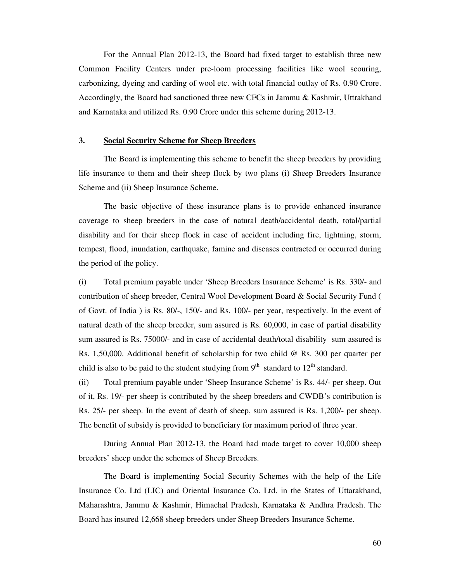For the Annual Plan 2012-13, the Board had fixed target to establish three new Common Facility Centers under pre-loom processing facilities like wool scouring, carbonizing, dyeing and carding of wool etc. with total financial outlay of Rs. 0.90 Crore. Accordingly, the Board had sanctioned three new CFCs in Jammu & Kashmir, Uttrakhand and Karnataka and utilized Rs. 0.90 Crore under this scheme during 2012-13.

#### **3. Social Security Scheme for Sheep Breeders**

The Board is implementing this scheme to benefit the sheep breeders by providing life insurance to them and their sheep flock by two plans (i) Sheep Breeders Insurance Scheme and (ii) Sheep Insurance Scheme.

The basic objective of these insurance plans is to provide enhanced insurance coverage to sheep breeders in the case of natural death/accidental death, total/partial disability and for their sheep flock in case of accident including fire, lightning, storm, tempest, flood, inundation, earthquake, famine and diseases contracted or occurred during the period of the policy.

(i) Total premium payable under 'Sheep Breeders Insurance Scheme' is Rs. 330/- and contribution of sheep breeder, Central Wool Development Board & Social Security Fund ( of Govt. of India ) is Rs. 80/-, 150/- and Rs. 100/- per year, respectively. In the event of natural death of the sheep breeder, sum assured is Rs. 60,000, in case of partial disability sum assured is Rs. 75000/- and in case of accidental death/total disability sum assured is Rs. 1,50,000. Additional benefit of scholarship for two child @ Rs. 300 per quarter per child is also to be paid to the student studying from  $9<sup>th</sup>$  standard to  $12<sup>th</sup>$  standard.

(ii) Total premium payable under 'Sheep Insurance Scheme' is Rs. 44/- per sheep. Out of it, Rs. 19/- per sheep is contributed by the sheep breeders and CWDB's contribution is Rs. 25/- per sheep. In the event of death of sheep, sum assured is Rs. 1,200/- per sheep. The benefit of subsidy is provided to beneficiary for maximum period of three year.

During Annual Plan 2012-13, the Board had made target to cover 10,000 sheep breeders' sheep under the schemes of Sheep Breeders.

The Board is implementing Social Security Schemes with the help of the Life Insurance Co. Ltd (LIC) and Oriental Insurance Co. Ltd. in the States of Uttarakhand, Maharashtra, Jammu & Kashmir, Himachal Pradesh, Karnataka & Andhra Pradesh. The Board has insured 12,668 sheep breeders under Sheep Breeders Insurance Scheme.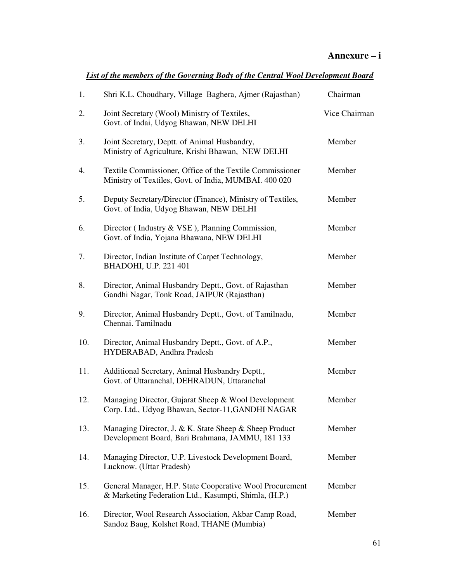| List of the members of the Governing Body of the Central Wool Development Board |  |  |
|---------------------------------------------------------------------------------|--|--|
|                                                                                 |  |  |

| 1.  | Shri K.L. Choudhary, Village Baghera, Ajmer (Rajasthan)                                                           | Chairman      |
|-----|-------------------------------------------------------------------------------------------------------------------|---------------|
| 2.  | Joint Secretary (Wool) Ministry of Textiles,<br>Govt. of Indai, Udyog Bhawan, NEW DELHI                           | Vice Chairman |
| 3.  | Joint Secretary, Deptt. of Animal Husbandry,<br>Ministry of Agriculture, Krishi Bhawan, NEW DELHI                 | Member        |
| 4.  | Textile Commissioner, Office of the Textile Commissioner<br>Ministry of Textiles, Govt. of India, MUMBAI. 400 020 | Member        |
| 5.  | Deputy Secretary/Director (Finance), Ministry of Textiles,<br>Govt. of India, Udyog Bhawan, NEW DELHI             | Member        |
| 6.  | Director (Industry & VSE), Planning Commission,<br>Govt. of India, Yojana Bhawana, NEW DELHI                      | Member        |
| 7.  | Director, Indian Institute of Carpet Technology,<br>BHADOHI, U.P. 221 401                                         | Member        |
| 8.  | Director, Animal Husbandry Deptt., Govt. of Rajasthan<br>Gandhi Nagar, Tonk Road, JAIPUR (Rajasthan)              | Member        |
| 9.  | Director, Animal Husbandry Deptt., Govt. of Tamilnadu,<br>Chennai. Tamilnadu                                      | Member        |
| 10. | Director, Animal Husbandry Deptt., Govt. of A.P.,<br>HYDERABAD, Andhra Pradesh                                    | Member        |
| 11. | Additional Secretary, Animal Husbandry Deptt.,<br>Govt. of Uttaranchal, DEHRADUN, Uttaranchal                     | Member        |
| 12. | Managing Director, Gujarat Sheep & Wool Development<br>Corp. Ltd., Udyog Bhawan, Sector-11, GANDHI NAGAR          | Member        |
| 13. | Managing Director, J. & K. State Sheep & Sheep Product<br>Development Board, Bari Brahmana, JAMMU, 181 133        | Member        |
| 14. | Managing Director, U.P. Livestock Development Board,<br>Lucknow. (Uttar Pradesh)                                  | Member        |
| 15. | General Manager, H.P. State Cooperative Wool Procurement<br>& Marketing Federation Ltd., Kasumpti, Shimla, (H.P.) | Member        |
| 16. | Director, Wool Research Association, Akbar Camp Road,<br>Sandoz Baug, Kolshet Road, THANE (Mumbia)                | Member        |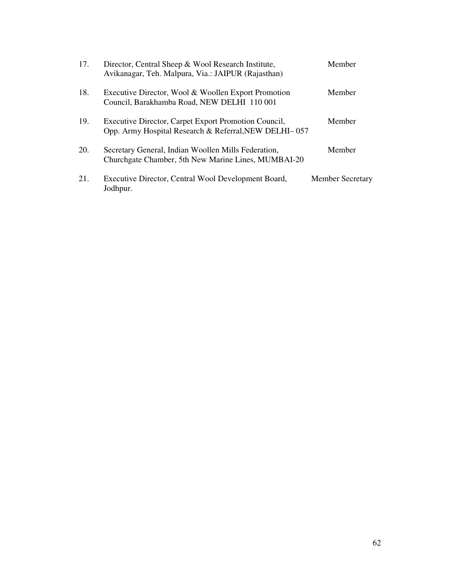| 17. | Director, Central Sheep & Wool Research Institute,<br>Avikanagar, Teh. Malpura, Via.: JAIPUR (Rajasthan)      | Member                  |
|-----|---------------------------------------------------------------------------------------------------------------|-------------------------|
| 18. | Executive Director, Wool & Woollen Export Promotion<br>Council, Barakhamba Road, NEW DELHI 110 001            | Member                  |
| 19. | Executive Director, Carpet Export Promotion Council,<br>Opp. Army Hospital Research & Referral, NEW DELHI-057 | Member                  |
| 20. | Secretary General, Indian Woollen Mills Federation,<br>Churchgate Chamber, 5th New Marine Lines, MUMBAI-20    | Member                  |
| 21. | Executive Director, Central Wool Development Board,<br>Jodhpur.                                               | <b>Member Secretary</b> |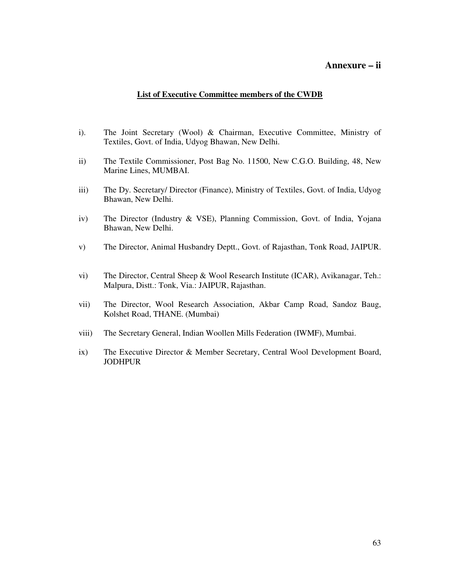#### **Annexure – ii**

#### **List of Executive Committee members of the CWDB**

- i). The Joint Secretary (Wool) & Chairman, Executive Committee, Ministry of Textiles, Govt. of India, Udyog Bhawan, New Delhi.
- ii) The Textile Commissioner, Post Bag No. 11500, New C.G.O. Building, 48, New Marine Lines, MUMBAI.
- iii) The Dy. Secretary/ Director (Finance), Ministry of Textiles, Govt. of India, Udyog Bhawan, New Delhi.
- iv) The Director (Industry & VSE), Planning Commission, Govt. of India, Yojana Bhawan, New Delhi.
- v) The Director, Animal Husbandry Deptt., Govt. of Rajasthan, Tonk Road, JAIPUR.
- vi) The Director, Central Sheep & Wool Research Institute (ICAR), Avikanagar, Teh.: Malpura, Distt.: Tonk, Via.: JAIPUR, Rajasthan.
- vii) The Director, Wool Research Association, Akbar Camp Road, Sandoz Baug, Kolshet Road, THANE. (Mumbai)
- viii) The Secretary General, Indian Woollen Mills Federation (IWMF), Mumbai.
- ix) The Executive Director & Member Secretary, Central Wool Development Board, JODHPUR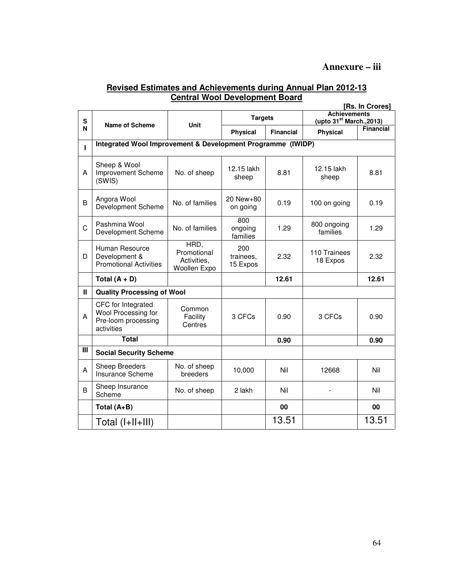#### **Annexure – iii**

#### **Revised Estimates and Achievements during Annual Plan 2012-13 Central Wool Development Board [Rs. In Crores]**

|                         | <b>IKS. IN U</b> roresi                                                        |                                                    |                              |                  |                                                             |                  |  |  |
|-------------------------|--------------------------------------------------------------------------------|----------------------------------------------------|------------------------------|------------------|-------------------------------------------------------------|------------------|--|--|
|                         |                                                                                |                                                    | <b>Targets</b>               |                  | <b>Achievements</b><br>(upto 31 <sup>st</sup> March., 2013) |                  |  |  |
| S                       | Name of Scheme                                                                 | Unit                                               |                              |                  |                                                             |                  |  |  |
| N                       |                                                                                |                                                    | <b>Physical</b>              | <b>Financial</b> | <b>Physical</b>                                             | <b>Financial</b> |  |  |
|                         | Integrated Wool Improvement & Development Programme (IWIDP)                    |                                                    |                              |                  |                                                             |                  |  |  |
| г                       |                                                                                |                                                    |                              |                  |                                                             |                  |  |  |
| A                       | Sheep & Wool<br>Improvement Scheme<br>(SWIS)                                   | No. of sheep                                       | 12.15 lakh<br>sheep          | 8.81             | 12.15 lakh<br>sheep                                         | 8.81             |  |  |
| B                       | Angora Wool<br>Development Scheme                                              | No. of families                                    | 20 New+80<br>on going        | 0.19             | 100 on going                                                | 0.19             |  |  |
| C                       | Pashmina Wool<br>Development Scheme                                            | No. of families                                    | 800<br>ongoing<br>families   | 1.29             | 800 ongoing<br>families                                     | 1.29             |  |  |
| D                       | Human Resource<br>Development &<br><b>Promotional Activities</b>               | HRD,<br>Promotional<br>Activities,<br>Woollen Expo | 200<br>trainees,<br>15 Expos | 2.32             | 110 Trainees<br>18 Expos                                    | 2.32             |  |  |
|                         | Total $(A + D)$                                                                |                                                    |                              | 12.61            |                                                             | 12.61            |  |  |
| $\mathbf{II}$           | <b>Quality Processing of Wool</b>                                              |                                                    |                              |                  |                                                             |                  |  |  |
| A                       | CFC for Integrated<br>Wool Processing for<br>Pre-loom processing<br>activities | Common<br>Facility<br>Centres                      | 3 CFCs                       | 0.90             | 3 CFCs                                                      | 0.90             |  |  |
|                         | <b>Total</b>                                                                   |                                                    |                              | 0.90             |                                                             | 0.90             |  |  |
| $\overline{\mathbb{H}}$ | <b>Social Security Scheme</b>                                                  |                                                    |                              |                  |                                                             |                  |  |  |
| A                       | <b>Sheep Breeders</b><br>Insurance Scheme                                      | No. of sheep<br>breeders                           | 10,000                       | Nil              | 12668                                                       | Nil              |  |  |
| B                       | Sheep Insurance<br>Scheme                                                      | No. of sheep                                       | 2 lakh                       | Nil              |                                                             | Nil              |  |  |
|                         | Total (A+B)                                                                    |                                                    |                              | 00               |                                                             | 00               |  |  |
|                         | Total $(I+II+III)$                                                             |                                                    |                              | 13.51            |                                                             | 13.51            |  |  |